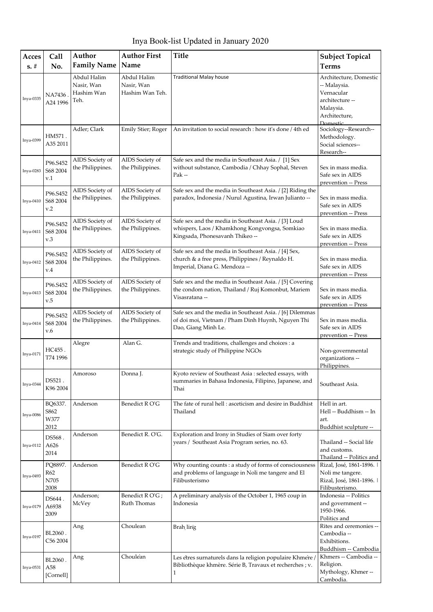Inya Book-list Updated in January 2020

| Acces       | Call                            | Author                                          | <b>Author First</b>                          | <b>Title</b>                                                                                                                              | <b>Subject Topical</b>                                                                                            |
|-------------|---------------------------------|-------------------------------------------------|----------------------------------------------|-------------------------------------------------------------------------------------------------------------------------------------------|-------------------------------------------------------------------------------------------------------------------|
| $s. \#$     | No.                             | <b>Family Name</b>                              | Name                                         |                                                                                                                                           | <b>Terms</b>                                                                                                      |
| Inya-0335   | NA7436<br>A24 1996              | Abdul Halim<br>Nasir, Wan<br>Hashim Wan<br>Teh. | Abdul Halim<br>Nasir, Wan<br>Hashim Wan Teh. | <b>Traditional Malay house</b>                                                                                                            | Architecture, Domestic<br>-- Malaysia.<br>Vernacular<br>architecture --<br>Malaysia.<br>Architecture,<br>Domestic |
| Inya-0399   | HM571.<br>A35 2011              | Adler; Clark                                    | Emily Stier; Roger                           | An invitation to social research : how it's done / 4th ed                                                                                 | Sociology--Research--<br>Methodology.<br>Social sciences--<br>Research--                                          |
| Inya-0283   | P96.S452<br>S68 2004<br>v.1     | AIDS Society of<br>the Philippines.             | AIDS Society of<br>the Philippines.          | Safe sex and the media in Southeast Asia. / [1] Sex<br>without substance, Cambodia / Chhay Sophal, Steven<br>$Pak -$                      | Sex in mass media.<br>Safe sex in AIDS<br>prevention -- Press                                                     |
| Inya-0410   | P96.S452<br>S68 2004<br>v.2     | AIDS Society of<br>the Philippines.             | AIDS Society of<br>the Philippines.          | Safe sex and the media in Southeast Asia. / [2] Riding the<br>paradox, Indonesia / Nurul Agustina, Irwan Julianto --                      | Sex in mass media.<br>Safe sex in AIDS<br>prevention -- Press                                                     |
| Inya-0411   | P96.S452<br>S68 2004<br>v.3     | AIDS Society of<br>the Philippines.             | AIDS Society of<br>the Philippines.          | Safe sex and the media in Southeast Asia. / [3] Loud<br>whispers, Laos / Khamkhong Kongvongsa, Somkiao<br>Kingsada, Phonesavanh Thikeo -- | Sex in mass media.<br>Safe sex in AIDS<br>prevention -- Press                                                     |
| $Inya-0412$ | P96.S452<br>S68 2004<br>v.4     | AIDS Society of<br>the Philippines.             | AIDS Society of<br>the Philippines.          | Safe sex and the media in Southeast Asia. / [4] Sex,<br>church & a free press, Philippines / Reynaldo H.<br>Imperial, Diana G. Mendoza -- | Sex in mass media.<br>Safe sex in AIDS<br>prevention -- Press                                                     |
| Inya-0413   | P96.S452<br>S68 2004<br>v.5     | AIDS Society of<br>the Philippines.             | AIDS Society of<br>the Philippines.          | Safe sex and the media in Southeast Asia. / [5] Covering<br>the condom nation, Thailand / Ruj Komonbut, Mariem<br>Visasratana --          | Sex in mass media.<br>Safe sex in AIDS<br>prevention -- Press                                                     |
| Inya-0414   | P96.S452<br>S68 2004<br>v.6     | AIDS Society of<br>the Philippines.             | AIDS Society of<br>the Philippines.          | Safe sex and the media in Southeast Asia. / [6] Dilemmas<br>of doi moi, Vietnam / Pham Dinh Huynh, Nguyen Thi<br>Dao, Giang Minh Le.      | Sex in mass media.<br>Safe sex in AIDS<br>prevention -- Press                                                     |
| Inya-0171   | HC455.<br>T74 1996              | Alegre                                          | Alan G.                                      | Trends and traditions, challenges and choices : a<br>strategic study of Philippine NGOs                                                   | Non-governmental<br>organizations --<br>Philippines.                                                              |
| Inya-0344   | DS521.<br>K96 2004              | Amoroso                                         | Donna J.                                     | Kyoto review of Southeast Asia : selected essays, with<br>summaries in Bahasa Indonesia, Filipino, Japanese, and<br>Thai                  | Southeast Asia.                                                                                                   |
| Inya-0086   | BQ6337.<br>S862<br>W377<br>2012 | Anderson                                        | Benedict RO'G                                | The fate of rural hell: asceticism and desire in Buddhist<br>Thailand                                                                     | Hell in art.<br>Hell -- Buddhism -- In<br>art.<br>Buddhist sculpture --                                           |
| $Inya-0112$ | DS568.<br>A626<br>2014          | Anderson                                        | Benedict R. O'G.                             | Exploration and Irony in Studies of Siam over forty<br>years / Southeast Asia Program series, no. 63.                                     | Thailand -- Social life<br>and customs.<br>Thailand -- Politics and                                               |
| Inya-0493   | PQ8897.<br>R62<br>N705<br>2008  | Anderson                                        | Benedict RO'G                                | Why counting counts : a study of forms of consciousness<br>and problems of language in Noli me tangere and El<br>Filibusterismo           | Rizal, José, 1861-1896.<br>Noli me tangere.<br>Rizal, José, 1861-1896.  <br>Filibusterismo.                       |
| Inya-0179   | DS644.<br>A6938<br>2009         | Anderson;<br>McVey                              | Benedict RO'G;<br>Ruth Thomas                | A preliminary analysis of the October 1, 1965 coup in<br>Indonesia                                                                        | Indonesia -- Politics<br>and government --<br>1950-1966.<br>Politics and                                          |
| Inya-0197   | BL2060.<br>C56 2004             | Ang                                             | Choulean                                     | Brah ling                                                                                                                                 | Rites and ceremonies --<br>Cambodia --<br>Exhibitions.<br>Buddhism -- Cambodia                                    |
| Inya-0531   | BL2060.<br>A58<br>[Cornell]     | Ang                                             | Choulean                                     | Les étres surnaturels dans la religion populaire Khmere<br>Bibliothèque khmère. Série B, Travaux et recherches ; v.<br>1                  | Khmers -- Cambodia --<br>Religion.<br>Mythology, Khmer-<br>Cambodia.                                              |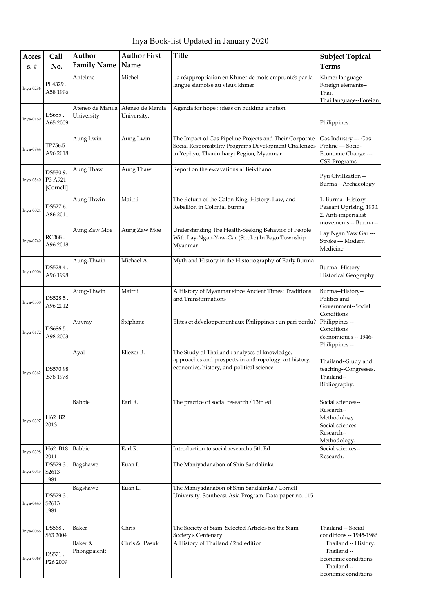Inya Book-list Updated in January 2020

| Acces<br>$s. \#$ | <b>Call</b><br>No.               | Author<br><b>Family Name</b>    | <b>Author First</b><br>Name     | <b>Title</b>                                                                                                                                                | <b>Subject Topical</b><br><b>Terms</b>                                                             |
|------------------|----------------------------------|---------------------------------|---------------------------------|-------------------------------------------------------------------------------------------------------------------------------------------------------------|----------------------------------------------------------------------------------------------------|
| Inya-0236        | PL4329.<br>A58 1996              | Antelme                         | Michel                          | La reappropriation en Khmer de mots empruntes par la<br>langue siamoise au vieux khmer                                                                      | Khmer language--<br>Foreign elements--<br>Thai.<br>Thai language--Foreign                          |
| Inya-0169        | DS655.<br>A65 2009               | Ateneo de Manila<br>University. | Ateneo de Manila<br>University. | Agenda for hope : ideas on building a nation                                                                                                                | Philippines.                                                                                       |
| Inya-0744        | TP756.5<br>A96 2018              | Aung Lwin                       | Aung Lwin                       | The Impact of Gas Pipeline Projects and Their Corporate<br>Social Responsibility Programs Development Challenges<br>in Yephyu, Thanintharyi Region, Myanmar | Gas Industry --- Gas<br>Pipline --- Socio-<br>Economic Change ---<br><b>CSR</b> Programs           |
| Inya-0540        | DS530.9.<br>P3 A921<br>[Cornell] | Aung Thaw                       | Aung Thaw                       | Report on the excavations at Beikthano                                                                                                                      | Pyu Civilization-<br>Burma-Archaeology                                                             |
| Inya-0024        | DS527.6.<br>A86 2011             | Aung Thwin                      | Maitrii                         | The Return of the Galon King: History, Law, and<br>Rebellion in Colonial Burma                                                                              | 1. Burma--History--<br>Peasant Uprising, 1930.<br>2. Anti-imperialist<br>movements -- Burma --     |
| Inya-0749        | RC388.<br>A96 2018               | Aung Zaw Moe                    | Aung Zaw Moe                    | Understanding The Health-Seeking Behavior of People<br>With Lay-Ngan-Yaw-Gar (Stroke) In Bago Township,<br>Myanmar                                          | Lay Ngan Yaw Gar ---<br>Stroke --- Modern<br>Medicine                                              |
| Inya-0006        | DS528.4.<br>A96 1998             | Aung-Thwin                      | Michael A.                      | Myth and History in the Historiography of Early Burma                                                                                                       | Burma--History--<br>Historical Geography                                                           |
| Inya-0538        | DS528.5 .<br>A96 2012            | Aung-Thwin                      | Maitrii                         | A History of Myanmar since Ancient Times: Traditions<br>and Transformations                                                                                 | Burma--History--<br>Politics and<br>Government--Social<br>Conditions                               |
| Inya-0172        | DS686.5.<br>A98 2003             | Auvray                          | Stephane                        | Elites et developpement aux Philippines : un pari perdu?                                                                                                    | Philippines --<br>Conditions<br>economiques -- 1946-<br>Philippines --                             |
| Inya-0362        | DS570.98<br>S78 1978.            | Ayal                            | Eliezer B.                      | The Study of Thailand : analyses of knowledge,<br>approaches and prospects in anthropology, art history,<br>economics, history, and political science       | Thailand--Study and<br>teaching--Congresses.<br>Thailand--<br>Bibliography.                        |
| Inya-0397        | H62.B2<br>2013                   | Babbie                          | Earl R.                         | The practice of social research / 13th ed                                                                                                                   | Social sciences--<br>Research--<br>Methodology.<br>Social sciences--<br>Research--<br>Methodology. |
| <b>Inya-0398</b> | H62.B18<br>2011                  | Babbie                          | Earl R.                         | Introduction to social research / 5th Ed.                                                                                                                   | Social sciences--<br>Research.                                                                     |
| Inya-0045        | DS529.3.<br>S2613<br>1981        | Bagshawe                        | Euan L.                         | The Maniyadanabon of Shin Sandalinka                                                                                                                        |                                                                                                    |
| Inya-0443        | DS529.3.<br>S2613<br>1981        | Bagshawe                        | Euan L.                         | The Maniyadanabon of Shin Sandalinka / Cornell<br>University. Southeast Asia Program. Data paper no. 115                                                    |                                                                                                    |
| Inya-0066        | DS568.<br>S63 2004               | Baker                           | Chris                           | The Society of Siam: Selected Articles for the Siam<br>Society's Centenary                                                                                  | Thailand -- Social<br>conditions -- 1945-1986                                                      |
| Inya-0068        | DS571.<br>P <sub>26</sub> 2009   | Baker &<br>Phongpaichit         | Chris & Pasuk                   | A History of Thailand / 2nd edition                                                                                                                         | Thailand -- History.<br>Thailand --<br>Economic conditions.<br>Thailand --<br>Economic conditions  |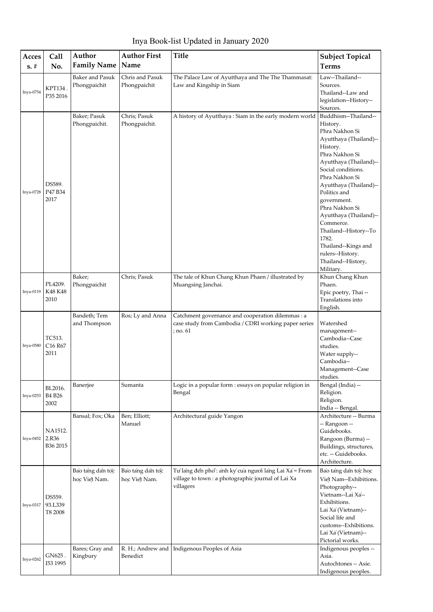| Inya Book-list Updated in January 2020 |  |  |  |
|----------------------------------------|--|--|--|
|----------------------------------------|--|--|--|

| Acces     | Call                                     | Author                                 | <b>Author First</b>               | <b>Title</b>                                                                                                            | <b>Subject Topical</b>                                                                                                                                                                                                                                                                                                                                                                                         |
|-----------|------------------------------------------|----------------------------------------|-----------------------------------|-------------------------------------------------------------------------------------------------------------------------|----------------------------------------------------------------------------------------------------------------------------------------------------------------------------------------------------------------------------------------------------------------------------------------------------------------------------------------------------------------------------------------------------------------|
| $s. \#$   | No.                                      | <b>Family Name</b>                     | Name                              |                                                                                                                         |                                                                                                                                                                                                                                                                                                                                                                                                                |
|           |                                          |                                        |                                   |                                                                                                                         | <b>Terms</b>                                                                                                                                                                                                                                                                                                                                                                                                   |
| Inya-0754 | KPT134.<br>P35 2016                      | <b>Baker and Pasuk</b><br>Phongpaichit | Chris and Pasuk<br>Phongpaichit   | The Palace Law of Ayutthaya and The The Thammasat:<br>Law and Kingship in Siam                                          | Law--Thailand--<br>Sources.<br>Thailand--Law and<br>legislation--History--<br>Sources.                                                                                                                                                                                                                                                                                                                         |
| Inya-0728 | DS589.<br>P47 B34<br>2017                | Baker; Pasuk<br>Phongpaichit.          | Chris; Pasuk<br>Phongpaichit.     | A history of Ayutthaya : Siam in the early modern world                                                                 | Buddhism--Thailand--<br>History.<br>Phra Nakhon Si<br>Ayutthaya (Thailand)--<br>History.<br>Phra Nakhon Si<br>Ayutthaya (Thailand)--<br>Social conditions.<br>Phra Nakhon Si<br>Ayutthaya (Thailand)--<br>Politics and<br>government.<br>Phra Nakhon Si<br>Ayutthaya (Thailand)--<br>Commerce.<br>Thailand--History--To<br>1782.<br>Thailand--Kings and<br>rulers--History.<br>Thailand--History,<br>Military. |
| Inya-0119 | PL4209.<br>K48 K48<br>2010               | Baker;<br>Phongpaichit                 | Chris; Pasuk                      | The tale of Khun Chang Khun Phaen / illustrated by<br>Muangsing Janchai.                                                | Khun Chang Khun<br>Phaen.<br>Epic poetry, Thai --<br>Translations into<br>English.                                                                                                                                                                                                                                                                                                                             |
| Inya-0580 | TC513.<br>C16 R67<br>2011                | Bandeth; Tem<br>and Thompson           | Ros; Ly and Anna                  | Catchment governance and cooperation dilemmas : a<br>case study from Cambodia / CDRI working paper series<br>; no. 61   | Watershed<br>management--<br>Cambodia--Case<br>studies.<br>Water supply--<br>Cambodia--<br>Management--Case<br>studies.                                                                                                                                                                                                                                                                                        |
| Inya-0253 | BL2016.<br><b>B4 B26</b><br>2002         | Banerjee                               | Sumanta                           | Logic in a popular form : essays on popular religion in<br>Bengal                                                       | Bengal (India) --<br>Religion.<br>Religion.<br>India -- Bengal.                                                                                                                                                                                                                                                                                                                                                |
| Inya-0452 | NA1512.<br>2.R36<br>B <sub>36</sub> 2015 | Bansal; Fox; Oka                       | Ben; Elliott;<br>Manuel           | Architectural guide Yangon                                                                                              | Architecture -- Burma<br>-- Rangoon --<br>Guidebooks.<br>Rangoon (Burma) --<br>Buildings, structures,<br>etc. -- Guidebooks.<br>Architecture.                                                                                                                                                                                                                                                                  |
| Inya-0317 | DS559.<br>93.L339<br>T8 2008             | Bao tang dan toc<br>hoc Viet Nam.      | Bao tang dan toc<br>hoc Viet Nam. | Tư lang đến phổ: anh ký của người lang Lai Xa = From<br>village to town : a photographic journal of Lai Xa<br>villagers | Bao tang dan toc hoc<br>Viet Nam--Exhibitions.<br>Photography--<br>Vietnam--Lai Xa--<br>Exhibitions.<br>Lai Xa' (Vietnam)--<br>Social life and<br>customs--Exhibitions.<br>Lai Xa' (Vietnam)--<br>Pictorial works.                                                                                                                                                                                             |
| Inya-0262 | GN625.<br>I53 1995                       | Bares; Gray and<br>Kingbury            | Benedict                          | R. H.; Andrew and   Indigenous Peoples of Asia                                                                          | Indigenous peoples --<br>Asia.<br>Autochtones -- Asie.<br>Indigenous peoples.                                                                                                                                                                                                                                                                                                                                  |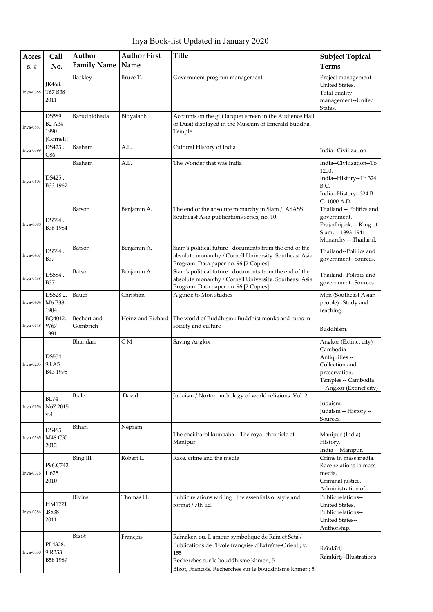Inya Book-list Updated in January 2020

| Acces<br>$s. \#$ | Call<br>No.                                  | Author<br><b>Family Name</b> | <b>Author First</b><br>Name | <b>Title</b>                                                                                                                                                                                                            | <b>Subject Topical</b><br><b>Terms</b>                                                                                                       |
|------------------|----------------------------------------------|------------------------------|-----------------------------|-------------------------------------------------------------------------------------------------------------------------------------------------------------------------------------------------------------------------|----------------------------------------------------------------------------------------------------------------------------------------------|
| Inya-0388        | JK468.<br>T67 B38<br>2011                    | Barkley                      | Bruce T.                    | Government program management                                                                                                                                                                                           | Project management--<br>United States.<br>Total quality<br>management--United<br>States.                                                     |
| Inya-0551        | DS589.<br><b>B2 A34</b><br>1990<br>[Cornell] | Barudhidhada                 | Bidyalabh                   | Accounts on the gilt lacquer screen in the Audience Hall<br>of Dusit displayed in the Museum of Emerald Buddha<br>Temple                                                                                                |                                                                                                                                              |
| Inya-0599        | DS423.<br>C86                                | Basham                       | A.L.                        | Cultural History of India                                                                                                                                                                                               | India--Civilization.                                                                                                                         |
| Inya-0603        | DS425.<br>B33 1967                           | Basham                       | A.L.                        | The Wonder that was India                                                                                                                                                                                               | India--Civilization--To<br>1200.<br>India--History--To 324<br>B.C.<br>India--History--324 B.<br>C.-1000 A.D.                                 |
| <b>Inya-0098</b> | DS584.<br>B36 1984                           | Batson                       | Benjamin A.                 | The end of the absolute monarchy in Siam / ASASS<br>Southeast Asia publications series, no. 10.                                                                                                                         | Thailand -- Politics and<br>government.<br>Prajadhipok, -- King of<br>Siam, -- 1893-1941.<br>Monarchy -- Thailand.                           |
| Inva-0437        | DS584.<br>B37                                | Batson                       | Benjamin A.                 | Siam's political future : documents from the end of the<br>absolute monarchy / Cornell University. Southeast Asia<br>Program. Data paper no. 96 [2 Copies]                                                              | Thailand--Politics and<br>government--Sources.                                                                                               |
| <b>Inya-0438</b> | DS584.<br><b>B37</b>                         | Batson                       | Benjamin A.                 | Siam's political future : documents from the end of the<br>absolute monarchy / Cornell University. Southeast Asia<br>Program. Data paper no. 96 [2 Copies]                                                              | Thailand--Politics and<br>government--Sources.                                                                                               |
| Inya-0404        | DS528.2.<br>M6 B38<br>1984                   | Bauer                        | Christian                   | A guide to Mon studies                                                                                                                                                                                                  | Mon (Southeast Asian<br>people)--Study and<br>teaching.                                                                                      |
| Inya-0148        | BQ4012.<br>W67<br>1991                       | Bechert and<br>Gombrich      | Heinz and Richard           | The world of Buddhism: Buddhist monks and nuns in<br>society and culture                                                                                                                                                | Buddhism.                                                                                                                                    |
| Inya-0205        | DS554.<br>98.A5<br>B43 1995                  | Bhandari                     | CМ                          | Saving Angkor                                                                                                                                                                                                           | Angkor (Extinct city)<br>Cambodia --<br>Antiquities --<br>Collection and<br>preservation.<br>Temples -- Cambodia<br>-- Angkor (Extinct city) |
| $Inya-0156$      | BL74.<br>N67 2015<br>v.4                     | Biale                        | David                       | Judaism / Norton anthology of world religions. Vol. 2                                                                                                                                                                   | Judaism.<br>Judaism -- History --<br>Sources.                                                                                                |
| Inya-0565        | DS485.<br>M48 C35<br>2012                    | Bihari                       | Nepram                      | The cheitharol kumbaba = The royal chronicle of<br>Manipur                                                                                                                                                              | Manipur (India) --<br>History.<br>India -- Manipur.                                                                                          |
| Inya-0376        | P96.C742<br>U625<br>2010                     | Bing III                     | Robert L.                   | Race, crime and the media                                                                                                                                                                                               | Crime in mass media.<br>Race relations in mass<br>media.<br>Criminal justice,<br>Administration of--                                         |
| Inya-0386        | HM1221<br>.B538<br>2011                      | <b>Bivins</b>                | Thomas H.                   | Public relations writing : the essentials of style and<br>format / 7th Ed.                                                                                                                                              | Public relations--<br>United States.<br>Public relations--<br>United States--<br>Authorship.                                                 |
| Inya-0350        | PL4328.<br>9.R353<br>B58 1989                | Bizot                        | Francois                    | Rāmaker, ou, L'amour symbolique de Rām et Seta /<br>Publications de l'Ecole française d'Extréme-Orient ; v.<br>155<br>Recherches sur le bouddhisme khmer; 5<br>Bizot, François. Recherches sur le bouddhisme khmer ; 5. | Ramkirti.<br>Ramkirți--Illustrations.                                                                                                        |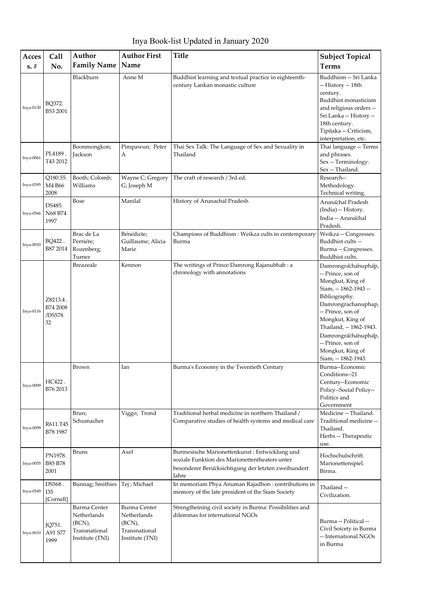Inya Book-list Updated in January 2020

| Acces       | Call                                  | Author                                                                           | <b>Author First</b>                                                              | <b>Title</b>                                                                                                                                                    | <b>Subject Topical</b>                                                                                                                                                                                                                                                                   |
|-------------|---------------------------------------|----------------------------------------------------------------------------------|----------------------------------------------------------------------------------|-----------------------------------------------------------------------------------------------------------------------------------------------------------------|------------------------------------------------------------------------------------------------------------------------------------------------------------------------------------------------------------------------------------------------------------------------------------------|
| $s. \#$     | No.                                   | <b>Family Name</b>                                                               | Name                                                                             |                                                                                                                                                                 | <b>Terms</b>                                                                                                                                                                                                                                                                             |
| Inya-0130   | BQ372.<br>B53 2001                    | Blackburn                                                                        | Anne M                                                                           | Buddhist learning and textual practice in eighteenth-<br>century Lankan monastic culture                                                                        | Buddhism -- Sri Lanka<br>-- History -- 18th<br>century.<br>Buddhist monasticism<br>and religious orders --<br>Sri Lanka -- History --<br>18th century.<br>Tipițaka -- Criticism,                                                                                                         |
| Inya-0061   | PL4189.<br>T43 2012                   | Boonmongkon;<br>Jackson                                                          | Pimpawun; Peter<br>Α                                                             | Thai Sex Talk: The Language of Sex and Sexuality in<br>Thailand                                                                                                 | interpretation, etc.<br>Thai language -- Terms<br>and phrases.<br>Sex -- Terminology.<br>Sex -- Thailand.                                                                                                                                                                                |
| Inya-0395   | Q180.55.<br>M4 B66<br>2008            | Booth; Colomb;<br>Williams                                                       | Wayne C; Gregory<br>G; Joseph M                                                  | The craft of research / 3rd ed.                                                                                                                                 | Research--<br>Methodology.<br>Technical writing.                                                                                                                                                                                                                                         |
| Inya-0566   | DS485.<br>N68 B74<br>1997             | Bose                                                                             | Manilal                                                                          | History of Arunachal Pradesh                                                                                                                                    | Arunachal Pradesh<br>(India) -- History.<br>India -- Arunachal<br>Pradesh.                                                                                                                                                                                                               |
| Inya-0010   | BQ422.<br>B87 2014                    | Brac de La<br>Perrière;<br>Rozenberg;<br>Turner                                  | Benedicte:<br>Guillaume; Alicia<br>Marie                                         | Champions of Buddhism : Weikza cults in contemporary<br>Burma                                                                                                   | Weikza -- Congresses.<br>Buddhist cults --<br>Burma -- Congresses.<br>Buddhist cults.                                                                                                                                                                                                    |
| $Inya-0116$ | Z8213.4.<br>B74 2008<br>/DS578.<br>32 | Breazeale                                                                        | Kennon                                                                           | The writings of Prince Damrong Rajanubhab : a<br>chronology with annotations                                                                                    | Damrongrachanuphap,<br>-- Prince, son of<br>Mongkut, King of<br>Siam, -- 1862-1943 --<br>Bibliography.<br>Damrongrachanuphap,<br>-- Prince, son of<br>Mongkut, King of<br>Thailand, -- 1862-1943.<br>Damrongrachanuphap,<br>-- Prince, son of<br>Mongkut, King of<br>Siam, -- 1862-1943. |
| $Inva-0009$ | HC422.<br>B76 2013                    | Brown                                                                            | Ian                                                                              | Burma's Economy in the Twentieth Century                                                                                                                        | Burma--Economic<br>Conditions--21<br>Century--Economic<br>Policy--Social Policy--<br>Politics and<br>Government                                                                                                                                                                          |
| Inya-0099   | R611.T45<br>B78 1987                  | Brun;<br>Schumacher                                                              | Viggo; Trond                                                                     | Traditional herbal medicine in northern Thailand /<br>Comparative studies of health systems and medical care                                                    | Medicine -- Thailand.<br>Traditional medicine --<br>Thailand.<br>Herbs -- Therapeutic<br>use.                                                                                                                                                                                            |
| Inya-0055   | PN1978.<br>B85 B78<br>2001            | <b>Bruns</b>                                                                     | Axel                                                                             | Burmesische Marionettenkunst: Entwicklung und<br>soziale Funktion des Marionettentheaters unter<br>besonderer Berucksichtigung der letzten zweihundert<br>Jahre | Hochschulschrift.<br>Marionettenspiel.<br>Birma.                                                                                                                                                                                                                                         |
| Inya-0549   | DS568.<br>I35<br>[Cornell]            | Bunnag; Smithies                                                                 | Tej ; Michael                                                                    | In memoriam Phya Anuman Rajadhon : contributions in<br>memory of the late president of the Siam Society                                                         | Thailand --<br>Civilization.                                                                                                                                                                                                                                                             |
| Inya-0610   | JQ751.<br>A91 S77<br>1999             | <b>Burma Center</b><br>Netherlands<br>(BCN),<br>Transnational<br>Institute (TNI) | <b>Burma Center</b><br>Netherlands<br>(BCN),<br>Transnational<br>Institute (TNI) | Strengtheining civil society in Burma: Possibilities and<br>dilemmas for international NGOs                                                                     | Burma -- Political --<br>Civil Soicety in Burma<br>-- International NGOs<br>in Burma                                                                                                                                                                                                     |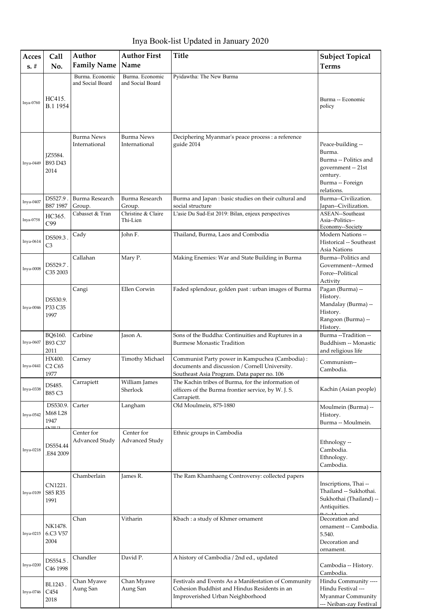| Acces<br>$s. \#$ | Call<br>No.                                            | Author<br><b>Family Name</b>        | <b>Author First</b><br>Name              | <b>Title</b>                                                                                                                                    | <b>Subject Topical</b><br><b>Terms</b>                                                                     |
|------------------|--------------------------------------------------------|-------------------------------------|------------------------------------------|-------------------------------------------------------------------------------------------------------------------------------------------------|------------------------------------------------------------------------------------------------------------|
|                  |                                                        | Burma. Economic<br>and Social Board | Burma. Economic<br>and Social Board      | Pyidawtha: The New Burma                                                                                                                        |                                                                                                            |
| Inya-0760        | HC415.<br>B.1 1954                                     |                                     |                                          |                                                                                                                                                 | Burma -- Economic<br>policy                                                                                |
| Inya-0449        | JZ5584.<br>B93 D43<br>2014                             | <b>Burma News</b><br>International  | <b>Burma News</b><br>International       | Deciphering Myanmar's peace process : a reference<br>guide 2014                                                                                 | Peace-building --<br>Burma.<br>Burma -- Politics and<br>government -- 21st<br>century.<br>Burma -- Foreign |
| Inya-0407        | DS527.9                                                | Burma Research                      | Burma Research                           | Burma and Japan : basic studies on their cultural and                                                                                           | relations.<br>Burma--Civilization.                                                                         |
| Inya-0758        | B87 1987<br>HC365.<br>C99                              | Group.<br>Cabasset & Tran           | Group.<br>Christine & Claire<br>Thi-Lien | social structure<br>L'asie Du Sud-Est 2019: Bilan, enjeux perspectives                                                                          | Japan--Civilization.<br>ASEAN--Southeast<br>Asia--Politics--<br>Economy--Society                           |
| Inya-0614        | DS509.3<br>C3                                          | Cady                                | John F.                                  | Thailand, Burma, Laos and Combodia                                                                                                              | <b>Modern Nations --</b><br>Historical -- Southeast<br>Asia Nations                                        |
| Inya-0008        | DS529.7.<br>C35 2003                                   | Callahan                            | Mary P.                                  | Making Enemies: War and State Building in Burma                                                                                                 | Burma--Politics and<br>Government--Armed<br>Force--Political<br>Activity                                   |
| Inya-0046        | DS530.9.<br>P33 C35<br>1997                            | Cangi                               | Ellen Corwin                             | Faded splendour, golden past : urban images of Burma                                                                                            | Pagan (Burma) --<br>History.<br>Mandalay (Burma) --<br>History.<br>Rangoon (Burma) --<br>History.          |
| Inya-0607        | BQ6160.<br>B93 C37<br>2011                             | Carbine                             | Jason A.                                 | Sons of the Buddha: Continuities and Ruptures in a<br><b>Burmese Monastic Tradition</b>                                                         | Burma --Tradition --<br>Buddhism -- Monastic<br>and religious life                                         |
| Inya-0441        | HX400.<br>C <sub>2</sub> C <sub>65</sub><br>1977       | Carney                              | <b>Timothy Michael</b>                   | Communist Party power in Kampuchea (Cambodia) :<br>documents and discussion / Cornell University.<br>Southeast Asia Program. Data paper no. 106 | Communism--<br>Cambodia.                                                                                   |
| Inya-0338        | DS485.<br>B85 C3                                       | Carrapiett                          | William James<br>Sherlock                | The Kachin tribes of Burma, for the information of<br>officers of the Burma frontier service, by W. J. S.<br>Carrapiett.                        | Kachin (Asian people)                                                                                      |
| Inya-0542        | DS530.9.<br>M68 L28<br>1947<br>$\overline{\text{num}}$ | Carter                              | Langham                                  | Old Moulmein, 875-1880                                                                                                                          | Moulmein (Burma) --<br>History.<br>Burma -- Moulmein.                                                      |
| Inya-0218        | DS554.44<br>.E84 2009                                  | Center for<br>Advanced Study        | Center for<br>Advanced Study             | Ethnic groups in Cambodia                                                                                                                       | Ethnology --<br>Cambodia.<br>Ethnology.<br>Cambodia.                                                       |
| Inya-0109        | CN1221.<br>S85 R35<br>1991                             | Chamberlain                         | James R.                                 | The Ram Khamhaeng Controversy: collected papers                                                                                                 | Inscriptions, Thai --<br>Thailand -- Sukhothai.<br>Sukhothai (Thailand) --<br>Antiquities.                 |
| Inya-0215        | NK1478.<br>6.C3 V57<br>2004                            | Chan                                | Vitharin                                 | Kbach: a study of Khmer ornament                                                                                                                | Decoration and<br>ornament -- Cambodia.<br>5.540.<br>Decoration and<br>ornament.                           |
| Inya-0200        | DS554.5<br>C <sub>46</sub> 1998                        | Chandler                            | David P.                                 | A history of Cambodia / 2nd ed., updated                                                                                                        | Cambodia -- History.<br>Cambodia.                                                                          |
| Inya-0746        | BL1243.<br>C <sub>454</sub><br>2018                    | Chan Myawe<br>Aung San              | Chan Myawe<br>Aung San                   | Festivals and Events As a Manifestation of Community<br>Cohesion Buddhist and Hindus Residents in an<br>Improverished Urban Neighborhood        | Hindu Community ----<br>Hindu Festival ---<br>Myanmar Community<br>--- Neiban-zay Festival                 |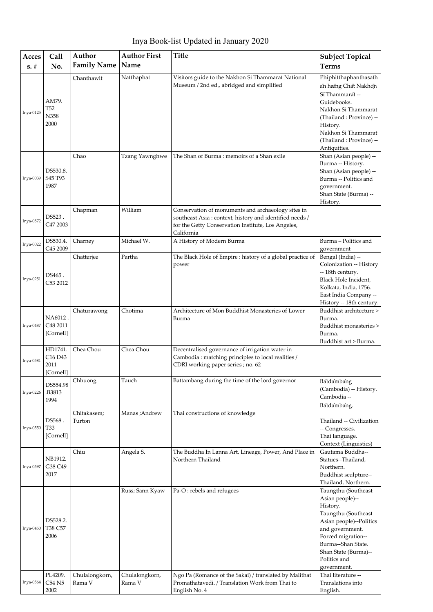| Acces<br>$s. \#$ | Call<br>No.                                                     | Author<br><b>Family Name</b> | <b>Author First</b><br>Name | <b>Title</b>                                                                                                                                                                      | <b>Subject Topical</b><br><b>Terms</b>                                                                                                                                                                                                           |
|------------------|-----------------------------------------------------------------|------------------------------|-----------------------------|-----------------------------------------------------------------------------------------------------------------------------------------------------------------------------------|--------------------------------------------------------------------------------------------------------------------------------------------------------------------------------------------------------------------------------------------------|
| $Inya-0125$      | AM79.<br>T <sub>52</sub><br>N358<br>2000                        | Chanthawit                   | Natthaphat                  | Visitors guide to the Nakhon Si Thammarat National<br>Museum / 2nd ed., abridged and simplified                                                                                   | Phiphitthaphanthasath<br>an hæng Chat Nakhon<br>Sī Thammarat --<br>Guidebooks.<br>Nakhon Si Thammarat<br>(Thailand: Province) --<br>History.<br>Nakhon Si Thammarat<br>(Thailand: Province) --<br>Antiquities.                                   |
| Inya-0039        | DS530.8.<br>S45 T93<br>1987                                     | Chao                         | Tzang Yawnghwe              | The Shan of Burma: memoirs of a Shan exile                                                                                                                                        | Shan (Asian people) --<br>Burma -- History.<br>Shan (Asian people) --<br>Burma -- Politics and<br>government.<br>Shan State (Burma) --<br>History.                                                                                               |
| Inya-0572        | DS523.<br>C47 2003                                              | Chapman                      | William                     | Conservation of monuments and archaeology sites in<br>southeast Asia: context, history and identified needs /<br>for the Getty Conservation Institute, Los Angeles,<br>California |                                                                                                                                                                                                                                                  |
| $Inya-0022$      | DS530.4.<br>C45 2009                                            | Charney                      | Michael W.                  | A History of Modern Burma                                                                                                                                                         | Burma - Politics and<br>government                                                                                                                                                                                                               |
| $Inya-0251$      | DS465.<br>C53 2012                                              | Chatterjee                   | Partha                      | The Black Hole of Empire : history of a global practice of<br>power                                                                                                               | Bengal (India) --<br>Colonization -- History<br>-- 18th century.<br>Black Hole Incident,<br>Kolkata, India, 1756.<br>East India Company --<br>History -- 18th century.                                                                           |
| Inya-0487        | NA6012.<br>C48 2011<br>[Cornell]                                | Chaturawong                  | Chotima                     | Architecture of Mon Buddhist Monasteries of Lower<br>Burma                                                                                                                        | Buddhist architecture ><br>Burma.<br>Buddhist monasteries ><br>Burma.<br>Buddhist art > Burma.                                                                                                                                                   |
| Inya-0581        | HD1741.<br>C <sub>16</sub> D <sub>43</sub><br>2011<br>[Cornell] | Chea Chou                    | Chea Chou                   | Decentralised governance of irrigation water in<br>Cambodia: matching principles to local realities /<br>CDRI working paper series ; no. 62                                       |                                                                                                                                                                                                                                                  |
| Inya-0226        | DS554.98<br>.B3813<br>1994                                      | Chhuong                      | Tauch                       | Battambang during the time of the lord governor                                                                                                                                   | Batdambang<br>(Cambodia) -- History.<br>Cambodia --<br>Batdambang.                                                                                                                                                                               |
| Inya-0550        | DS568.<br>T33<br>[Cornell]                                      | Chitakasem;<br>Turton        | Manas ;Andrew               | Thai constructions of knowledge                                                                                                                                                   | Thailand -- Civilization<br>-- Congresses.<br>Thai language.<br>Context (Linguistics)                                                                                                                                                            |
| Inya-0597        | NB1912.<br>G38 C49<br>2017                                      | Chiu                         | Angela S.                   | The Buddha In Lanna Art, Lineage, Power, And Place in<br>Northern Thailand                                                                                                        | Gautama Buddha--<br>Statues--Thailand,<br>Northern.<br>Buddhist sculpture--<br>Thailand, Northern.                                                                                                                                               |
| Inya-0450        | DS528.2.<br>T38 C57<br>2006<br>PL4209.                          |                              | Russ; Sann Kyaw             | Pa-O: rebels and refugees<br>Ngo Pa (Romance of the Sakai) / translated by Malithat                                                                                               | Taungthu (Southeast<br>Asian people)--<br>History.<br>Taungthu (Southeast<br>Asian people)--Politics<br>and government.<br>Forced migration--<br>Burma--Shan State.<br>Shan State (Burma)--<br>Politics and<br>government.<br>Thai literature -- |
| Inya-0564        | C54 N5<br>2002                                                  | Chulalongkorn,<br>Rama V     | Chulalongkorn,<br>Rama V    | Promathatavedi. / Translation Work from Thai to<br>English No. 4                                                                                                                  | Translations into<br>English.                                                                                                                                                                                                                    |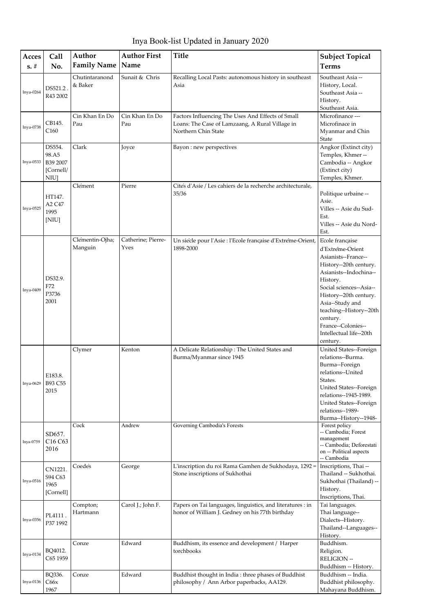Inya Book-list Updated in January 2020

| Acces     | Call                                             | Author                     | <b>Author First</b>        | <b>Title</b>                                                                                                                | <b>Subject Topical</b>                                                                                                                                                                                                                                                                                 |
|-----------|--------------------------------------------------|----------------------------|----------------------------|-----------------------------------------------------------------------------------------------------------------------------|--------------------------------------------------------------------------------------------------------------------------------------------------------------------------------------------------------------------------------------------------------------------------------------------------------|
| $s. \#$   | No.                                              | <b>Family Name</b>         | Name                       |                                                                                                                             | <b>Terms</b>                                                                                                                                                                                                                                                                                           |
| Inya-0264 | DS521.2.<br>R43 2002                             | Chutintaranond<br>& Baker  | Sunait & Chris             | Recalling Local Pasts: autonomous history in southeast<br>Asia                                                              | Southeast Asia --<br>History, Local.<br>Southeast Asia --<br>History.<br>Southeast Asia.                                                                                                                                                                                                               |
| Inya-0738 | CB145.<br>C160                                   | Cin Khan En Do<br>Pau      | Cin Khan En Do<br>Pau      | Factors Influencing The Uses And Effects of Small<br>Loans: The Case of Lamzaang, A Rural Village in<br>Northern Chin State | Microfinance ---<br>Microfinace in<br>Myanmar and Chin<br>State                                                                                                                                                                                                                                        |
| Inya-0533 | DS554.<br>98.A5<br>B39 2007<br>[Cornell/<br>NIU] | Clark                      | Joyce                      | Bayon : new perspectives                                                                                                    | Angkor (Extinct city)<br>Temples, Khmer-<br>Cambodia -- Angkor<br>(Extinct city)<br>Temples, Khmer.                                                                                                                                                                                                    |
| Inya-0525 | HT147.<br>A2 C47<br>1995<br>[NIU]                | Clement                    | Pierre                     | Cités d'Asie / Les cahiers de la recherche architecturale,<br>35/36                                                         | Politique urbaine --<br>Asie.<br>Villes -- Asie du Sud-<br>Est.<br>Villes -- Asie du Nord-<br>Est.                                                                                                                                                                                                     |
| Inya-0409 | DS32.9.<br>F72<br>P3736<br>2001                  | Clementin-Ojha;<br>Manguin | Catherine; Pierre-<br>Yves | Un siècle pour l'Asie : l'Ecole française d'Extréme-Orient,<br>1898-2000                                                    | Ecole française<br>d'Extreme-Orient<br>Asianists--France--<br>History--20th century.<br>Asianists--Indochina--<br>History.<br>Social sciences--Asia--<br>History--20th century.<br>Asia--Study and<br>teaching--History--20th<br>century.<br>France--Colonies--<br>Intellectual life--20th<br>century. |
| Inya-0629 | E183.8.<br>B93 C55<br>2015                       | Clymer                     | Kenton                     | A Delicate Relationship: The United States and<br>Burma/Myanmar since 1945                                                  | United States--Foreign<br>relations--Burma.<br>Burma--Foreign<br>relations--United<br>States.<br>United States--Foreign<br>relations--1945-1989.<br>United States--Foreign<br>relations--1989-<br>Burma--History--1948-                                                                                |
| Inya-0759 | SD657.<br>C16 C63<br>2016                        | Cock                       | Andrew                     | Governing Cambodia's Forests                                                                                                | Forest policy<br>-- Cambodia; Forest<br>management<br>-- Cambodia; Deforestati<br>on -- Political aspects<br>-- Cambodia                                                                                                                                                                               |
| Inya-0516 | CN1221.<br>S94 C63<br>1965<br>[Cornell]          | Coedes                     | George                     | L'inscription du roi Rama Gamhen de Sukhodaya, 1292 =<br>Stone inscriptions of Sukhothai                                    | Inscriptions, Thai --<br>Thailand -- Sukhothai.<br>Sukhothai (Thailand) --<br>History.<br>Inscriptions, Thai.                                                                                                                                                                                          |
| Inya-0356 | PL4111.<br>P37 1992                              | Compton;<br>Hartmann       | Carol J.; John F.          | Papers on Tai languages, linguistics, and literatures : in<br>honor of William J. Gedney on his 77th birthday               | Tai languages.<br>Thai language--<br>Dialects--History.<br>Thailand--Languages--<br>History.                                                                                                                                                                                                           |
| Inya-0134 | BQ4012.<br>C65 1959                              | Conze                      | Edward                     | Buddhism, its essence and development / Harper<br>torchbooks                                                                | Buddhism.<br>Religion.<br>RELIGION --<br>Buddhism -- History.                                                                                                                                                                                                                                          |
| Inya-0136 | BQ336.<br>C66x<br>1967                           | Conze                      | Edward                     | Buddhist thought in India: three phases of Buddhist<br>philosophy / Ann Arbor paperbacks, AA129.                            | Buddhism -- India.<br>Buddhist philosophy.<br>Mahayana Buddhism.                                                                                                                                                                                                                                       |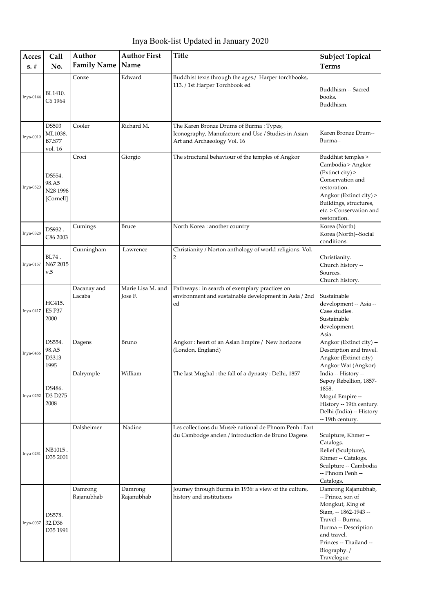Inya Book-list Updated in January 2020

| Acces       | Call                                                | Author                | <b>Author First</b>          | <b>Title</b>                                                                                                                  | <b>Subject Topical</b>                                                                                                                                                                                  |
|-------------|-----------------------------------------------------|-----------------------|------------------------------|-------------------------------------------------------------------------------------------------------------------------------|---------------------------------------------------------------------------------------------------------------------------------------------------------------------------------------------------------|
| $s. \#$     | No.                                                 | <b>Family Name</b>    | Name                         |                                                                                                                               | <b>Terms</b>                                                                                                                                                                                            |
| Inya-0144   | BL1410.<br>C6 1964                                  | Conze                 | Edward                       | Buddhist texts through the ages./ Harper torchbooks,<br>113. / 1st Harper Torchbook ed                                        | Buddhism -- Sacred<br>books.<br>Buddhism.                                                                                                                                                               |
| $Inya-0019$ | <b>DS503</b><br>ML1038.<br><b>B7.S77</b><br>vol. 16 | Cooler                | Richard M.                   | The Karen Bronze Drums of Burma: Types,<br>Iconography, Manufacture and Use / Studies in Asian<br>Art and Archaeology Vol. 16 | Karen Bronze Drum--<br>Burma--                                                                                                                                                                          |
| Inya-0520   | DS554.<br>98.A5<br>N28 1998<br>[Cornell]            | Croci                 | Giorgio                      | The structural behaviour of the temples of Angkor                                                                             | Buddhist temples ><br>Cambodia > Angkor<br>(Extinct city) ><br>Conservation and<br>restoration.<br>Angkor (Extinct city) ><br>Buildings, structures,<br>etc. > Conservation and<br>restoration.         |
| Inya-0328   | DS932.<br>C86 2003                                  | Cumings               | <b>Bruce</b>                 | North Korea : another country                                                                                                 | Korea (North)<br>Korea (North)--Social<br>conditions.                                                                                                                                                   |
| Inya-0157   | BL74.<br>N67 2015<br>v.5                            | Cunningham            | Lawrence                     | Christianity / Norton anthology of world religions. Vol.<br>2                                                                 | Christianity.<br>Church history --<br>Sources.<br>Church history.                                                                                                                                       |
| Inya-0417   | HC415.<br>E5 P37<br>2000                            | Dacanay and<br>Lacaba | Marie Lisa M. and<br>Jose F. | Pathways: in search of exemplary practices on<br>environment and sustainable development in Asia / 2nd<br>ed                  | Sustainable<br>development -- Asia --<br>Case studies.<br>Sustainable<br>development.<br>Asia.                                                                                                          |
| Inya-0456   | DS554.<br>98.A5<br>D3313<br>1995                    | Dagens                | Bruno                        | Angkor: heart of an Asian Empire / New horizons<br>(London, England)                                                          | Angkor (Extinct city) --<br>Description and travel.<br>Angkor (Extinct city)<br>Angkor Wat (Angkor)                                                                                                     |
| Inya-0252   | DS486.<br>D3 D275<br>2008                           | Dalrymple             | William                      | The last Mughal : the fall of a dynasty : Delhi, 1857                                                                         | India -- History --<br>Sepoy Rebellion, 1857-<br>1858.<br>Mogul Empire --<br>History -- 19th century.<br>Delhi (India) -- History<br>-- 19th century.                                                   |
| Inya-0231   | NB1015.<br>D35 2001                                 | Dalsheimer            | Nadine                       | Les collections du Musée national de Phnom Penh : l'art<br>du Cambodge ancien / introduction de Bruno Dagens                  | Sculpture, Khmer --<br>Catalogs.<br>Relief (Sculpture),<br>Khmer -- Catalogs.<br>Sculpture -- Cambodia<br>-- Phnom Penh --<br>Catalogs.                                                                 |
| Inya-0037   | DS578.<br>32.D36<br>D35 1991                        | Damrong<br>Rajanubhab | Damrong<br>Rajanubhab        | Journey through Burma in 1936: a view of the culture,<br>history and institutions                                             | Damrong Rajanubhab,<br>-- Prince, son of<br>Mongkut, King of<br>Siam, -- 1862-1943 --<br>Travel -- Burma.<br>Burma -- Description<br>and travel.<br>Princes -- Thailand --<br>Biography./<br>Travelogue |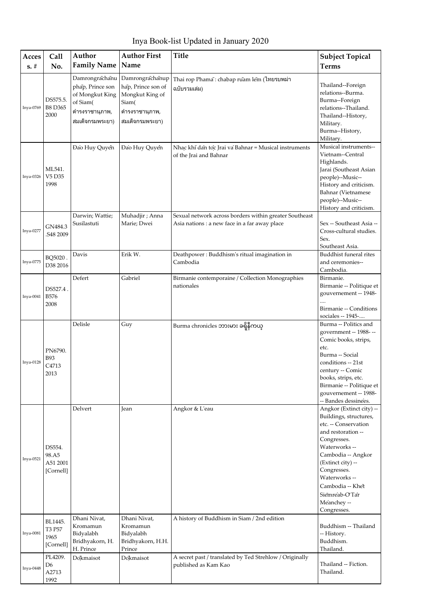| Acces       | Call                                     | Author                                                                                                 | <b>Author First</b>                                                                                    | <b>Title</b>                                                                                            | <b>Subject Topical</b>                                                                                                                                                                                                                                                       |
|-------------|------------------------------------------|--------------------------------------------------------------------------------------------------------|--------------------------------------------------------------------------------------------------------|---------------------------------------------------------------------------------------------------------|------------------------------------------------------------------------------------------------------------------------------------------------------------------------------------------------------------------------------------------------------------------------------|
| $s. \#$     | No.                                      | <b>Family Name</b>                                                                                     | Name                                                                                                   |                                                                                                         | <b>Terms</b>                                                                                                                                                                                                                                                                 |
| Inya-0769   | DS575.5.<br><b>B8 D365</b><br>2000       | Damrongrachanu<br>phap, Prince son<br>of Mongkut King<br>of Siam(<br>ดำรงราชานุภาพ,<br>สมเด็จกรมพระยา) | Damrongrachanup<br>hap, Prince son of<br>Mongkut King of<br>Siam(<br>ดำรงราชานุภาพ,<br>สมเด็จกรมพระยา) | Thai rop Phama: chabap ruam lem (ไทยรบพม่า<br>ฉบับรวมเล่ม)                                              | Thailand--Foreign<br>relations--Burma.<br>Burma--Foreign<br>relations--Thailand.<br>Thailand--History,<br>Military.<br>Burma--History,<br>Military.                                                                                                                          |
| Inya-0326   | ML541.<br>V5 D35<br>1998                 | Đào Huy Quyền                                                                                          | Đào Huy Quyền                                                                                          | Nhạc khí dan toc Jrai va Bahnar = Musical instruments<br>of the Jrai and Bahnar                         | Musical instruments--<br>Vietnam--Central<br>Highlands.<br>Jarai (Southeast Asian<br>people)--Music--<br>History and criticism.<br>Bahnar (Vietnamese<br>people)--Music--<br>History and criticism.                                                                          |
| Inya-0277   | GN484.3<br>S48 2009                      | Darwin; Wattie;<br>Susilastuti                                                                         | Muhadjir ; Anna<br>Marie; Dwei                                                                         | Sexual network across borders within greater Southeast<br>Asia nations : a new face in a far away place | Sex -- Southeast Asia --<br>Cross-cultural studies.<br>Sex.<br>Southeast Asia.                                                                                                                                                                                               |
| Inya-0775   | BQ5020.<br>D38 2016                      | Davis                                                                                                  | Erik W.                                                                                                | Deathpower: Buddhism's ritual imagination in<br>Cambodia                                                | Buddhist funeral rites<br>and ceremonies--<br>Cambodia.                                                                                                                                                                                                                      |
| $Inya-0041$ | DS527.4.<br><b>B576</b><br>2008          | Defert                                                                                                 | Gabriel                                                                                                | Birmanie contemporaine / Collection Monographies<br>nationales                                          | Birmanie.<br>Birmanie -- Politique et<br>gouvernement -- 1948-<br>Birmanie -- Conditions<br>sociales -- 1945-                                                                                                                                                                |
| Inya-0128   | PN6790.<br><b>B93</b><br>C4713<br>2013   | Delisle                                                                                                | Guy                                                                                                    | Burma chronicles ဘားမား ခရိုနီကယ္                                                                       | Burma -- Politics and<br>government -- 1988- --<br>Comic books, strips,<br>etc.<br>Burma -- Social<br>conditions -- 21st<br>century -- Comic<br>books, strips, etc.<br>Birmanie -- Politique et<br>gouvernement -- 1988-<br>-- Bandes dessinées.                             |
| $Inya-0521$ | DS554.<br>98.A5<br>A51 2001<br>[Cornell] | Delvert                                                                                                | Jean                                                                                                   | Angkor & L'eau                                                                                          | Angkor (Extinct city) --<br>Buildings, structures,<br>etc. -- Conservation<br>and restoration --<br>Congresses.<br>Waterworks --<br>Cambodia -- Angkor<br>(Extinct city) --<br>Congresses.<br>Waterworks-<br>Cambodia -- Khet<br>Siemreab-OTar<br>Meanchey --<br>Congresses. |
| Inya-0081   | BL1445.<br>T3 P57<br>1965<br>[Cornell]   | Dhani Nivat,<br>Kromamun<br>Bidyalabh<br>Bridhyakorn, H.<br>H. Prince                                  | Dhani Nivat,<br>Kromamun<br>Bidyalabh<br>Bridhyakorn, H.H.<br>Prince                                   | A history of Buddhism in Siam / 2nd edition                                                             | Buddhism -- Thailand<br>-- History.<br>Buddhism.<br>Thailand.                                                                                                                                                                                                                |
| Inya-0448   | PL4209.<br>D6<br>A2713<br>1992           | Dokmaisot                                                                                              | Dokmaisot                                                                                              | A secret past / translated by Ted Strehlow / Originally<br>published as Kam Kao                         | Thailand -- Fiction.<br>Thailand.                                                                                                                                                                                                                                            |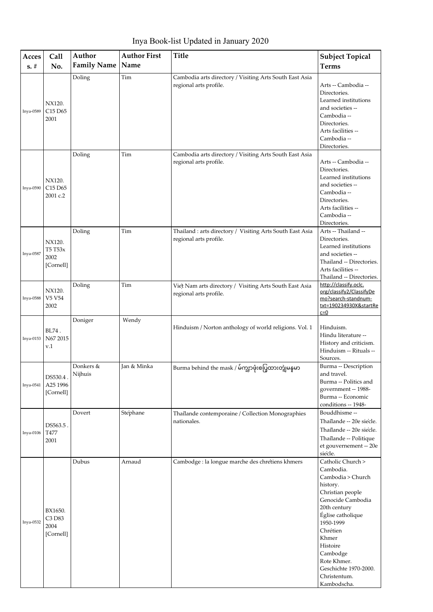Inya Book-list Updated in January 2020

| Acces     | Call                                              | Author               | <b>Author First</b> | <b>Title</b>                                                                        | <b>Subject Topical</b>                                                                                                                                                                                                                                                         |
|-----------|---------------------------------------------------|----------------------|---------------------|-------------------------------------------------------------------------------------|--------------------------------------------------------------------------------------------------------------------------------------------------------------------------------------------------------------------------------------------------------------------------------|
| $s. \#$   | No.                                               | <b>Family Name</b>   | Name                |                                                                                     | <b>Terms</b>                                                                                                                                                                                                                                                                   |
| Inya-0589 | NX120.<br>C <sub>15</sub> D <sub>65</sub><br>2001 | Doling               | Tim                 | Cambodia arts directory / Visiting Arts South East Asia<br>regional arts profile.   | Arts -- Cambodia --<br>Directories.<br>Learned institutions<br>and societies --<br>Cambodia --<br>Directories.<br>Arts facilities --<br>Cambodia --<br>Directories.                                                                                                            |
| Inya-0590 | NX120.<br>C15 D65<br>2001 c.2                     | Doling               | Tim                 | Cambodia arts directory / Visiting Arts South East Asia<br>regional arts profile.   | Arts -- Cambodia --<br>Directories.<br>Learned institutions<br>and societies --<br>Cambodia --<br>Directories.<br>Arts facilities --<br>Cambodia --<br>Directories.                                                                                                            |
| Inya-0587 | NX120.<br>T5 T53x<br>2002<br>[Cornell]            | Doling               | Tim                 | Thailand : arts directory / Visiting Arts South East Asia<br>regional arts profile. | Arts -- Thailand --<br>Directories.<br>Learned institutions<br>and societies --<br>Thailand -- Directories.<br>Arts facilities --<br>Thailand -- Directories.                                                                                                                  |
| Inya-0588 | NX120.<br>V5 V54<br>2002                          | Doling               | Tim                 | Viet Nam arts directory / Visiting Arts South East Asia<br>regional arts profile.   | http://classify.oclc.<br>org/classify2/ClassifyDe<br>mo?search-standnum-<br>txt=190234930X&startRe<br>$c=0$                                                                                                                                                                    |
| Inya-0153 | BL74.<br>N67 2015<br>v.1                          | Doniger              | Wendy               | Hinduism / Norton anthology of world religions. Vol. 1                              | Hinduism.<br>Hindu literature --<br>History and criticism.<br>Hinduism -- Rituals --<br>Sources.                                                                                                                                                                               |
| Inya-0541 | DS530.4.<br>A25 1996<br>[Cornell]                 | Donkers &<br>Nijhuis | Jan & Minka         | Burma behind the mask / မ်က္ဥာဖုံးစပြုထားတဲ့ျမန္ <b>မာ</b>                          | Burma -- Description<br>and travel.<br>Burma -- Politics and<br>government -- 1988-<br>Burma -- Economic<br>conditions -- 1948-                                                                                                                                                |
| Inya-0106 | DS563.5.<br>T477<br>2001                          | Dovert               | Stephane            | Thailande contemporaine / Collection Monographies<br>nationales.                    | Bouddhisme --<br>Thailande -- 20e siecle.<br>Thailande -- 20e siecle.<br>Thailande -- Politique<br>et gouvernement -- 20e<br>siecle.                                                                                                                                           |
| Inya-0532 | BX1650.<br>C3 D83<br>2004<br>[Cornell]            | Dubus                | Arnaud              | Cambodge : la longue marche des chrétiens khmers                                    | Catholic Church ><br>Cambodia.<br>Cambodia > Church<br>history.<br>Christian people<br>Genocide Cambodia<br>20th century<br>Église catholique<br>1950-1999<br>Chrétien<br>Khmer<br>Histoire<br>Cambodge<br>Rote Khmer.<br>Geschichte 1970-2000.<br>Christentum.<br>Kambodscha. |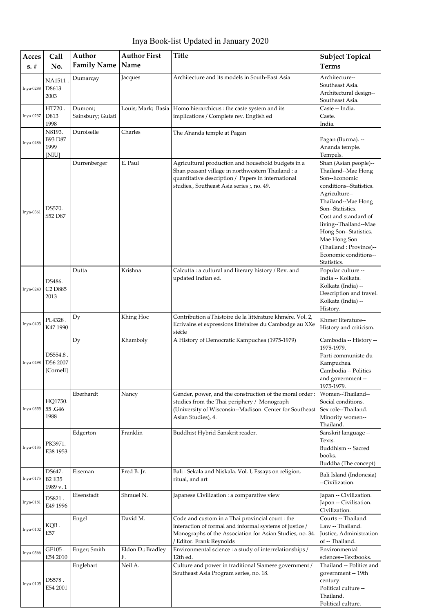Inya Book-list Updated in January 2020

| Acces     | Call                                              | Author                       | <b>Author First</b>     | <b>Title</b>                                                                                                                                                                                                | <b>Subject Topical</b>                                                                                                                                                                                                                                                                                         |
|-----------|---------------------------------------------------|------------------------------|-------------------------|-------------------------------------------------------------------------------------------------------------------------------------------------------------------------------------------------------------|----------------------------------------------------------------------------------------------------------------------------------------------------------------------------------------------------------------------------------------------------------------------------------------------------------------|
| $s. \#$   | No.                                               | <b>Family Name</b>           | Name                    |                                                                                                                                                                                                             | <b>Terms</b>                                                                                                                                                                                                                                                                                                   |
| Inya-0288 | <b>NA1511</b><br>D8613<br>2003                    | Dumarçay                     | Jacques                 | Architecture and its models in South-East Asia                                                                                                                                                              | Architecture--<br>Southeast Asia.<br>Architectural design--<br>Southeast Asia.                                                                                                                                                                                                                                 |
| Inya-0237 | HT720.<br>D813<br>1998                            | Dumont;<br>Sainsbury; Gulati |                         | Louis; Mark; Basia   Homo hierarchicus : the caste system and its<br>implications / Complete rev. English ed                                                                                                | Caste -- India.<br>Caste.<br>India.                                                                                                                                                                                                                                                                            |
| Inya-0486 | N8193.<br>B93 D87<br>1999<br>[NIU]                | Duroiselle                   | Charles                 | The Ananda temple at Pagan                                                                                                                                                                                  | Pagan (Burma). --<br>Ananda temple.<br>Tempels.                                                                                                                                                                                                                                                                |
| Inya-0361 | DS570.<br>S52 D87                                 | Durrenberger                 | E. Paul                 | Agricultural production and household budgets in a<br>Shan peasant village in northwestern Thailand : a<br>quantitative description / Papers in international<br>studies., Southeast Asia series ;, no. 49. | Shan (Asian people)--<br>Thailand--Mae Hong<br>Son--Economic<br>conditions--Statistics.<br>Agriculture--<br>Thailand--Mae Hong<br>Son--Statistics.<br>Cost and standard of<br>living--Thailand--Mae<br>Hong Son--Statistics.<br>Mae Hong Son<br>(Thailand: Province)--<br>Economic conditions--<br>Statistics. |
| Inya-0240 | DS486.<br>C <sub>2</sub> D <sub>885</sub><br>2013 | Dutta                        | Krishna                 | Calcutta : a cultural and literary history / Rev. and<br>updated Indian ed.                                                                                                                                 | Popular culture --<br>India -- Kolkata.<br>Kolkata (India) --<br>Description and travel.<br>Kolkata (India) --<br>History.                                                                                                                                                                                     |
| Inya-0403 | PL4328.<br>K47 1990                               | Dy                           | Khing Hoc               | Contribution a' l'histoire de la littérature khmere. Vol. 2,<br>Ecrivains et expressions littéraires du Cambodge au XXe<br>siecle                                                                           | Khmer literature--<br>History and criticism.                                                                                                                                                                                                                                                                   |
| Inya-0498 | DS554.8.<br>D56 2007<br>[Cornell]                 | Dy                           | Khamboly                | A History of Democratic Kampuchea (1975-1979)                                                                                                                                                               | Cambodia -- History --<br>1975-1979.<br>Parti communiste du<br>Kampuchea.<br>Cambodia -- Politics<br>and government --<br>1975-1979.                                                                                                                                                                           |
| Inya-0355 | HQ1750.<br>55.G46<br>1988                         | Eberhardt                    | Nancy                   | Gender, power, and the construction of the moral order:<br>studies from the Thai periphery / Monograph<br>(University of Wisconsin--Madison. Center for Southeast<br>Asian Studies), 4.                     | Women--Thailand--<br>Social conditions.<br>Sex role--Thailand.<br>Minority women--<br>Thailand.                                                                                                                                                                                                                |
| Inya-0135 | PK3971.<br>E38 1953                               | Edgerton                     | Franklin                | Buddhist Hybrid Sanskrit reader.                                                                                                                                                                            | Sanskrit language --<br>Texts.<br>Buddhism -- Sacred<br>books.<br>Buddha (The concept)                                                                                                                                                                                                                         |
| Inya-0175 | DS647.<br><b>B2 E35</b><br>1989 v.1               | Eiseman                      | Fred B. Jr.             | Bali : Sekala and Niskala. Vol. I, Essays on religion,<br>ritual, and art                                                                                                                                   | Bali Island (Indonesia)<br>--Civilization.                                                                                                                                                                                                                                                                     |
| Inya-0181 | DS821.<br>E49 1996                                | Eisenstadt                   | Shmuel N.               | Japanese Civilization : a comparative view                                                                                                                                                                  | Japan -- Civilization.<br>Japon -- Civilisation.<br>Civilization.                                                                                                                                                                                                                                              |
| Inya-0102 | KQB.<br>E57                                       | Engel                        | David M.                | Code and custom in a Thai provincial court : the<br>interaction of formal and informal systems of justice /<br>Monographs of the Association for Asian Studies, no. 34.<br>/ Editor. Frank Reynolds         | Courts -- Thailand.<br>Law -- Thailand.<br>Justice, Administration<br>of -- Thailand.                                                                                                                                                                                                                          |
| Inya-0366 | GE105.<br>E54 2010                                | Enger; Smith                 | Eldon D.; Bradley<br>F. | Environmental science : a study of interrelationships /<br>12th ed.                                                                                                                                         | Environmental<br>sciences--Textbooks.                                                                                                                                                                                                                                                                          |
| Inya-0105 | DS578.<br>E54 2001                                | Englehart                    | Neil A.                 | Culture and power in traditional Siamese government /<br>Southeast Asia Program series, no. 18.                                                                                                             | Thailand -- Politics and<br>government -- 19th<br>century.<br>Political culture --<br>Thailand.<br>Political culture.                                                                                                                                                                                          |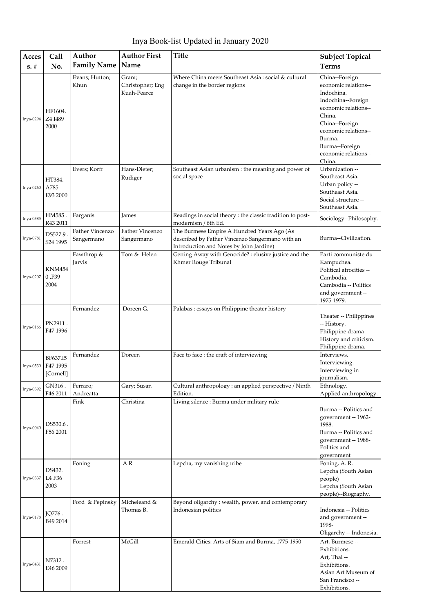| Acces<br>$s. \#$ | Call<br>No.                       | Author<br><b>Family Name</b>  | <b>Author First</b><br>Name               | <b>Title</b>                                                                                                                             | <b>Subject Topical</b><br><b>Terms</b>                                                                                                                                                                               |
|------------------|-----------------------------------|-------------------------------|-------------------------------------------|------------------------------------------------------------------------------------------------------------------------------------------|----------------------------------------------------------------------------------------------------------------------------------------------------------------------------------------------------------------------|
| Inya-0294        | HF1604.<br>Z4 I489<br>2000        | Evans; Hutton;<br>Khun        | Grant;<br>Christopher; Eng<br>Kuah-Pearce | Where China meets Southeast Asia : social & cultural<br>change in the border regions                                                     | China--Foreign<br>economic relations--<br>Indochina.<br>Indochina--Foreign<br>economic relations--<br>China.<br>China--Foreign<br>economic relations--<br>Burma.<br>Burma--Foreign<br>economic relations--<br>China. |
| Inya-0260        | HT384.<br>A785<br>E93 2000        | Evers; Korff                  | Hans-Dieter;<br>Rudiger                   | Southeast Asian urbanism : the meaning and power of<br>social space                                                                      | Urbanization --<br>Southeast Asia.<br>Urban policy --<br>Southeast Asia.<br>Social structure --<br>Southeast Asia.                                                                                                   |
| Inya-0385        | HM585.<br>R43 2011                | Farganis                      | James                                     | Readings in social theory : the classic tradition to post-<br>modernism / 6th Ed.                                                        | Sociology--Philosophy.                                                                                                                                                                                               |
| Inya-0781        | DS527.9.<br>S24 1995              | Father Vincenzo<br>Sangermano | Father Vincenzo<br>Sangermano             | The Burmese Empire A Hundred Years Ago (As<br>described by Father Vincenzo Sangermano with an<br>Introduction and Notes by John Jardine) | Burma--Civilization.                                                                                                                                                                                                 |
| Inya-0207        | <b>KNM454</b><br>0.F39<br>2004    | Fawthrop &<br>Jarvis          | Tom & Helen                               | Getting Away with Genocide? : elusive justice and the<br>Khmer Rouge Tribunal                                                            | Parti communiste du<br>Kampuchea.<br>Political atrocities --<br>Cambodia.<br>Cambodia -- Politics<br>and government --<br>1975-1979.                                                                                 |
| Inya-0166        | PN2911.<br>F47 1996               | Fernandez                     | Doreen G.                                 | Palabas: essays on Philippine theater history                                                                                            | Theater -- Philippines<br>-- History.<br>Philippine drama --<br>History and criticism.<br>Philippine drama.                                                                                                          |
| $Inya-0530$      | BF637.I5<br>F47 1995<br>[Cornell] | Fernandez                     | Doreen                                    | Face to face : the craft of interviewing                                                                                                 | Interviews.<br>Interviewing.<br>Interviewing in<br>journalism.                                                                                                                                                       |
| Inya-0392        | GN316.<br>F46 2011                | Ferraro;<br>Andreatta         | Gary; Susan                               | Cultural anthropology : an applied perspective / Ninth<br>Edition.                                                                       | Ethnology.<br>Applied anthropology.                                                                                                                                                                                  |
| Inya-0040        | DS530.6.<br>F56 2001              | Fink                          | Christina                                 | Living silence : Burma under military rule                                                                                               | Burma -- Politics and<br>government -- 1962-<br>1988.<br>Burma -- Politics and<br>government -- 1988-<br>Politics and<br>government                                                                                  |
| Inya-0337        | DS432.<br>L4 F36<br>2003          | Foning                        | A R                                       | Lepcha, my vanishing tribe                                                                                                               | Foning, A.R.<br>Lepcha (South Asian<br>people)<br>Lepcha (South Asian<br>people)--Biography.                                                                                                                         |
| Inya-0178        | JQ776.<br>B49 2014                | Ford & Pepinsky               | Micheleand &<br>Thomas B.                 | Beyond oligarchy: wealth, power, and contemporary<br>Indonesian politics                                                                 | Indonesia -- Politics<br>and government --<br>1998-<br>Oligarchy -- Indonesia.                                                                                                                                       |
| Inya-0431        | N7312.<br>E46 2009                | Forrest                       | McGill                                    | Emerald Cities: Arts of Siam and Burma, 1775-1950                                                                                        | Art, Burmese --<br>Exhibitions.<br>Art, Thai --<br>Exhibitions.<br>Asian Art Museum of<br>San Francisco --<br>Exhibitions.                                                                                           |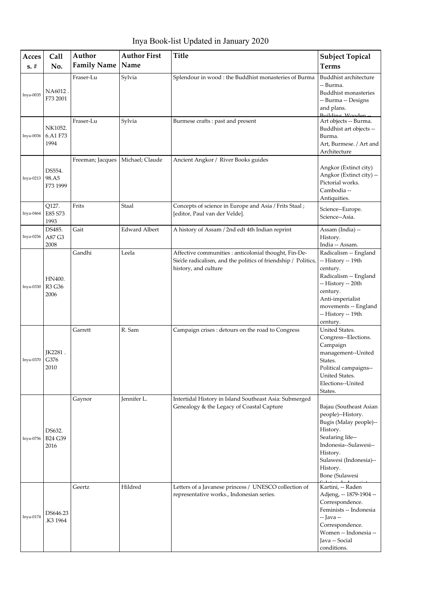Inya Book-list Updated in January 2020

| Acces<br>$s. \#$ | Call<br>No.                 | Author<br><b>Family Name</b> | <b>Author First</b><br>Name | <b>Title</b>                                                                                                                                   | <b>Subject Topical</b><br><b>Terms</b>                                                                                                                                                             |
|------------------|-----------------------------|------------------------------|-----------------------------|------------------------------------------------------------------------------------------------------------------------------------------------|----------------------------------------------------------------------------------------------------------------------------------------------------------------------------------------------------|
| Inya-0035        | NA6012.<br>F73 2001         | Fraser-Lu                    | Sylvia                      | Splendour in wood : the Buddhist monasteries of Burma                                                                                          | Buddhist architecture<br>-- Burma.<br><b>Buddhist monasteries</b><br>-- Burma -- Designs<br>and plans.<br>Building Wooden.                                                                         |
| Inya-0036        | NK1052.<br>6.A1 F73<br>1994 | Fraser-Lu                    | Sylvia                      | Burmese crafts : past and present                                                                                                              | Art objects -- Burma.<br>Buddhist art objects --<br>Burma.<br>Art, Burmese. / Art and<br>Architecture                                                                                              |
| Inya-0213        | DS554.<br>98.A5<br>F73 1999 | Freeman; Jacques             | Michael; Claude             | Ancient Angkor / River Books guides                                                                                                            | Angkor (Extinct city)<br>Angkor (Extinct city) --<br>Pictorial works.<br>Cambodia --<br>Antiquities.                                                                                               |
| Inya-0464        | Q127.<br>E85 S73<br>1993    | Frits                        | Staal                       | Concepts of science in Europe and Asia / Frits Staal;<br>[editor, Paul van der Velde].                                                         | Science--Europe.<br>Science--Asia.                                                                                                                                                                 |
| Inya-0256        | DS485.<br>A87 G3<br>2008    | Gait                         | <b>Edward Albert</b>        | A history of Assam / 2nd edt 4th Indian reprint                                                                                                | Assam (India) --<br>History.<br>India -- Assam.                                                                                                                                                    |
| Inya-0330        | HN400.<br>R3 G36<br>2006    | Gandhi                       | Leela                       | Affective communities : anticolonial thought, Fin-De-<br>Siecle radicalism, and the politics of friendship / Politics,<br>history, and culture | Radicalism -- England<br>-- History -- 19th<br>century.<br>Radicalism -- England<br>-- History -- 20th<br>century.<br>Anti-imperialist<br>movements -- England<br>-- History -- 19th<br>century.   |
| Inya-0370        | JK2281.<br>G376<br>2010     | Garrett                      | R. Sam                      | Campaign crises : detours on the road to Congress                                                                                              | United States.<br>Congress--Elections.<br>Campaign<br>management--United<br>States.<br>Political campaigns--<br>United States.<br>Elections--United<br>States.                                     |
| Inya-0756        | DS632.<br>B24 G39<br>2016   | Gaynor                       | Jennifer L.                 | Intertidal History in Island Southeast Asia: Submerged<br>Genealogy & the Legacy of Coastal Capture                                            | Bajau (Southeast Asian<br>people)--History.<br>Bugis (Malay people)--<br>History.<br>Seafaring life--<br>Indonesia--Sulawesi--<br>History.<br>Sulawesi (Indonesia)--<br>History.<br>Bone (Sulawesi |
| Inya-0174        | DS646.23<br>K3 1964.        | Geertz                       | Hildred                     | Letters of a Javanese princess / UNESCO collection of<br>representative works., Indonesian series.                                             | Kartini, -- Raden<br>Adjeng, -- 1879-1904 --<br>Correspondence.<br>Feminists -- Indonesia<br>-- Java --<br>Correspondence.<br>Women -- Indonesia --<br>Java -- Social<br>conditions.               |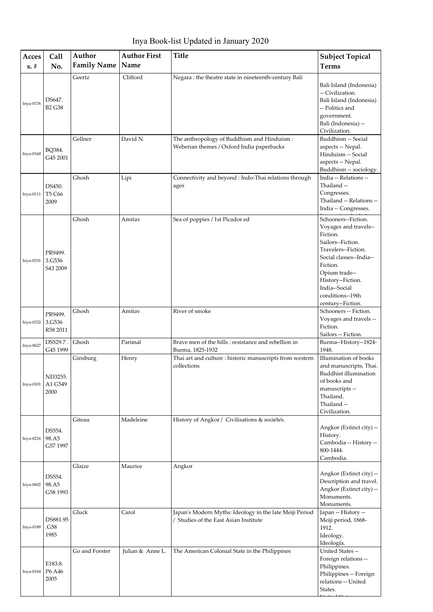Inya Book-list Updated in January 2020

| Acces     | Call                          | Author<br><b>Family Name</b> | <b>Author First</b><br>Name | <b>Title</b>                                                                                     | <b>Subject Topical</b>                                                                                                                                                                                                                      |
|-----------|-------------------------------|------------------------------|-----------------------------|--------------------------------------------------------------------------------------------------|---------------------------------------------------------------------------------------------------------------------------------------------------------------------------------------------------------------------------------------------|
| $s. \#$   | No.                           |                              |                             |                                                                                                  | <b>Terms</b>                                                                                                                                                                                                                                |
| Inya-0176 | DS647.<br><b>B2 G38</b>       | Geertz                       | Clifford                    | Negara : the theatre state in nineteenth-century Bali                                            | Bali Island (Indonesia)<br>-- Civilization.<br>Bali Island (Indonesia)<br>-- Politics and<br>government.<br>Bali (Indonesia) --<br>Civilization.                                                                                            |
| Inya-0160 | BQ384.<br>G45 2001            | Gellner                      | David N.                    | The anthropology of Buddhism and Hinduism:<br>Weberian themes / Oxford India paperbacks          | Buddhism -- Social<br>aspects -- Nepal.<br>Hinduism -- Social<br>aspects -- Nepal.<br>Buddhism -- sociology.                                                                                                                                |
| Inya-0111 | DS450.<br>T5 C66<br>2009      | Ghosh                        | Lipi                        | Connectivity and beyond : Indo-Thai relations through<br>ages                                    | India -- Relations --<br>Thailand --<br>Congresses.<br>Thailand -- Relations --<br>India -- Congresses.                                                                                                                                     |
| Inya-0331 | PR9499.<br>3.G536<br>S43 2009 | Ghosh                        | Amitav                      | Sea of poppies / 1st Picador ed                                                                  | Schooners--Fiction.<br>Voyages and travels--<br>Fiction.<br>Sailors--Fiction.<br>Travelers--Fiction.<br>Social classes--India--<br>Fiction.<br>Opium trade--<br>History--Fiction.<br>India--Social<br>conditions--19th<br>century--Fiction. |
| Inya-0332 | PR9499.<br>3.G536<br>R58 2011 | Ghosh                        | Amitav                      | River of smoke                                                                                   | Schooners -- Fiction.<br>Voyages and travels --<br>Fiction.<br>Sailors -- Fiction.                                                                                                                                                          |
| Inya-0627 | DS529.7.<br>G45 1999          | Ghosh                        | Parimal                     | Brave men of the hills : resistance and rebellion in<br>Burma, 1825-1932                         | Burma--History--1824-<br>1948.                                                                                                                                                                                                              |
| Inya-0101 | ND3255.<br>A1 G549<br>2000    | Ginsburg                     | Henry                       | Thai art and culture : historic manuscripts from western<br>collections                          | Illumination of books<br>and manuscripts, Thai.<br>Buddhist illumination<br>of books and<br>manuscripts --<br>Thailand.<br>Thailand --<br>Civilization.                                                                                     |
| Inya-0216 | DS554.<br>98.A5<br>G57 1997   | Giteau                       | Madeleine                   | History of Angkor / Civilisations & sociétés.                                                    | Angkor (Extinct city) --<br>History.<br>Cambodia -- History --<br>800-1444.<br>Cambodia.                                                                                                                                                    |
| Inya-0602 | DS554.<br>98.A5<br>G58 1993   | Glaize                       | Maurice                     | Angkor                                                                                           | Angkor (Extinct city) --<br>Description and travel.<br>Angkor (Extinct city) --<br>Monuments.<br>Monuments.                                                                                                                                 |
| Inya-0189 | DS881.95<br>.G58<br>1985      | Gluck                        | Carol                       | Japan's Modern Myths: Ideology in the late Meiji Period<br>/ Studies of the East Asian Institute | Japan -- History --<br>Meiji period, 1868-<br>1912.<br>Ideology.<br>Ideología.                                                                                                                                                              |
| Inya-0164 | E183.8.<br>P6 A46<br>2005     | Go and Forster               | Julian & Anne L.            | The American Colonial State in the Philippines                                                   | United States --<br>Foreign relations --<br>Philippines.<br>Philippines -- Foreign<br>relations -- United<br>States.                                                                                                                        |

 $U \cdot I$   $\alpha$   $\cdots$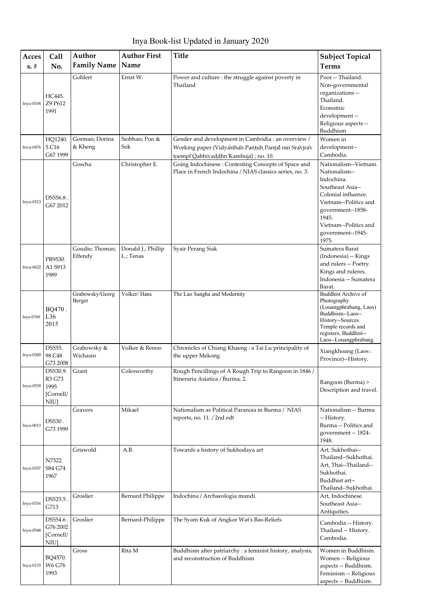Inya Book-list Updated in January 2020

| Acces       | Call                                                        | Author                     | <b>Author First</b>             | <b>Title</b>                                                                                                                                        | <b>Subject Topical</b>                                                                                                                                                                                        |
|-------------|-------------------------------------------------------------|----------------------------|---------------------------------|-----------------------------------------------------------------------------------------------------------------------------------------------------|---------------------------------------------------------------------------------------------------------------------------------------------------------------------------------------------------------------|
| $s. \#$     | No.                                                         | <b>Family Name</b>         | Name                            |                                                                                                                                                     | <b>Terms</b>                                                                                                                                                                                                  |
| $Inya-0104$ | HC445.<br>Z9 P612<br>1991                                   | Gohlert                    | Ernst W.                        | Power and culture : the struggle against poverty in<br>Thailand                                                                                     | Poor -- Thailand.<br>Non-governmental<br>organizations --<br>Thailand.<br>Economic<br>development --<br>Religious aspects --<br>Buddhism                                                                      |
| Inya-0476   | HQ1240.<br>5.C16<br>G67 1999                                | Gorman; Dorina<br>& Kheng  | Siobhan; Pon &<br>Sok           | Gender and development in Cambodia : an overview /<br>Working paper (Vidyasthan Panțuh Panțal nin Sravjrav<br>toempī Qabhivaddhn Kambuja) ; no. 10. | Women in<br>development--<br>Cambodia.                                                                                                                                                                        |
| Inya-0313   | DS556.8.<br>G67 2012                                        | Goscha                     | Christopher E.                  | Going Indochinese: Contesting Concepts of Space and<br>Place in French Indochina / NIAS classics series, no. 3.                                     | Nationalism--Vietnam.<br>Nationalism--<br>Indochina.<br>Southeast Asia--<br>Colonial influence.<br>Vietnam--Politics and<br>government--1858-<br>1945.<br>Vietnam--Politics and<br>government--1945-<br>1975. |
| Inya-0622   | PR9530.<br>A1 S913<br>1989                                  | Goudie; Thomas;<br>Effendy | Donald J.; Phillip<br>L.; Tenas | Syair Perang Siak                                                                                                                                   | Sumatera Barat<br>(Indonesia) -- Kings<br>and rulers -- Poetry.<br>Kings and ruleres.<br>Indonesia -- Sumatera<br>Barat.                                                                                      |
| Inya-0760   | BQ470.<br>L36<br>2015                                       | Grabowsky/Georg<br>Berger  | Volker/Hans                     | The Lao Sangha and Modernity                                                                                                                        | Buddhist Archive of<br>Photography<br>(Louangphrabang, Laos)<br>Buddhism--Laos--<br>History--Sources.<br>Temple records and<br>registers, Buddhist--<br>Laos--Louangphrabang.                                 |
| Inya-0300   | DS555.<br>98.C48<br>G73 2008                                | Grabowsky &<br>Wichasin    | Volker & Renoo                  | Chronicles of Chiang Khaeng : a Tai Lu principality of<br>the upper Mekong                                                                          | Xiangkhoang (Laos:<br>Province)--History.                                                                                                                                                                     |
| Inya-0539   | DS530.9.<br>R3 G73<br>1995<br>[Cornell/<br>NIU <sub>l</sub> | Grant                      | Colesworthy                     | Rough Pencillings of A Rough Trip to Rangoon in 1846 /<br>Itineraria Asiatica / Burma, 2.                                                           | Rangoon (Burma) ><br>Description and travel.                                                                                                                                                                  |
| Inya-0013   | DS530.<br>G73 1999                                          | Gravers                    | Mikael                          | Nationalism as Political Paranoia in Burma / NIAS<br>reports, no. 11. / 2nd edt                                                                     | Nationalism -- Burma<br>-- History.<br>Burma -- Politics and<br>government -- 1824-<br>1948.                                                                                                                  |
| Inya-0357   | N7322.<br>S84 G74<br>1967                                   | Griswold                   | A.B.                            | Towards a history of Sukhodaya art                                                                                                                  | Art, Sukhothai--<br>Thailand--Sukhothai.<br>Art, Thai--Thailand--<br>Sukhothai.<br>Buddhist art--<br>Thailand--Sukhothai.                                                                                     |
| Inya-0316   | DS525.5<br>G713                                             | Groslier                   | <b>Bernard Philippe</b>         | Indochina / Archaeologia mundi.                                                                                                                     | Art, Indochinese.<br>Southeast Asia--<br>Antiquities.                                                                                                                                                         |
| Inya-0548   | DS554.6.<br>G76 2002<br>[Cornell/<br>NIU <sub>l</sub>       | Groslier                   | Bernard-Philippe                | The Syam Kuk of Angkor Wat's Bas-Reliefs                                                                                                            | Cambodia -- History.<br>Thailand -- History.<br>Cambodia.                                                                                                                                                     |
| Inya-0133   | BQ4570.<br>W6 G76<br>1993                                   | Gross                      | Rita M                          | Buddhism after patriarchy : a feminist history, analysis,<br>and reconstruction of Buddhism                                                         | Women in Buddhism.<br>Women -- Religious<br>aspects -- Buddhism.<br>Feminism -- Religious<br>aspects -- Buddhism.                                                                                             |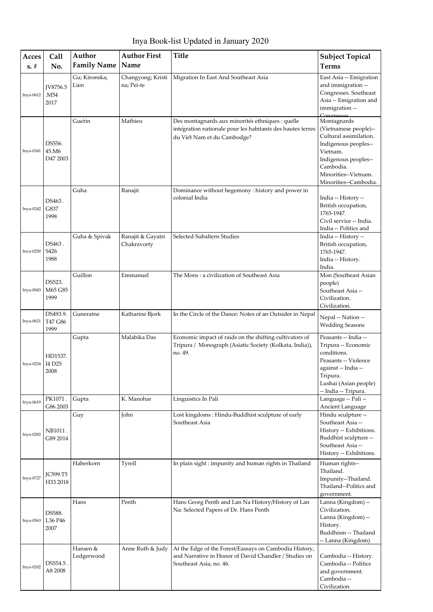Inya Book-list Updated in January 2020

| Acces     | Call                                  | Author                 | <b>Author First</b>              | <b>Title</b>                                                                                                                                  | <b>Subject Topical</b>                                                                                                                                                                                 |
|-----------|---------------------------------------|------------------------|----------------------------------|-----------------------------------------------------------------------------------------------------------------------------------------------|--------------------------------------------------------------------------------------------------------------------------------------------------------------------------------------------------------|
| $s. \#$   | No.                                   | <b>Family Name</b>     | Name                             |                                                                                                                                               | <b>Terms</b>                                                                                                                                                                                           |
| Inya-0612 | JV8756.5<br>M54.<br>2017              | Gu; Kironska;<br>Lien  | Changyong; Kristi<br>na; Pei-te  | Migration In East And Southeast Asia                                                                                                          | East Asia -- Emigration<br>and immigration --<br>Congresses. Southeast<br>Asia -- Emigration and<br>immigration --                                                                                     |
| Inya-0341 | DS556.<br>45.M6<br>D47 2003           | Guérin                 | Mathieu                          | Des montagnards aux minorités ethniques : quelle<br>intégration nationale pour les habitants des hautes terres<br>du Viet Nam et du Cambodge? | Congresses<br>Montagnards<br>(Vietnamese people)--<br>Cultural assimilation.<br>Indigenous peoples--<br>Vietnam.<br>Indigenous peoples--<br>Cambodia.<br>Minorities--Vietnam.<br>Minorities--Cambodia. |
| Inya-0242 | DS463.<br>G837<br>1998                | Guha                   | Ranajit                          | Dominance without hegemony : history and power in<br>colonial India                                                                           | India -- History --<br>British occupation,<br>1765-1947.<br>Civil service -- India.<br>India -- Politics and                                                                                           |
| Inya-0250 | DS463.<br>S426<br>1988                | Guha & Spivak          | Ranajit & Gayatri<br>Chakravorty | Selected Subaltern Studies                                                                                                                    | India -- History --<br>British occupation,<br>1765-1947.<br>India -- History.<br>India.                                                                                                                |
| Inya-0043 | DS523.<br>M65 G85<br>1999             | Guillon                | Emmanuel                         | The Mons: a civilization of Southeast Asia                                                                                                    | Mon (Southeast Asian<br>people)<br>Southeast Asia --<br>Civilization.<br>Civilization.                                                                                                                 |
| Inya-0621 | DS493.9.<br>T47 G86<br>1999           | Guneratne              | Katharine Bjork                  | In the Circle of the Dance: Notes of an Outsider in Nepal                                                                                     | Nepal -- Nation --<br><b>Wedding Seasons</b>                                                                                                                                                           |
| Inya-0254 | HD1537.<br>I4 D <sub>25</sub><br>2008 | Gupta                  | Malabika Das                     | Economic impact of raids on the shifting cultivators of<br>Tripura / Monograph (Asiatic Society (Kolkata, India)),<br>no. 49.                 | Peasants -- India --<br>Tripura -- Economic<br>conditions.<br>Peasants -- Violence<br>against -- India --<br>Tripura.<br>Lushai (Asian people)<br>-- India -- Tripura.                                 |
| Inya-0619 | PK1071.<br>G86 2003                   | Gupta                  | K. Manohar                       | Linguistics In Pali                                                                                                                           | Language -- Pali --<br>Ancient Language                                                                                                                                                                |
| Inya-0282 | NB1011.<br>G89 2014                   | Guy                    | John                             | Lost kingdoms: Hindu-Buddhist sculpture of early<br>Southeast Asia                                                                            | Hindu sculpture --<br>Southeast Asia --<br>History -- Exhibitions.<br>Buddhist sculpture --<br>Southeast Asia --<br>History -- Exhibitions.                                                            |
| Inya-0727 | <b>JC599.T5</b><br>H33 2018           | Haberkorn              | Tyrell                           | In plain sight : impunity and human rights in Thailand                                                                                        | Human rights--<br>Thailand.<br>Impunity--Thailand.<br>Thailand--Politics and<br>government.                                                                                                            |
| Inya-0563 | DS588.<br>L36 P46<br>2007             | Hans                   | Penth                            | Hans Georg Penth and Lan Na History/History of Lan<br>Na: Selected Papers of Dr. Hans Penth                                                   | Lanna (Kingdom) --<br>Civilization.<br>Lanna (Kingdom) --<br>History.<br>Buddhism -- Thailand<br>-- Lanna (Kingdom)                                                                                    |
| Inya-0202 | DS554.5 .<br>A8 2008                  | Hansen &<br>Ledgerwood | Anne Ruth & Judy                 | At the Edge of the Forest/Eassays on Cambodia History,<br>and Narrative in Honor of David Chandler / Studies on<br>Southeast Asia, no. 46.    | Cambodia -- History.<br>Cambodia -- Politics<br>and government.<br>Cambodia --<br>Civilization.                                                                                                        |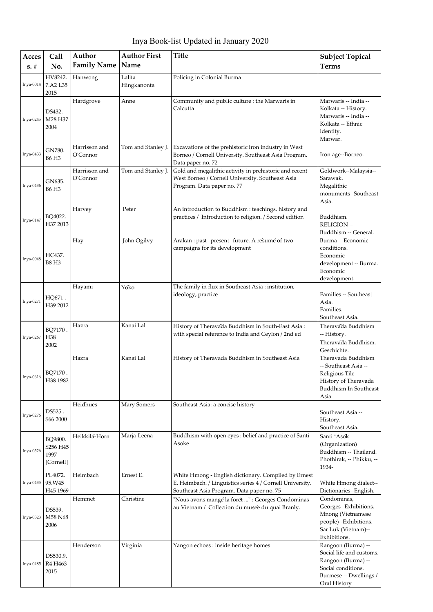Inya Book-list Updated in January 2020

| Acces<br>$s. \#$ | Call<br>No.                              | Author<br><b>Family Name</b> | <b>Author First</b><br>Name | <b>Title</b>                                                                                                                                                   | <b>Subject Topical</b><br>Terms                                                                                                      |
|------------------|------------------------------------------|------------------------------|-----------------------------|----------------------------------------------------------------------------------------------------------------------------------------------------------------|--------------------------------------------------------------------------------------------------------------------------------------|
| $Inya-0014$      | HV8242.<br>7.A2 L35<br>2015              | Hanwong                      | Lalita<br>Hingkanonta       | Policing in Colonial Burma                                                                                                                                     |                                                                                                                                      |
| Inya-0245        | DS432.<br>M28 H37<br>2004                | Hardgrove                    | Anne                        | Community and public culture : the Marwaris in<br>Calcutta                                                                                                     | Marwaris -- India --<br>Kolkata -- History.<br>Marwaris -- India --<br>Kolkata -- Ethnic<br>identity.<br>Marwar.                     |
| Inya-0433        | GN780.<br><b>B6 H3</b>                   | Harrisson and<br>O'Connor    | Tom and Stanley J.          | Excavations of the prehistoric iron industry in West<br>Borneo / Cornell University. Southeast Asia Program.<br>Data paper no. 72                              | Iron age--Borneo.                                                                                                                    |
| Inya-0436        | GN635.<br>B6 H3                          | Harrisson and<br>O'Connor    | Tom and Stanley J.          | Gold and megalithic activity in prehistoric and recent<br>West Borneo / Cornell University. Southeast Asia<br>Program. Data paper no. 77                       | Goldwork--Malaysia--<br>Sarawak.<br>Megalithic<br>monuments--Southeast<br>Asia.                                                      |
| Inya-0147        | BQ4022.<br>H37 2013                      | Harvey                       | Peter                       | An introduction to Buddhism : teachings, history and<br>practices / Introduction to religion. / Second edition                                                 | Buddhism.<br><b>RELIGION --</b><br>Buddhism -- General.                                                                              |
| Inya-0048        | HC437.<br><b>B8 H3</b>                   | Hay                          | John Ogilvy                 | Arakan : past--present--future. A resume of two<br>campaigns for its development                                                                               | Burma -- Economic<br>conditions.<br>Economic<br>development -- Burma.<br>Economic<br>development.                                    |
| Inya-0271        | HQ671.<br>H39 2012                       | Hayami                       | Yoko                        | The family in flux in Southeast Asia : institution,<br>ideology, practice                                                                                      | Families -- Southeast<br>Asia.<br>Families.<br>Southeast Asia.                                                                       |
| Inya-0267        | BO7170.<br>H38<br>2002                   | Hazra                        | Kanai Lal                   | History of Theravada Buddhism in South-East Asia:<br>with special reference to India and Ceylon / 2nd ed                                                       | Theravada Buddhism<br>-- History.<br>Theravada Buddhism.<br>Geschichte.                                                              |
| Inya-0616        | BQ7170<br>H38 1982                       | Hazra                        | Kanai Lal                   | History of Theravada Buddhism in Southeast Asia                                                                                                                | Theravada Buddhism<br>-- Southeast Asia --<br>Religious Tile --<br>History of Theravada<br>Buddhism In Southeast<br>Asia             |
| Inya-0276        | DS525.<br>S66 2000                       | Heidhues                     | Mary Somers                 | Southeast Asia: a concise history                                                                                                                              | Southeast Asia --<br>History.<br>Southeast Asia.                                                                                     |
| Inya-0526        | BQ9800.<br>S256 H45<br>1997<br>[Cornell] | Heikkila-Horn                | Marja-Leena                 | Buddhism with open eyes : belief and practice of Santi<br>Asoke                                                                                                | Santi 'Asok<br>(Organization)<br>Buddhism -- Thailand.<br>Phothirak, -- Phikku, --<br>1934-                                          |
| Inya-0435        | PL4072.<br>95.W45<br>H45 1969            | Heimbach                     | Ernest E.                   | White Hmong - English dictionary. Compiled by Ernest<br>E. Heimbach. / Linguistics series 4 / Cornell University.<br>Southeast Asia Program. Data paper no. 75 | White Hmong dialect--<br>Dictionaries--English.                                                                                      |
| Inya-0323        | DS539.<br>M58 N68<br>2006                | Hemmet                       | Christine                   | "Nous avons mange la foret " : Georges Condominas<br>au Vietnam / Collection du musée du quai Branly.                                                          | Condominas,<br>Georges--Exhibitions.<br>Mnong (Vietnamese<br>people)--Exhibitions.<br>Sar Luk (Vietnam)--<br>Exhibitions.            |
| Inya-0485        | DS530.9.<br>R4 H463<br>2015              | Henderson                    | Virginia                    | Yangon echoes : inside heritage homes                                                                                                                          | Rangoon (Burma) --<br>Social life and customs.<br>Rangoon (Burma) --<br>Social conditions.<br>Burmese -- Dwellings./<br>Oral History |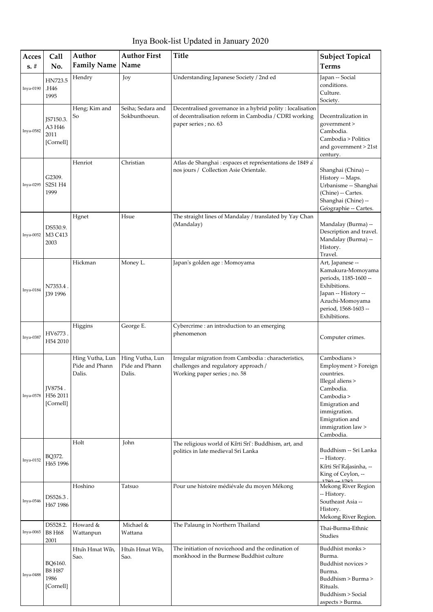Inya Book-list Updated in January 2020

| Acces<br>$s. \#$ | Call<br>No.                                   | Author<br><b>Family Name</b>                | <b>Author First</b><br>Name                 | <b>Title</b>                                                                                                                                | <b>Subject Topical</b><br><b>Terms</b>                                                                                                                                                  |
|------------------|-----------------------------------------------|---------------------------------------------|---------------------------------------------|---------------------------------------------------------------------------------------------------------------------------------------------|-----------------------------------------------------------------------------------------------------------------------------------------------------------------------------------------|
| Inya-0190        | HN723.5<br>.H46<br>1995                       | Hendry                                      | Joy                                         | Understanding Japanese Society / 2nd ed                                                                                                     | Japan -- Social<br>conditions.<br>Culture.<br>Society.                                                                                                                                  |
| Inya-0582        | JS7150.3.<br>A3 H46<br>2011<br>[Cornell]      | Heng; Kim and<br>So                         | Seiha; Sedara and<br>Sokbunthoeun.          | Decentralised governance in a hybrid polity : localisation<br>of decentralisation reform in Cambodia / CDRI working<br>paper series; no. 63 | Decentralization in<br>government ><br>Cambodia.<br>Cambodia > Politics<br>and government > 21st<br>century.                                                                            |
| Inya-0295        | G2309.<br>S2S1 H4<br>1999                     | Henriot                                     | Christian                                   | Atlas de Shanghai : espaces et representations de 1849 a'<br>nos jours / Collection Asie Orientale.                                         | Shanghai (China) --<br>History -- Maps.<br>Urbanisme -- Shanghai<br>(Chine) -- Cartes.<br>Shanghai (Chine) --<br>Geographie -- Cartes.                                                  |
| $Inya-0052$      | DS530.9.<br>M3 C413<br>2003                   | Hgnet                                       | Hsue                                        | The straight lines of Mandalay / translated by Yay Chan<br>(Mandalay)                                                                       | Mandalay (Burma) --<br>Description and travel.<br>Mandalay (Burma) --<br>History.<br>Travel.                                                                                            |
| Inya-0184        | N7353.4<br><b>J39 1996</b>                    | Hickman                                     | Money L.                                    | Japan's golden age : Momoyama                                                                                                               | Art, Japanese --<br>Kamakura-Momoyama<br>periods, 1185-1600 --<br>Exhibitions.<br>Japan -- History --<br>Azuchi-Momoyama<br>period, 1568-1603 --<br>Exhibitions.                        |
| Inya-0387        | HV6773.<br>H54 2010                           | Higgins                                     | George E.                                   | Cybercrime : an introduction to an emerging<br>phenomenon                                                                                   | Computer crimes.                                                                                                                                                                        |
| Inya-0578        | IV8754.<br>H56 2011<br>[Cornell]              | Hing Vutha, Lun<br>Pide and Phann<br>Dalis. | Hing Vutha, Lun<br>Pide and Phann<br>Dalis. | Irregular migration from Cambodia : characteristics,<br>challenges and regulatory approach /<br>Working paper series ; no. 58               | Cambodians ><br>Employment > Foreign<br>countries.<br>Illegal aliens ><br>Cambodia.<br>Cambodia ><br>Emigration and<br>immigration.<br>Emigration and<br>immigration law ><br>Cambodia. |
| Inya-0152        | BQ372.<br>H65 1996                            | Holt                                        | John                                        | The religious world of Kirti Sri: Buddhism, art, and<br>politics in late medieval Sri Lanka                                                 | Buddhism -- Sri Lanka<br>-- History.<br>Kīrti Srī Rajasinha, --<br>King of Ceylon, --<br>$1790 \div 1792$                                                                               |
| Inya-0546        | DS526.3.<br>H67 1986                          | Hoshino                                     | Tatsuo                                      | Pour une histoire médiévale du moyen Mékong                                                                                                 | Mekong River Region<br>-- History.<br>Southeast Asia --<br>History.<br>Mekong River Region.                                                                                             |
| Inya-0065        | DS528.2.<br><b>B8 H68</b><br>2001             | Howard &<br>Wattanpun                       | Michael &<br>Wattana                        | The Palaung in Northern Thailand                                                                                                            | Thai-Burma-Ethnic<br>Studies                                                                                                                                                            |
| <b>Inya-0488</b> | BQ6160.<br><b>B8 H87</b><br>1986<br>[Cornell] | Htun Hmat Win,<br>Sao.                      | Htun Hmat Win,<br>Sao.                      | The initiation of novicehood and the ordination of<br>monkhood in the Burmese Buddhist culture                                              | Buddhist monks ><br>Burma.<br>Buddhist novices ><br>Burma.<br>Buddhism > Burma ><br>Rituals.<br>Buddhism > Social<br>aspects > Burma.                                                   |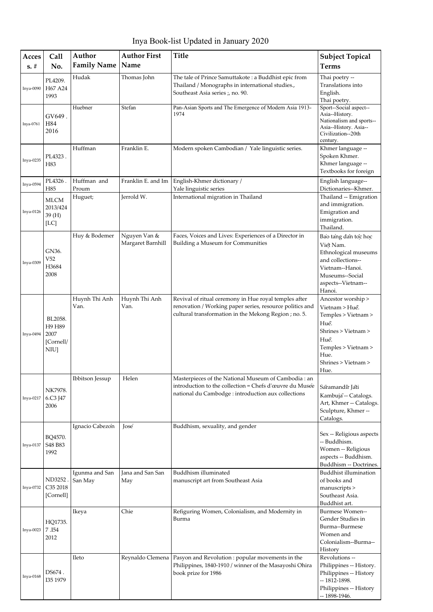Inya Book-list Updated in January 2020

| Acces       | Call                                                 | Author<br><b>Family Name</b> | <b>Author First</b><br>Name       | <b>Title</b>                                                                                                                                                               | <b>Subject Topical</b>                                                                                                                                           |
|-------------|------------------------------------------------------|------------------------------|-----------------------------------|----------------------------------------------------------------------------------------------------------------------------------------------------------------------------|------------------------------------------------------------------------------------------------------------------------------------------------------------------|
| $s. \#$     | No.                                                  |                              |                                   |                                                                                                                                                                            | <b>Terms</b>                                                                                                                                                     |
| Inya-0090   | PL4209.<br>H67 A24<br>1993                           | Hudak                        | Thomas John                       | The tale of Prince Samuttakote : a Buddhist epic from<br>Thailand / Monographs in international studies.,<br>Southeast Asia series ;, no. 90.                              | Thai poetry --<br>Translations into<br>English.<br>Thai poetry.                                                                                                  |
| Inya-0761   | GV649.<br>H84<br>2016                                | Huebner                      | Stefan                            | Pan-Asian Sports and The Emergence of Modern Asia 1913-<br>1974                                                                                                            | Sport--Social aspect--<br>Asia--History.<br>Nationalism and sports--<br>Asia--History. Asia--<br>Civilization--20th<br>century.                                  |
| Inya-0235   | PL4323.<br>H83                                       | Huffman                      | Franklin E.                       | Modern spoken Cambodian / Yale linguistic series.                                                                                                                          | Khmer language --<br>Spoken Khmer.<br>Khmer language --<br>Textbooks for foreign                                                                                 |
| Inya-0594   | PL4326.<br>H85                                       | Huffman and<br>Proum         | Franklin E. and Im                | English-Khmer dictionary /<br>Yale linguistic series                                                                                                                       | English language--<br>Dictionaries--Khmer.                                                                                                                       |
| $Inya-0126$ | <b>MLCM</b><br>2013/424<br>39 (H)<br>[LC]            | Huguet;                      | Jerrold W.                        | International migration in Thailand                                                                                                                                        | Thailand -- Emigration<br>and immigration.<br>Emigration and<br>immigration.<br>Thailand.                                                                        |
| Inya-0309   | GN36.<br>V <sub>52</sub><br>H3684<br>2008            | Huy & Bodemer                | Nguyen Van &<br>Margaret Barnhill | Faces, Voices and Lives: Experiences of a Director in<br>Building a Museum for Communities                                                                                 | Bao tang dan toc hoc<br>Việt Nam.<br>Ethnological museums<br>and collections--<br>Vietnam--Hanoi.<br>Museums--Social<br>aspects--Vietnam--<br>Hanoi.             |
| Inya-0494   | BL2058.<br>H9 H89<br>2007<br>[Cornell/<br><b>NIU</b> | Huynh Thi Anh<br>Van.        | Huynh Thi Anh<br>Van.             | Revival of ritual ceremony in Hue royal temples after<br>renovation / Working paper series, resource politics and<br>cultural transformation in the Mekong Region ; no. 5. | Ancestor worship ><br>Vietnam > Huể.<br>Temples > Vietnam ><br>Huế.<br>Shrines > Vietnam ><br>Huế.<br>Temples > Vietnam ><br>Hue.<br>Shrines > Vietnam ><br>Hue. |
| Inya-0217   | NK7978.<br>6.C3 J47<br>2006                          | Ibbitson Jessup              | Helen                             | Masterpieces of the National Museum of Cambodia : an<br>introduction to the collection = Chefs d'œuvre du Musée<br>national du Cambodge : introduction aux collections     | Saramandir Jati<br>Kambuja -- Catalogs.<br>Art, Khmer -- Catalogs.<br>Sculpture, Khmer-<br>Catalogs.                                                             |
| Inya-0137   | BQ4570.<br>S48 B83<br>1992                           | Ignacio Cabezon              | José                              | Buddhism, sexuality, and gender                                                                                                                                            | Sex -- Religious aspects<br>-- Buddhism.<br>Women -- Religious<br>aspects -- Buddhism.<br>Buddhism -- Doctrines.                                                 |
| Inya-0732   | ND3252<br>C35 2018<br>[Cornell]                      | Igunma and San<br>San May    | Jana and San San<br>May           | Buddhism illuminated<br>manuscript art from Southeast Asia                                                                                                                 | Buddhist illumination<br>of books and<br>manuscripts ><br>Southeast Asia.<br>Buddhist art.                                                                       |
| Inya-0023   | HQ1735.<br>7.I54<br>2012                             | Ikeya                        | Chie                              | Refiguring Women, Colonialism, and Modernity in<br>Burma                                                                                                                   | Burmese Women--<br>Gender Studies in<br>Burma--Burmese<br>Women and<br>Colonialism--Burma--<br>History                                                           |
| Inya-0168   | DS674.<br>I35 1979                                   | Ileto                        | Reynaldo Clemena                  | Pasyon and Revolution : popular movements in the<br>Philippines, 1840-1910 / winner of the Masayoshi Ohira<br>book prize for 1986                                          | Revolutions --<br>Philippines -- History.<br>Philippines -- History<br>$-1812 - 1898.$<br>Philippines -- History<br>-- 1898-1946.                                |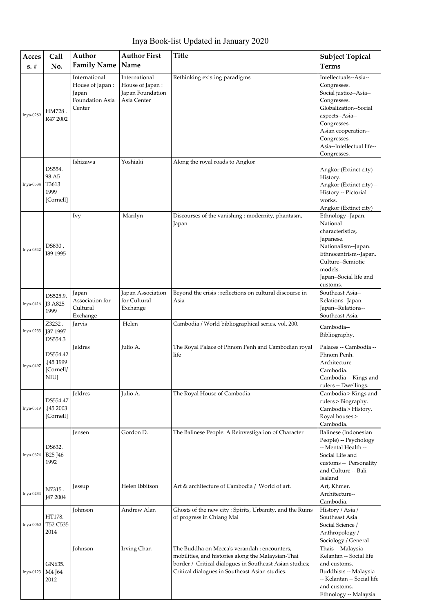| Inya Book-list Updated in January 2020 |  |  |
|----------------------------------------|--|--|
|----------------------------------------|--|--|

| Acces<br>$s. \#$ | <b>Call</b><br>No.                                | Author<br><b>Family Name</b>                                           | <b>Author First</b><br>Name                                         | <b>Title</b>                                                                                                                                                                                                    | <b>Subject Topical</b><br><b>Terms</b>                                                                                                                                                                                     |
|------------------|---------------------------------------------------|------------------------------------------------------------------------|---------------------------------------------------------------------|-----------------------------------------------------------------------------------------------------------------------------------------------------------------------------------------------------------------|----------------------------------------------------------------------------------------------------------------------------------------------------------------------------------------------------------------------------|
| Inya-0289        | HM728.<br>R47 2002                                | International<br>House of Japan:<br>Japan<br>Foundation Asia<br>Center | International<br>House of Japan:<br>Japan Foundation<br>Asia Center | Rethinking existing paradigms                                                                                                                                                                                   | Intellectuals--Asia--<br>Congresses.<br>Social justice--Asia--<br>Congresses.<br>Globalization--Social<br>aspects--Asia--<br>Congresses.<br>Asian cooperation--<br>Congresses.<br>Asia--Intellectual life--<br>Congresses. |
| Inya-0534        | DS554.<br>98.A5<br>T3613<br>1999<br>[Cornell]     | Ishizawa                                                               | Yoshiaki                                                            | Along the royal roads to Angkor                                                                                                                                                                                 | Angkor (Extinct city) --<br>History.<br>Angkor (Extinct city) --<br>History -- Pictorial<br>works.<br>Angkor (Extinct city)                                                                                                |
| Inya-0342        | DS830.<br>I89 1995                                | Ivy                                                                    | Marilyn                                                             | Discourses of the vanishing : modernity, phantasm,<br>Japan                                                                                                                                                     | Ethnology--Japan.<br>National<br>characteristics,<br>Japanese.<br>Nationalism--Japan.<br>Ethnocentrism--Japan.<br>Culture--Semiotic<br>models.<br>Japan--Social life and<br>customs.                                       |
| Inya-0416        | DS525.9.<br>J3 A825<br>1999                       | Japan<br>Association for<br>Cultural<br>Exchange                       | Japan Association<br>for Cultural<br>Exchange                       | Beyond the crisis : reflections on cultural discourse in<br>Asia                                                                                                                                                | Southeast Asia--<br>Relations--Japan.<br>Japan--Relations--<br>Southeast Asia.                                                                                                                                             |
| Inya-0233        | Z3232.<br><b>J37 1997</b><br>DS554.3              | Jarvis                                                                 | Helen                                                               | Cambodia / World bibliographical series, vol. 200.                                                                                                                                                              | Cambodia--<br>Bibliography.                                                                                                                                                                                                |
| Inya-0497        | DS554.42<br>.J45 1999<br>[Cornell/<br>NIU]        | Jeldres                                                                | Julio A.                                                            | The Royal Palace of Phnom Penh and Cambodian royal<br>life                                                                                                                                                      | Palaces -- Cambodia --<br>Phnom Penh.<br>Architecture --<br>Cambodia.<br>Cambodia -- Kings and<br>rulers -- Dwellings.                                                                                                     |
| Inya-0519        | DS554.47<br>.J45 2003<br>[Cornell]                | <b>Ieldres</b>                                                         | Julio A.                                                            | The Royal House of Cambodia                                                                                                                                                                                     | Cambodia > Kings and<br>rulers > Biography.<br>Cambodia > History.<br>Royal houses ><br>Cambodia.                                                                                                                          |
| Inya-0624        | DS632.<br>B <sub>25</sub> J <sub>46</sub><br>1992 | Jensen                                                                 | Gordon D.                                                           | The Balinese People: A Reinvestigation of Character                                                                                                                                                             | Balinese (Indonesian<br>People) -- Psychology<br>-- Mental Health --<br>Social Life and<br>customs -- Personality<br>and Culture -- Bali<br>Isaland                                                                        |
| Inya-0234        | N7315.<br><b>J47 2004</b>                         | Jessup                                                                 | Helen Ibbitson                                                      | Art & architecture of Cambodia / World of art.                                                                                                                                                                  | Art, Khmer.<br>Architecture--<br>Cambodia.                                                                                                                                                                                 |
| Inya-0060        | HT178.<br>T52 C535<br>2014                        | Johnson                                                                | Andrew Alan                                                         | Ghosts of the new city: Spirits, Urbanity, and the Ruins<br>of progress in Chiang Mai                                                                                                                           | History / Asia /<br>Southeast Asia<br>Social Science /<br>Anthropology /<br>Sociology / General                                                                                                                            |
| Inya-0123        | GN635.<br>M4 J64<br>2012                          | Johnson                                                                | Irving Chan                                                         | The Buddha on Mecca's verandah : encounters,<br>mobilities, and histories along the Malaysian-Thai<br>border / Critical dialogues in Southeast Asian studies;<br>Critical dialogues in Southeast Asian studies. | Thais -- Malaysia --<br>Kelantan -- Social life<br>and customs.<br>Buddhists -- Malaysia<br>-- Kelantan -- Social life<br>and customs.<br>Ethnology -- Malaysia                                                            |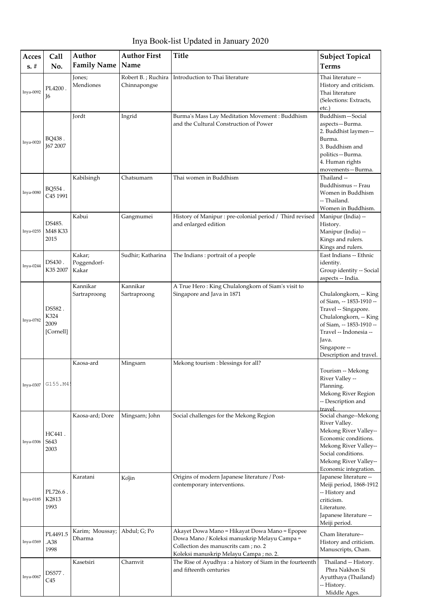Inya Book-list Updated in January 2020

| Acces     | Call                                | Author                         | <b>Author First</b>                | <b>Title</b>                                                                                                                                                                      | <b>Subject Topical</b>                                                                                                                                                                                         |
|-----------|-------------------------------------|--------------------------------|------------------------------------|-----------------------------------------------------------------------------------------------------------------------------------------------------------------------------------|----------------------------------------------------------------------------------------------------------------------------------------------------------------------------------------------------------------|
| $s. \#$   | No.                                 | <b>Family Name</b>             | Name                               |                                                                                                                                                                                   | <b>Terms</b>                                                                                                                                                                                                   |
| Inya-0092 | PL4200.<br>Ī6                       | Jones;<br>Mendiones            | Robert B.; Ruchira<br>Chinnapongse | Introduction to Thai literature                                                                                                                                                   | Thai literature --<br>History and criticism.<br>Thai literature<br>(Selections: Extracts,<br>etc.)                                                                                                             |
| Inya-0020 | BQ438.<br><b>J67 2007</b>           | Jordt                          | Ingrid                             | Burma's Mass Lay Meditation Movement : Buddhism<br>and the Cultural Construction of Power                                                                                         | Buddhism-Social<br>aspects-Burma.<br>2. Buddhist laymen-<br>Burma.<br>3. Buddhism and<br>politics-Burma.<br>4. Human rights<br>movements-Burma.                                                                |
| Inya-0080 | BQ554.<br>C <sub>45</sub> 1991      | Kabilsingh                     | Chatsumarn                         | Thai women in Buddhism                                                                                                                                                            | Thailand --<br>Buddhismus -- Frau<br>Women in Buddhism<br>-- Thailand.<br>Women in Buddhism.                                                                                                                   |
| Inya-0255 | DS485.<br>M48 K33<br>2015           | Kabui                          | Gangmumei                          | History of Manipur : pre-colonial period / Third revised<br>and enlarged edition                                                                                                  | Manipur (India) --<br>History.<br>Manipur (India) --<br>Kings and rulers.<br>Kings and rulers.                                                                                                                 |
| Inya-0244 | DS430.<br>K35 2007                  | Kakar;<br>Poggendorf-<br>Kakar | Sudhir; Katharina                  | The Indians: portrait of a people                                                                                                                                                 | East Indians -- Ethnic<br>identity.<br>Group identity -- Social<br>aspects -- India.                                                                                                                           |
| Inya-0782 | DS582.<br>K324<br>2009<br>[Cornell] | Kannikar<br>Sartraproong       | Kannikar<br>Sartraproong           | A True Hero: King Chulalongkorn of Siam's visit to<br>Singapore and Java in 1871                                                                                                  | Chulalongkorn, -- King<br>of Siam, -- 1853-1910 --<br>Travel -- Singapore.<br>Chulalongkorn, -- King<br>of Siam, -- 1853-1910 --<br>Travel -- Indonesia --<br>Java.<br>Singapore --<br>Description and travel. |
| Inya-0307 | G155.M45                            | Kaosa-ard                      | Mingsarn                           | Mekong tourism : blessings for all?                                                                                                                                               | Tourism -- Mekong<br>River Valley --<br>Planning.<br>Mekong River Region<br>-- Description and<br>travel.                                                                                                      |
| Inya-0306 | HC441.<br>S643<br>2003              | Kaosa-ard; Dore                | Mingsarn; John                     | Social challenges for the Mekong Region                                                                                                                                           | Social change--Mekong<br>River Valley.<br>Mekong River Valley--<br>Economic conditions.<br>Mekong River Valley--<br>Social conditions.<br>Mekong River Valley--<br>Economic integration.                       |
| Inya-0185 | PL726.6.<br>K2813<br>1993           | Karatani                       | Kojin                              | Origins of modern Japanese literature / Post-<br>contemporary interventions.                                                                                                      | Japanese literature --<br>Meiji period, 1868-1912<br>-- History and<br>criticism.<br>Literature.<br>Japanese literature --<br>Meiji period.                                                                    |
| Inya-0369 | PL4491.5<br>.A38<br>1998            | Karim; Moussay;<br>Dharma      | Abdul; G; Po                       | Akayet Dowa Mano = Hikayat Dowa Mano = Epopee<br>Dowa Mano / Koleksi manuskrip Melayu Campa =<br>Collection des manuscrits cam ; no. 2<br>Koleksi manuskrip Melayu Campa ; no. 2. | Cham literature--<br>History and criticism.<br>Manuscripts, Cham.                                                                                                                                              |
| Inya-0067 | DS577 .<br>C45                      | Kasetsiri                      | Charnvit                           | The Rise of Ayudhya: a history of Siam in the fourteenth<br>and fifteenth centuries                                                                                               | Thailand -- History.<br>Phra Nakhon Si<br>Ayutthaya (Thailand)<br>-- History.<br>Middle Ages.                                                                                                                  |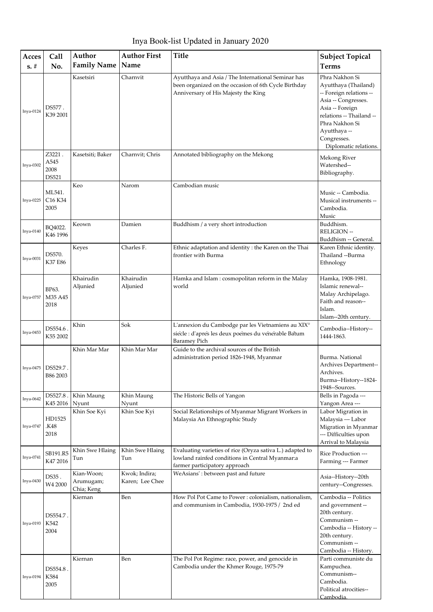Inya Book-list Updated in January 2020

| Acces<br>$s. \#$ | Call<br>No.                    | Author<br><b>Family Name</b>          | <b>Author First</b><br>Name      | <b>Title</b>                                                                                                                                      | <b>Subject Topical</b><br><b>Terms</b>                                                                                                                                                                            |
|------------------|--------------------------------|---------------------------------------|----------------------------------|---------------------------------------------------------------------------------------------------------------------------------------------------|-------------------------------------------------------------------------------------------------------------------------------------------------------------------------------------------------------------------|
| Inya-0124        | DS577.<br>K39 2001             | Kasetsiri                             | Charnvit                         | Ayutthaya and Asia / The International Seminar has<br>been organized on the occasion of 6th Cycle Birthday<br>Anniversary of His Majesty the King | Phra Nakhon Si<br>Ayutthaya (Thailand)<br>-- Foreign relations --<br>Asia -- Congresses.<br>Asia -- Foreign<br>relations -- Thailand --<br>Phra Nakhon Si<br>Ayutthaya --<br>Congresses.<br>Diplomatic relations. |
| Inya-0302        | Z3221<br>A545<br>2008<br>DS521 | Kasetsiti; Baker                      | Charnvit; Chris                  | Annotated bibliography on the Mekong                                                                                                              | Mekong River<br>Watershed--<br>Bibliography.                                                                                                                                                                      |
| Inya-0225        | ML541.<br>C16 K34<br>2005      | Keo                                   | Narom                            | Cambodian music                                                                                                                                   | Music -- Cambodia.<br>Musical instruments --<br>Cambodia.<br>Music                                                                                                                                                |
| Inya-0140        | BQ4022.<br>K46 1996            | Keown                                 | Damien                           | Buddhism / a very short introduction                                                                                                              | Buddhism.<br><b>RELIGION --</b><br>Buddhism -- General.                                                                                                                                                           |
| $Inya-0031$      | DS570.<br>K37 E86              | Keyes                                 | Charles F.                       | Ethnic adaptation and identity : the Karen on the Thai<br>frontier with Burma                                                                     | Karen Ethnic identity.<br>Thailand --Burma<br>Ethnology                                                                                                                                                           |
| Inya-0757        | BP63.<br>M35 A45<br>2018       | Khairudin<br>Aljunied                 | Khairudin<br>Aljunied            | Hamka and Islam: cosmopolitan reform in the Malay<br>world                                                                                        | Hamka, 1908-1981.<br>Islamic renewal--<br>Malay Archipelago.<br>Faith and reason--<br>Islam.<br>Islam--20th century.                                                                                              |
| Inya-0453        | DS554.6.<br>K55 2002           | Khin                                  | Sok                              | L'annexion du Cambodge par les Vietnamiens au XIX°<br>siècle : d'après les deux poèmes du vénérable Bâtum<br><b>Baramey Pich</b>                  | Cambodia--History--<br>1444-1863.                                                                                                                                                                                 |
| Inva-0475        | DS529.7.<br>B86 2003           | Khin Mar Mar                          | Khin Mar Mar                     | Guide to the archival sources of the British<br>administration period 1826-1948, Myanmar                                                          | Burma. National<br>Archives Department--<br>Archives.<br>Burma--History--1824-<br>1948--Sources.                                                                                                                  |
| Inya-0642        | DS527.8<br>K45 2016            | Khin Maung<br>Nyunt                   | Khin Maung<br>Nyunt              | The Historic Bells of Yangon                                                                                                                      | Bells in Pagoda ---<br>Yangon Area ---                                                                                                                                                                            |
| Inya-0747        | HD1525<br>K48.<br>2018         | Khin Soe Kyi                          | Khin Soe Kyi                     | Social Relationships of Myanmar Migrant Workers in<br>Malaysia An Ethnographic Study                                                              | Labor Migration in<br>Malaysia --- Labor<br>Migration in Myanmar<br>--- Difficulties upon<br>Arrival to Malaysia                                                                                                  |
| Inya-0741        | SB191.R5<br>K47 2016           | Khin Swe Hlaing<br>Tun                | Khin Swe Hlaing<br>Tun           | Evaluating varieties of rice (Oryza sativa L.) adapted to<br>lowland rainfed conditions in Central Myanmar:a<br>farmer participatory approach     | Rice Production ---<br>Farming --- Farmer                                                                                                                                                                         |
| Inya-0430        | DS35.<br>W4 2000               | Kian-Woon;<br>Arumugam;<br>Chia; Keng | Kwok; Indira;<br>Karen; Lee Chee | WeAsians': between past and future                                                                                                                | Asia--History--20th<br>century--Congresses.                                                                                                                                                                       |
| Inya-0193        | DS554.7.<br>K542<br>2004       | Kiernan                               | Ben                              | How Pol Pot Came to Power: colonialism, nationalism,<br>and communism in Cambodia, 1930-1975 / 2nd ed                                             | Cambodia -- Politics<br>and government --<br>20th century.<br>Communism --<br>Cambodia -- History --<br>20th century.<br>Communism --<br>Cambodia -- History.                                                     |
| Inya-0194        | DS554.8.<br>K584<br>2005       | Kiernan                               | Ben                              | The Pol Pot Regime: race, power, and genocide in<br>Cambodia under the Khmer Rouge, 1975-79                                                       | Parti communiste du<br>Kampuchea.<br>Communism--<br>Cambodia.<br>Political atrocities--<br>Cambodia.                                                                                                              |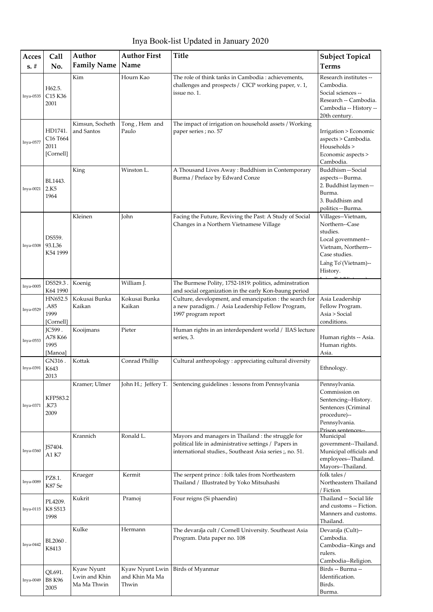Inya Book-list Updated in January 2020

| Acces<br>$s. \#$ | Call<br>No.                                                      | Author<br><b>Family Name</b>               | <b>Author First</b><br>Name                | <b>Title</b>                                                                                                                                                            | <b>Subject Topical</b><br><b>Terms</b>                                                                                                            |
|------------------|------------------------------------------------------------------|--------------------------------------------|--------------------------------------------|-------------------------------------------------------------------------------------------------------------------------------------------------------------------------|---------------------------------------------------------------------------------------------------------------------------------------------------|
|                  |                                                                  |                                            |                                            |                                                                                                                                                                         |                                                                                                                                                   |
| Inya-0535        | H62.5.<br>C <sub>15</sub> K <sub>36</sub><br>2001                | Kim                                        | Hourn Kao                                  | The role of think tanks in Cambodia : achievements,<br>challenges and prospects / CICP working paper, v. 1,<br>issue no. 1.                                             | Research institutes --<br>Cambodia.<br>Social sciences --<br>Research -- Cambodia.<br>Cambodia -- History --<br>20th century.                     |
| Inva-0577        | HD1741.<br>C <sub>16</sub> T <sub>664</sub><br>2011<br>[Cornell] | Kimsun, Socheth<br>and Santos              | Tong, Hem and<br>Paulo                     | The impact of irrigation on household assets / Working<br>paper series; no. 57                                                                                          | Irrigation > Economic<br>aspects > Cambodia.<br>Households ><br>Economic aspects ><br>Cambodia.                                                   |
| Inya-0021        | BL1443.<br>2.K5<br>1964                                          | King                                       | Winston L.                                 | A Thousand Lives Away: Buddhism in Contemporary<br>Burma / Preface by Edward Conze                                                                                      | Buddhism-Social<br>aspects-Burma.<br>2. Buddhist laymen-<br>Burma.<br>3. Buddhism and<br>politics-Burma.                                          |
| Inya-0308        | DS559.<br>93.L36<br>K54 1999                                     | Kleinen                                    | John                                       | Facing the Future, Reviving the Past: A Study of Social<br>Changes in a Northern Vietnamese Village                                                                     | Villages--Vietnam,<br>Northern--Case<br>studies.<br>Local government--<br>Vietnam, Northern--<br>Case studies.<br>Lang To (Vietnam)--<br>History. |
| $Inya-0005$      | DS529.3.<br>K64 1990                                             | Koenig                                     | William J.                                 | The Burmese Polity, 1752-1819: politics, adminstration<br>and social organization in the early Kon-baung period                                                         |                                                                                                                                                   |
| Inya-0529        | HN652.5<br>.A85<br>1999<br>[Cornell]                             | Kokusai Bunka<br>Kaikan                    | Kokusai Bunka<br>Kaikan                    | Culture, development, and emancipation : the search for<br>a new paradigm. / Asia Leadership Fellow Program,<br>1997 program report                                     | Asia Leadership<br>Fellow Program.<br>Asia > Social<br>conditions.                                                                                |
| Inya-0553        | IC599.<br>A78 K66<br>1995<br>[Manoa]                             | Kooijmans                                  | Pieter                                     | Human rights in an interdependent world / IIAS lecture<br>series, 3.                                                                                                    | Human rights -- Asia.<br>Human rights.<br>Asia.                                                                                                   |
| Inva-0391        | GN316.<br>K643<br>2013                                           | Kottak                                     | Conrad Phillip                             | Cultural anthropology : appreciating cultural diversity                                                                                                                 | Ethnology.                                                                                                                                        |
| Inya-0371        | KFP583.2<br>K73.<br>2009                                         | Kramer; Ulmer                              | John H.; Jeffery T.                        | Sentencing guidelines : lessons from Pennsylvania                                                                                                                       | Pennsylvania.<br>Commission on<br>Sentencing--History.<br>Sentences (Criminal<br>procedure)--<br>Pennsylvania.<br>Prison sentences-               |
| Inya-0360        | JS7404.<br>A1 K7                                                 | Krannich                                   | Ronald L.                                  | Mayors and managers in Thailand : the struggle for<br>political life in administrative settings / Papers in<br>international studies., Southeast Asia series ;, no. 51. | Municipal<br>government--Thailand.<br>Municipal officials and<br>employees--Thailand.<br>Mayors--Thailand.                                        |
| Inya-0089        | PZ8.1.<br>K87 Se                                                 | Krueger                                    | Kermit                                     | The serpent prince : folk tales from Northeastern<br>Thailand / Illustrated by Yoko Mitsuhashi                                                                          | folk tales /<br>Northeastern Thailand<br>/ Fiction                                                                                                |
| Inya-0115        | PL4209.<br>K8 S513<br>1998                                       | Kukrit                                     | Pramoj                                     | Four reigns (Si phaendin)                                                                                                                                               | Thailand -- Social life<br>and customs -- Fiction.<br>Manners and customs.<br>Thailand.                                                           |
| Inya-0442        | BL2060.<br>K8413                                                 | Kulke                                      | Hermann                                    | The devaraja cult / Cornell University. Southeast Asia<br>Program. Data paper no. 108                                                                                   | Devaraja (Cult)--<br>Cambodia.<br>Cambodia--Kings and<br>rulers.<br>Cambodia--Religion.                                                           |
| Inya-0049        | QL691.<br><b>B8 K96</b><br>2005                                  | Kyaw Nyunt<br>Lwin and Khin<br>Ma Ma Thwin | Kyaw Nyunt Lwin<br>and Khin Ma Ma<br>Thwin | Birds of Myanmar                                                                                                                                                        | Birds -- Burma --<br>Identification.<br>Birds.<br>Burma.                                                                                          |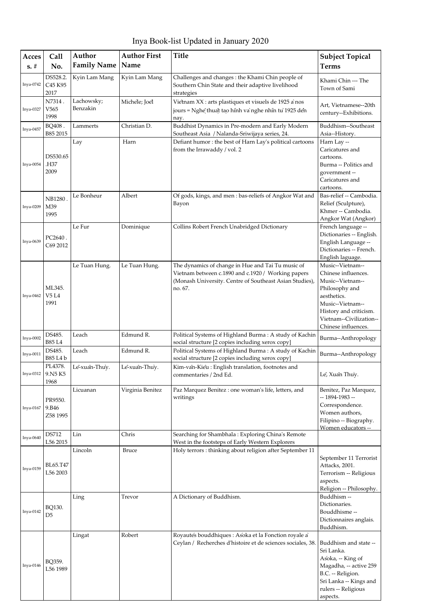Inya Book-list Updated in January 2020

| Acces<br>$\mathbf{s},\mathbf{\#}$ | Call<br>No.                                         | Author<br><b>Family Name</b> | <b>Author First</b><br>Name | <b>Title</b>                                                                                                                                                                  | <b>Subject Topical</b><br><b>Terms</b>                                                                                                                                                       |
|-----------------------------------|-----------------------------------------------------|------------------------------|-----------------------------|-------------------------------------------------------------------------------------------------------------------------------------------------------------------------------|----------------------------------------------------------------------------------------------------------------------------------------------------------------------------------------------|
| Inya-0742                         | DS528.2.<br>C <sub>45</sub> K <sub>95</sub><br>2017 | Kyin Lam Mang                | Kyin Lam Mang               | Challenges and changes : the Khami Chin people of<br>Southern Chin State and their adaptive livelihood<br>strategies                                                          | Khami Chin --- The<br>Town of Sami                                                                                                                                                           |
| Inya-0327                         | N7314.<br>V565<br>1998                              | Lachowsky;<br>Benzakin       | Michele; Joel               | Vietnam XX : arts plastiques et visuels de 1925 a'nos<br>jours = Nghe thuat tao hinh va nghe nhin tu 1925 den<br>nay.                                                         | Art, Vietnamese--20th<br>century--Exhibitions.                                                                                                                                               |
| Inya-0457                         | BQ408.<br>B85 2015                                  | Lammerts                     | Christian D.                | Buddhist Dynamics in Pre-modern and Early Modern<br>Southeast Asia / Nalanda-Sriwijaya series, 24.                                                                            | Buddhism--Southeast<br>Asia--History.                                                                                                                                                        |
| Inya-0054                         | DS530.65<br>H37.<br>2009                            | Lay                          | Harn                        | Defiant humor: the best of Harn Lay's political cartoons<br>from the Irrawaddy / vol. 2                                                                                       | Harn Lay --<br>Caricatures and<br>cartoons.<br>Burma -- Politics and<br>government-<br>Caricatures and<br>cartoons.                                                                          |
| Inya-0209                         | <b>NB1280</b><br>M39<br>1995                        | Le Bonheur                   | Albert                      | Of gods, kings, and men: bas-reliefs of Angkor Wat and<br>Bayon                                                                                                               | Bas-relief -- Cambodia.<br>Relief (Sculpture),<br>Khmer -- Cambodia.<br>Angkor Wat (Angkor)                                                                                                  |
| Inya-0639                         | PC2640.<br>C69 2012                                 | Le Fur                       | Dominique                   | Collins Robert French Unabridged Dictionary                                                                                                                                   | French language --<br>Dictionaries -- English.<br>English Language --<br>Dictionaries -- French.<br>English laguage.                                                                         |
| Inya-0462                         | ML345.<br>V5 L4<br>1991                             | Le Tuan Hung.                | Le Tuan Hung.               | The dynamics of change in Hue and Tai Tu music of<br>Vietnam between c.1890 and c.1920 / Working papers<br>(Monash University. Centre of Southeast Asian Studies),<br>no. 67. | Music--Vietnam--<br>Chinese influences.<br>Music--Vietnam--<br>Philosophy and<br>aesthetics.<br>Music--Vietnam--<br>History and criticism.<br>Vietnam--Civilization--<br>Chinese influences. |
| Inya-0002                         | DS485.<br><b>B85 L4</b>                             | Leach                        | Edmund R.                   | Political Systems of Highland Burma: A study of Kachin<br>social structure [2 copies including xerox copy]                                                                    | Burma--Anthropology                                                                                                                                                                          |
| Inya-0011                         | DS485.<br>B85 L4 b                                  | Leach                        | Edmund R.                   | Political Systems of Highland Burma: A study of Kachin<br>social structure [2 copies including xerox copy]                                                                    | Burma--Anthropology                                                                                                                                                                          |
| Inya-0312                         | PL4378.<br>9.N5K5<br>1968                           | Le-xuan-Thuy.                | Le-xuan-Thuy.               | Kim-van-Kieu: English translation, footnotes and<br>commentaries / 2nd Ed.                                                                                                    | Le, Xuan Thuy.                                                                                                                                                                               |
| Inya-0167                         | PR9550.<br>9.B46<br>Z58 1995                        | Licuanan                     | Virginia Benitez            | Paz Marquez Benitez : one woman's life, letters, and<br>writings                                                                                                              | Benitez, Paz Marquez,<br>$-1894-1983-$<br>Correspondence.<br>Women authors,<br>Filipino -- Biography.<br>Women educators --                                                                  |
| Inya-0640                         | DS712<br>L56 2015                                   | Lin                          | Chris                       | Searching for Shambhala: Exploring China's Remote<br>West in the footsteps of Early Western Explorers                                                                         |                                                                                                                                                                                              |
| Inya-0159                         | BL65.T47<br>L56 2003                                | Lincoln                      | <b>Bruce</b>                | Holy terrors : thinking about religion after September 11                                                                                                                     | September 11 Terrorist<br>Attacks, 2001.<br>Terrorism -- Religious<br>aspects.<br>Religion -- Philosophy.                                                                                    |
| Inya-0142                         | BQ130.<br>D5                                        | Ling                         | Trevor                      | A Dictionary of Buddhism.                                                                                                                                                     | Buddhism --<br>Dictionaries.<br>Bouddhisme --<br>Dictionnaires anglais.<br>Buddhism.                                                                                                         |
| Inya-0146                         | BQ359.<br>L56 1989                                  | Lingat                       | Robert                      | Royautés bouddhiques : Asoka et la Fonction royale a'<br>Ceylan / Recherches d'histoire et de sciences sociales, 38.                                                          | Buddhism and state --<br>Sri Lanka.<br>Asoka, -- King of<br>Magadha, -- active 259<br>B.C. -- Religion.<br>Sri Lanka -- Kings and<br>rulers -- Religious<br>aspects.                         |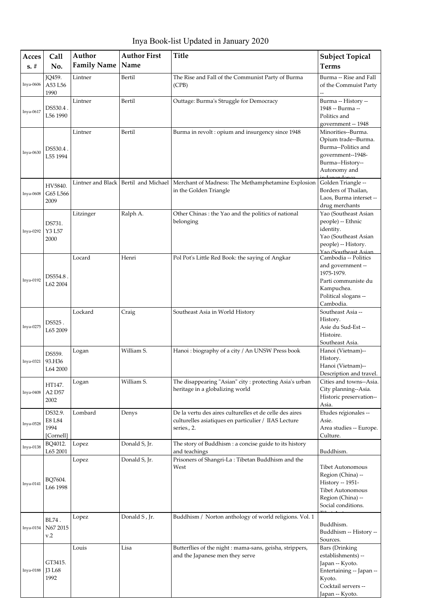Inya Book-list Updated in January 2020

| Acces<br>$s. \#$ | Call<br>No.                            | Author<br><b>Family Name</b> | <b>Author First</b><br>Name | <b>Title</b>                                                                                                                   | <b>Subject Topical</b><br><b>Terms</b>                                                                                                         |
|------------------|----------------------------------------|------------------------------|-----------------------------|--------------------------------------------------------------------------------------------------------------------------------|------------------------------------------------------------------------------------------------------------------------------------------------|
| Inya-0606        | <b>JQ459.</b><br>A53 L56<br>1990       | Lintner                      | Bertil                      | The Rise and Fall of the Communist Party of Burma<br>(CPB)                                                                     | Burma -- Rise and Fall<br>of the Commuist Party                                                                                                |
| Inya-0617        | DS530.4.<br>L56 1990                   | Lintner                      | Bertil                      | Outtage: Burma's Struggle for Democracy                                                                                        | Burma -- History --<br>1948 -- Burma --<br>Politics and<br>government -- 1948                                                                  |
| Inya-0630        | DS530.4.<br>L55 1994                   | Lintner                      | Bertil                      | Burma in revolt: opium and insurgency since 1948                                                                               | Minorities--Burma.<br>Opium trade--Burma.<br>Burma--Politics and<br>government--1948-<br>Burma--History--<br>Autonomy and                      |
| Inya-0608        | HV5840.<br>G65 L566<br>2009            | Lintner and Black            |                             | Bertil and Michael   Merchant of Madness: The Methamphetamine Explosion<br>in the Golden Triangle                              | Golden Triangle --<br>Borders of Thailan,<br>Laos, Burma interset --<br>drug merchants                                                         |
| Inya-0292        | DS731.<br>Y3 L57<br>2000               | Litzinger                    | Ralph A.                    | Other Chinas : the Yao and the politics of national<br>belonging                                                               | Yao (Southeast Asian<br>people) -- Ethnic<br>identity.<br>Yao (Southeast Asian<br>people) -- History.<br>Yao (Southeast Asian                  |
| Inya-0192        | DS554.8.<br>L62 2004                   | Locard                       | Henri                       | Pol Pot's Little Red Book: the saying of Angkar                                                                                | Cambodia -- Politics<br>and government --<br>1975-1979.<br>Parti communiste du<br>Kampuchea.<br>Political slogans --<br>Cambodia.              |
| Inya-0275        | DS525.<br>L65 2009                     | Lockard                      | Craig                       | Southeast Asia in World History                                                                                                | Southeast Asia --<br>History.<br>Asie du Sud-Est --<br>Histoire.<br>Southeast Asia.                                                            |
| Inya-0321        | DS559.<br>93.H36<br>L64 2000           | Logan                        | William S.                  | Hanoi: biography of a city / An UNSW Press book                                                                                | Hanoi (Vietnam)--<br>History.<br>Hanoi (Vietnam)--<br>Description and travel.                                                                  |
| <b>Inya-0408</b> | HT147.<br>A2 D57<br>2002               | Logan                        | William S.                  | The disappearing "Asian" city : protecting Asia's urban<br>heritage in a globalizing world                                     | Cities and towns--Asia.<br>City planning--Asia.<br>Historic preservation--<br>Asia.                                                            |
| Inya-0528        | DS32.9.<br>E8 L84<br>1994<br>[Cornell] | Lombard                      | Denys                       | De la vertu des aires culturelles et de celle des aires<br>culturelles asiatiques en particulier / IIAS Lecture<br>series., 2. | Etudes regionales --<br>Asie.<br>Area studies -- Europe.<br>Culture.                                                                           |
| Inya-0138        | BQ4012.<br>L65 2001                    | Lopez                        | Donald S, Jr.               | The story of Buddhism : a concise guide to its history<br>and teachings                                                        | Buddhism.                                                                                                                                      |
| Inya-0141        | BQ7604.<br>L66 1998                    | Lopez                        | Donald S, Jr.               | Prisoners of Shangri-La: Tibetan Buddhism and the<br>West                                                                      | Tibet Autonomous<br>Region (China) --<br>History -- 1951-<br><b>Tibet Autonomous</b><br>Region (China) --<br>Social conditions.                |
| Inya-0154        | BL74.<br>N67 2015<br>v.2               | Lopez                        | Donald S, Jr.               | Buddhism / Norton anthology of world religions. Vol. 1                                                                         | Buddhism.<br>Buddhism -- History --<br>Sources.                                                                                                |
| Inya-0188        | GT3415.<br><b>J3 L68</b><br>1992       | Louis                        | Lisa                        | Butterflies of the night : mama-sans, geisha, strippers,<br>and the Japanese men they serve                                    | <b>Bars</b> (Drinking<br>establishments) --<br>Japan -- Kyoto.<br>Entertaining -- Japan --<br>Kyoto.<br>Cocktail servers --<br>Japan -- Kyoto. |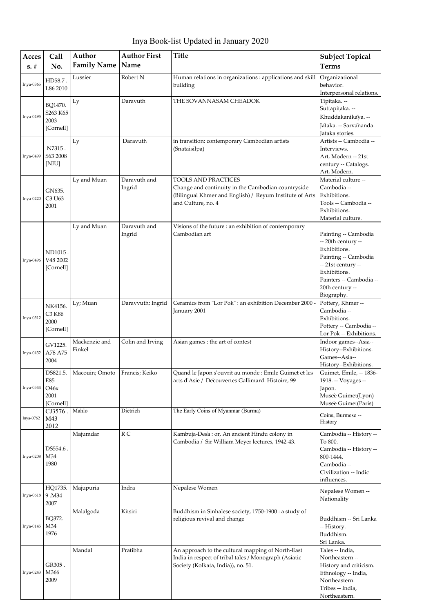Inya Book-list Updated in January 2020

| Acces            | Call                                                      | Author                          | <b>Author First</b>    | <b>Title</b>                                                                                                                                               | <b>Subject Topical</b>                                                                                                                                                               |
|------------------|-----------------------------------------------------------|---------------------------------|------------------------|------------------------------------------------------------------------------------------------------------------------------------------------------------|--------------------------------------------------------------------------------------------------------------------------------------------------------------------------------------|
| $s. \#$          | No.                                                       | <b>Family Name</b>              | Name                   |                                                                                                                                                            | <b>Terms</b>                                                                                                                                                                         |
| Inya-0365        | HD58.7 .<br>L86 2010                                      | Lussier                         | Robert N               | Human relations in organizations : applications and skill<br>building                                                                                      | Organizational<br>behavior.<br>Interpersonal relations.                                                                                                                              |
| Inya-0495        | BQ1470.<br>S263 K65<br>2003<br>[Cornell]                  | Ly                              | Daravuth               | THE SOVANNASAM CHEADOK                                                                                                                                     | Tipitaka. --<br>Suttapițaka. --<br>Khuddakanikaya. --<br>Jataka. -- Sarvananda.<br><b>Iataka</b> stories.                                                                            |
| Inya-0499        | N7315.<br>S63 2008<br>[NIU]                               | Ly                              | Daravuth               | in transition: contemporary Cambodian artists<br>(Snataisilpa)                                                                                             | Artists -- Cambodia --<br>Interviews.<br>Art, Modern -- 21st<br>century -- Catalogs.<br>Art, Modern.                                                                                 |
| Inya-0220        | GN635.<br>C3 U63<br>2001                                  | Ly and Muan                     | Daravuth and<br>Ingrid | TOOLS AND PRACTICES<br>Change and continuity in the Cambodian countryside<br>(Bilingual Khmer and English) / Reyum Institute of Arts<br>and Culture, no. 4 | Material culture --<br>Cambodia --<br>Exhibitions.<br>Tools -- Cambodia --<br>Exhibitions.<br>Material culture.                                                                      |
| Inya-0496        | ND1015.<br>V48 2002<br>[Cornell]                          | Ly and Muan                     | Daravuth and<br>Ingrid | Visions of the future : an exhibition of contemporary<br>Cambodian art                                                                                     | Painting -- Cambodia<br>-- 20th century --<br>Exhibitions.<br>Painting -- Cambodia<br>-- 21st century --<br>Exhibitions.<br>Painters -- Cambodia --<br>20th century --<br>Biography. |
| Inya-0512        | NK4156.<br>C3 K86<br>2000<br>[Cornell]                    | Ly; Muan                        | Daravvuth; Ingrid      | Ceramics from "Lor Pok" : an exhibition December 2000 -<br>January 2001                                                                                    | Pottery, Khmer--<br>Cambodia --<br>Exhibitions.<br>Pottery -- Cambodia --<br>Lor Pok -- Exhibitions.                                                                                 |
| Inya-0432        | GV1225.<br>A78 A75<br>2004                                | Mackenzie and<br>Finkel         | Colin and Irving       | Asian games : the art of contest                                                                                                                           | Indoor games--Asia--<br>History--Exhibitions.<br>Games--Asia--<br>History--Exhibitions.                                                                                              |
| Inya-0544        | DS821.5.<br>E85<br>O <sub>46</sub> x<br>2001<br>[Cornell] | Macouin; Omoto   Francis; Keiko |                        | Quand le Japon s'ouvrit au monde : Emile Guimet et les<br>arts d'Asie / Découvertes Gallimard. Histoire, 99                                                | Guimet, Emile, -- 1836-<br>1918. -- Voyages --<br>Japon.<br>Musée Guimet(Lyon)<br>Musée Guimet(Paris)                                                                                |
| Inya-0762        | CJ3576<br>M43<br>2012                                     | Mahlo                           | Dietrich               | The Early Coins of Myanmar (Burma)                                                                                                                         | Coins, Burmese --<br>History                                                                                                                                                         |
| <b>Inya-0208</b> | DS554.6.<br>M34<br>1980                                   | Majumdar                        | R <sub>C</sub>         | Kambuja-Desa: or, An ancient Hindu colony in<br>Cambodia / Sir William Meyer lectures, 1942-43.                                                            | Cambodia -- History --<br>To 800.<br>Cambodia -- History --<br>800-1444.<br>Cambodia --<br>Civilization -- Indic<br>influences.                                                      |
| Inya-0618        | HQ1735.<br>9.M34<br>2007                                  | Majupuria                       | Indra                  | Nepalese Women                                                                                                                                             | Nepalese Women --<br>Nationality                                                                                                                                                     |
| Inya-0145        | BQ372.<br>M34<br>1976                                     | Malalgoda                       | Kitsiri                | Buddhism in Sinhalese society, 1750-1900 : a study of<br>religious revival and change                                                                      | Buddhism -- Sri Lanka<br>-- History.<br>Buddhism.<br>Sri Lanka.                                                                                                                      |
| Inya-0243        | GR305.<br>M366<br>2009                                    | Mandal                          | Pratibha               | An approach to the cultural mapping of North-East<br>India in respect of tribal tales / Monograph (Asiatic<br>Society (Kolkata, India)), no. 51.           | Tales -- India,<br>Northeastern --<br>History and criticism.<br>Ethnology -- India,<br>Northeastern.<br>Tribes -- India,<br>Northeastern.                                            |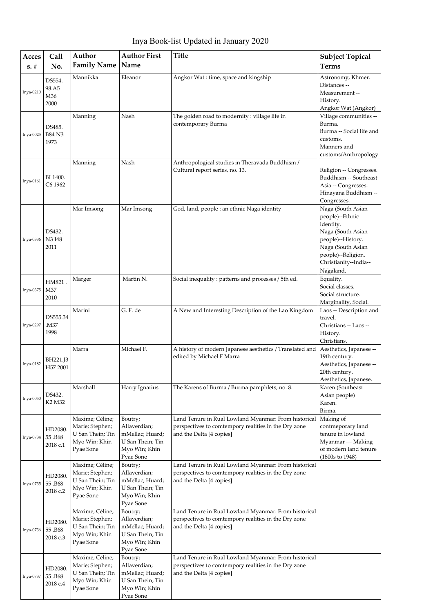Inya Book-list Updated in January 2020

| Acces       | Call                            | Author                                                                               | <b>Author First</b>                                                                          | <b>Title</b>                                                                                                                             | <b>Subject Topical</b>                                                                                                                                                       |
|-------------|---------------------------------|--------------------------------------------------------------------------------------|----------------------------------------------------------------------------------------------|------------------------------------------------------------------------------------------------------------------------------------------|------------------------------------------------------------------------------------------------------------------------------------------------------------------------------|
| $s. \#$     | No.                             | <b>Family Name</b>                                                                   | Name                                                                                         |                                                                                                                                          | <b>Terms</b>                                                                                                                                                                 |
| Inya-0210   | DS554.<br>98.A5<br>M36<br>2000  | Mannikka                                                                             | Eleanor                                                                                      | Angkor Wat: time, space and kingship                                                                                                     | Astronomy, Khmer.<br>Distances --<br>Measurement-<br>History.<br>Angkor Wat (Angkor)                                                                                         |
| Inya-0025   | DS485.<br><b>B84 N3</b><br>1973 | Manning                                                                              | Nash                                                                                         | The golden road to modernity: village life in<br>contemporary Burma                                                                      | Village communities --<br>Burma.<br>Burma -- Social life and<br>customs.<br>Manners and<br>customs/Anthropology                                                              |
| $Inya-0161$ | BL1400.<br>C6 1962              | Manning                                                                              | Nash                                                                                         | Anthropological studies in Theravada Buddhism /<br>Cultural report series, no. 13.                                                       | Religion -- Congresses.<br>Buddhism -- Southeast<br>Asia -- Congresses.<br>Hinayana Buddhism --<br>Congresses.                                                               |
| Inya-0336   | DS432.<br>N3 I48<br>2011        | Mar Imsong                                                                           | Mar Imsong                                                                                   | God, land, people : an ethnic Naga identity                                                                                              | Naga (South Asian<br>people)--Ethnic<br>identity.<br>Naga (South Asian<br>people)--History.<br>Naga (South Asian<br>people)--Religion.<br>Christianity--India--<br>Nagaland. |
| Inya-0375   | HM821.<br>M37<br>2010           | Marger                                                                               | Martin N.                                                                                    | Social inequality : patterns and processes / 5th ed.                                                                                     | Equality.<br>Social classes.<br>Social structure.<br>Marginality, Social.                                                                                                    |
| Inya-0297   | DS555.34<br>M37.<br>1998        | Marini                                                                               | G.F. de                                                                                      | A New and Interesting Description of the Lao Kingdom                                                                                     | Laos -- Description and<br>travel.<br>Christians -- Laos --<br>History.<br>Christians.                                                                                       |
| Inya-0182   | BH221.J3<br>H57 2001            | Marra                                                                                | Michael F.                                                                                   | A history of modern Japanese aesthetics / Translated and<br>edited by Michael F Marra                                                    | Aesthetics, Japanese --<br>19th century.<br>Aesthetics, Japanese --<br>20th century.<br>Aesthetics, Japanese.                                                                |
| $Inya-0050$ | DS432.<br>K2 M32                | Marshall                                                                             | Harry Ignatius                                                                               | The Karens of Burma / Burma pamphlets, no. 8.                                                                                            | Karen (Southeast<br>Asian people)<br>Karen.<br>Birma.                                                                                                                        |
| Inya-0734   | HD2080.<br>55.B68<br>2018 c.1   | Maxime; Céline;<br>Marie; Stephen;<br>U San Thein; Tin<br>Myo Win; Khin<br>Pyae Sone | Boutry;<br>Allaverdian;<br>mMellac; Huard;<br>U San Thein; Tin<br>Myo Win; Khin<br>Pyae Sone | Land Tenure in Rual Lowland Myanmar: From historical<br>perspectives to comtempory realities in the Dry zone<br>and the Delta [4 copies] | Making of<br>contmeporary land<br>tenure in lowland<br>Myanmar --- Making<br>of modern land tenure<br>(1800s to 1948)                                                        |
| Inya-0735   | HD2080.<br>55.B68<br>2018 c.2   | Maxime; Céline;<br>Marie; Stephen;<br>U San Thein; Tin<br>Myo Win; Khin<br>Pyae Sone | Boutry;<br>Allaverdian;<br>mMellac; Huard;<br>U San Thein; Tin<br>Myo Win; Khin<br>Pyae Sone | Land Tenure in Rual Lowland Myanmar: From historical<br>perspectives to comtempory realities in the Dry zone<br>and the Delta [4 copies] |                                                                                                                                                                              |
| Inya-0736   | HD2080.<br>55.B68<br>2018 c.3   | Maxime; Céline;<br>Marie; Stephen;<br>U San Thein; Tin<br>Myo Win; Khin<br>Pyae Sone | Boutry;<br>Allaverdian;<br>mMellac; Huard;<br>U San Thein; Tin<br>Myo Win; Khin<br>Pyae Sone | Land Tenure in Rual Lowland Myanmar: From historical<br>perspectives to comtempory realities in the Dry zone<br>and the Delta [4 copies] |                                                                                                                                                                              |
| Inya-0737   | HD2080.<br>55.B68<br>2018 c.4   | Maxime; Céline;<br>Marie; Stephen;<br>U San Thein; Tin<br>Myo Win; Khin<br>Pyae Sone | Boutry;<br>Allaverdian;<br>mMellac; Huard;<br>U San Thein; Tin<br>Myo Win; Khin<br>Pyae Sone | Land Tenure in Rual Lowland Myanmar: From historical<br>perspectives to comtempory realities in the Dry zone<br>and the Delta [4 copies] |                                                                                                                                                                              |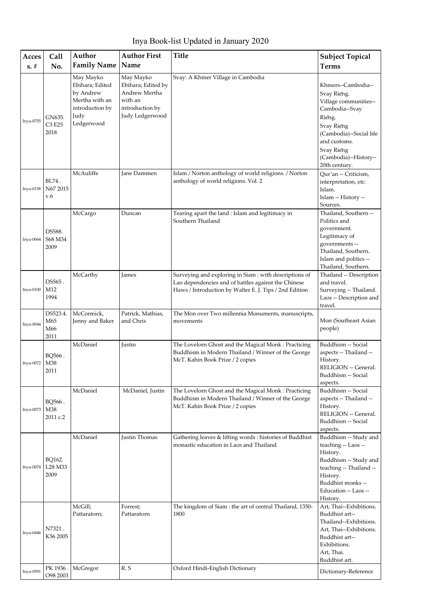| Inya Book-list Updated in January 2020 |  |  |
|----------------------------------------|--|--|
|----------------------------------------|--|--|

| Acces       | Call                           | Author                                                                                               | <b>Author First</b>                                                                               | <b>Title</b>                                                                                                                                                            | <b>Subject Topical</b>                                                                                                                                                                                  |
|-------------|--------------------------------|------------------------------------------------------------------------------------------------------|---------------------------------------------------------------------------------------------------|-------------------------------------------------------------------------------------------------------------------------------------------------------------------------|---------------------------------------------------------------------------------------------------------------------------------------------------------------------------------------------------------|
| $s. \#$     | No.                            | <b>Family Name</b>                                                                                   | Name                                                                                              |                                                                                                                                                                         | <b>Terms</b>                                                                                                                                                                                            |
| Inya-0755   | GN635.<br>C3 E25<br>2018       | May Mayko<br>Ebihara; Edited<br>by Andrew<br>Mertha with an<br>introduction by<br>Judy<br>Ledgerwood | May Mayko<br>Ebihara; Edited by<br>Andrew Mertha<br>with an<br>introduction by<br>Judy Ledgerwood | Svay: A Khmer Village in Cambodia                                                                                                                                       | Khmers--Cambodia--<br>Svay Rieng.<br>Village communities--<br>Cambodia--Svay<br>Rieng.<br>Svay Rieng<br>(Cambodia)--Social life<br>and customs.<br>Svay Rieng<br>(Cambodia)--History--<br>20th century. |
| Inya-0158   | BL74.<br>N67 2015<br>v.6       | McAuliffe                                                                                            | Jane Dammen                                                                                       | Islam / Norton anthology of world religions. / Norton<br>anthology of world religions. Vol. 2                                                                           | Qur'an -- Criticism,<br>interpretation, etc.<br>Islam.<br>Islam -- History --<br>Sources.                                                                                                               |
| Inya-0064   | DS588.<br>S68 M34<br>2009      | McCargo                                                                                              | Duncan                                                                                            | Tearing apart the land : Islam and legitimacy in<br>Southern Thailand                                                                                                   | Thailand, Southern --<br>Politics and<br>government.<br>Legitimacy of<br>governments --<br>Thailand, Southern.<br>Islam and politics --<br>Thailand, Southern.                                          |
| $Inya-0100$ | DS565.<br>M12<br>1994          | McCarthy                                                                                             | James                                                                                             | Surveying and exploring in Siam : with descriptions of<br>Lao dependencies and of battles against the Chinese<br>Haws / Introduction by Walter E. J. Tips / 2nd Edition | Thailand -- Description<br>and travel.<br>Surveying -- Thailand.<br>Laos -- Description and<br>travel.                                                                                                  |
| Inya-0044   | DS523.4.<br>M65<br>M66<br>2011 | McCormick,<br>Jenny and Baker                                                                        | Patrick, Mathias,<br>and Chris                                                                    | The Mon over Two millennia Monuments, manuscripts,<br>movements                                                                                                         | Mon (Southeast Asian<br>people)                                                                                                                                                                         |
| Inya-0072   | BQ566.<br>M38<br>2011          | McDaniel                                                                                             | Justin                                                                                            | The Lovelorn Ghost and the Magical Monk: Practicing<br>Buddhism in Modern Thailand / Winner of the George<br>McT. Kahin Book Prize / 2 copies                           | Buddhism -- Social<br>aspects -- Thailand --<br>History.<br>RELIGION -- General.<br>Buddhism -- Social<br>aspects.                                                                                      |
| Inya-0073   | BQ566.<br>M38<br>2011 c.2      | McDaniel                                                                                             | McDaniel, Justin                                                                                  | The Lovelorn Ghost and the Magical Monk: Practicing<br>Buddhism in Modern Thailand / Winner of the George<br>McT. Kahin Book Prize / 2 copies                           | Buddhism -- Social<br>aspects -- Thailand --<br>History.<br>RELIGION -- General.<br>Buddhism -- Social<br>aspects.                                                                                      |
| Inya-0074   | BQ162.<br>L28 M33<br>2009      | McDaniel                                                                                             | Justin Thomas                                                                                     | Gathering leaves & lifting words : histories of Buddhist<br>monastic education in Laos and Thailand                                                                     | Buddhism -- Study and<br>teaching -- Laos --<br>History.<br>Buddhism -- Study and<br>teaching -- Thailand --<br>History.<br>Buddhist monks --<br>Education -- Laos --<br>History.                       |
| Inya-0446   | N7321.<br>K56 2005<br>PK 1936. | McGill;<br>Pattaratorn;<br>McGregor                                                                  | Forrest;<br>Pattaratorn<br>R.S                                                                    | The kingdom of Siam : the art of central Thailand, 1350-<br>1800<br>Oxford Hindi-English Dictionary                                                                     | Art, Thai--Exhibitions.<br>Buddhist art--<br>Thailand--Exhibitions.<br>Art, Thai--Exhibitions.<br>Buddhist art--<br>Exhibitions.<br>Art, Thai.<br>Buddhist art.                                         |
| Inya-0591   | O98 2003                       |                                                                                                      |                                                                                                   |                                                                                                                                                                         | Dictionary-Reference                                                                                                                                                                                    |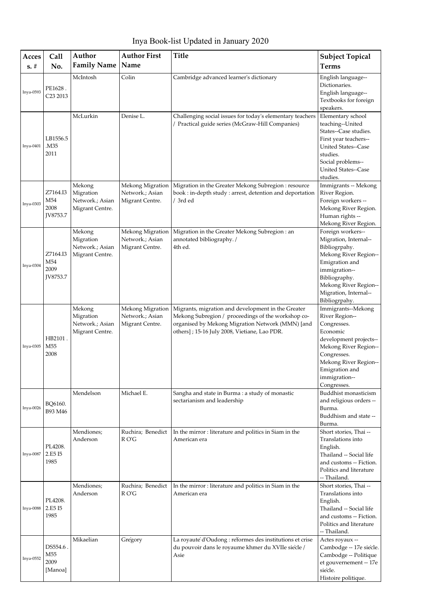Inya Book-list Updated in January 2020

| Acces     | Call                                       | Author                                                    | <b>Author First</b>                                    | <b>Title</b>                                                                                                                                                                                                 | <b>Subject Topical</b>                                                                                                                                                                                       |
|-----------|--------------------------------------------|-----------------------------------------------------------|--------------------------------------------------------|--------------------------------------------------------------------------------------------------------------------------------------------------------------------------------------------------------------|--------------------------------------------------------------------------------------------------------------------------------------------------------------------------------------------------------------|
| $s. \#$   | No.                                        | <b>Family Name</b>                                        | Name                                                   |                                                                                                                                                                                                              | <b>Terms</b>                                                                                                                                                                                                 |
| Inya-0593 | PE1628.<br>C <sub>23</sub> 2013            | McIntosh                                                  | Colin                                                  | Cambridge advanced learner's dictionary                                                                                                                                                                      | English language--<br>Dictionaries.<br>English language--<br>Textbooks for foreign<br>speakers.                                                                                                              |
| Inya-0401 | LB1556.5<br>.M35<br>2011                   | McLurkin                                                  | Denise L.                                              | Challenging social issues for today's elementary teachers<br>/ Practical guide series (McGraw-Hill Companies)                                                                                                | Elementary school<br>teaching--United<br>States--Case studies.<br>First year teachers--<br>United States--Case<br>studies.<br>Social problems--<br>United States--Case<br>studies.                           |
| Inya-0303 | Z7164.I3<br>M54<br>2008<br><b>IV8753.7</b> | Mekong<br>Migration<br>Network.; Asian<br>Migrant Centre. | Mekong Migration<br>Network.; Asian<br>Migrant Centre. | Migration in the Greater Mekong Subregion : resource<br>book : in-depth study : arrest, detention and deportation<br>/ 3rd ed                                                                                | Immigrants -- Mekong<br>River Region.<br>Foreign workers --<br>Mekong River Region.<br>Human rights --<br>Mekong River Region.                                                                               |
| Inya-0304 | Z7164.I3<br>M54<br>2009<br><b>IV8753.7</b> | Mekong<br>Migration<br>Network.; Asian<br>Migrant Centre. | Mekong Migration<br>Network.; Asian<br>Migrant Centre. | Migration in the Greater Mekong Subregion : an<br>annotated bibliography. /<br>4th ed.                                                                                                                       | Foreign workers--<br>Migration, Internal--<br>Bibliogrpahy.<br>Mekong River Region--<br>Emigration and<br>immigration--<br>Bibliography.<br>Mekong River Region--<br>Migration, Internal--<br>Bibliogrpahy.  |
| Inya-0305 | HB2101.<br>M <sub>55</sub><br>2008         | Mekong<br>Migration<br>Network.; Asian<br>Migrant Centre. | Mekong Migration<br>Network.; Asian<br>Migrant Centre. | Migrants, migration and development in the Greater<br>Mekong Subregion / proceedings of the workshop co-<br>organised by Mekong Migration Network (MMN) [and<br>others]; 15-16 July 2008, Vietiane, Lao PDR. | Immigrants--Mekong<br>River Region--<br>Congresses.<br>Economic<br>development projects--<br>Mekong River Region--<br>Congresses.<br>Mekong River Region--<br>Emigration and<br>immigration--<br>Congresses. |
| Inya-0026 | BQ6160.<br>B93 M46                         | Mendelson                                                 | Michael E.                                             | Sangha and state in Burma : a study of monastic<br>sectarianism and leadership                                                                                                                               | Buddhist monasticism<br>and religious orders --<br>Burma.<br>Buddhism and state --<br>Burma.                                                                                                                 |
| Inya-0087 | PL4208.<br>2.E5 I5<br>1985                 | Mendiones;<br>Anderson                                    | Ruchira; Benedict<br>R O'G                             | In the mirror : literature and politics in Siam in the<br>American era                                                                                                                                       | Short stories, Thai --<br>Translations into<br>English.<br>Thailand -- Social life<br>and customs -- Fiction.<br>Politics and literature<br>-- Thailand.                                                     |
| Inya-0088 | PL4208.<br>2.E5 I5<br>1985                 | Mendiones;<br>Anderson                                    | Ruchira; Benedict<br>R O'G                             | In the mirror : literature and politics in Siam in the<br>American era                                                                                                                                       | Short stories, Thai --<br>Translations into<br>English.<br>Thailand -- Social life<br>and customs -- Fiction.<br>Politics and literature<br>-- Thailand.                                                     |
| Inya-0552 | DS554.6.<br>M55<br>2009<br>[Manoa]         | Mikaelian                                                 | Gregory                                                | La royauté d'Oudong : réformes des institutions et crise<br>du pouvoir dans le royaume khmer du XVIIe siècle /<br>Asie                                                                                       | Actes royaux --<br>Cambodge -- 17e siècle.<br>Cambodge -- Politique<br>et gouvernement -- 17e<br>siecle.<br>Histoire politique.                                                                              |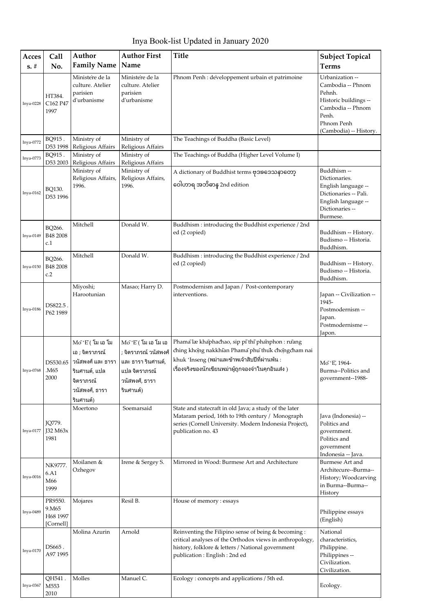Inya Book-list Updated in January 2020

| Acces<br>$s. \#$ | Call<br>No.                               | Author<br><b>Family Name</b>                                                                                                      | <b>Author First</b><br>Name                                                                                            | <b>Title</b>                                                                                                                                                                                                  | <b>Subject Topical</b><br><b>Terms</b>                                                                                                        |
|------------------|-------------------------------------------|-----------------------------------------------------------------------------------------------------------------------------------|------------------------------------------------------------------------------------------------------------------------|---------------------------------------------------------------------------------------------------------------------------------------------------------------------------------------------------------------|-----------------------------------------------------------------------------------------------------------------------------------------------|
| Inya-0228        | HT384.<br>C162 P47<br>1997                | Ministere de la<br>culture. Atelier<br>parisien<br>d'urbanisme                                                                    | Ministere de la<br>culture. Atelier<br>parisien<br>d'urbanisme                                                         | Phnom Penh : developpement urbain et patrimoine                                                                                                                                                               | Urbanization --<br>Cambodia -- Phnom<br>Pehnh.<br>Historic buildings --<br>Cambodia -- Phnom<br>Penh.<br>Phnom Penh<br>(Cambodia) -- History. |
| Inya-0772        | BQ915.<br>D53 1998                        | Ministry of<br>Religious Affairs                                                                                                  | Ministry of<br>Religious Affairs                                                                                       | The Teachings of Buddha (Basic Level)                                                                                                                                                                         |                                                                                                                                               |
| Inya-0773        | BQ915.<br>D53 2003                        | Ministry of<br>Religious Affairs                                                                                                  | Ministry of<br>Religious Affairs                                                                                       | The Teachings of Buddha (Higher Level Volume I)                                                                                                                                                               |                                                                                                                                               |
| Inya-0162        | BQ130.<br>D53 1996                        | Ministry of<br>Religious Affairs,<br>1996.                                                                                        | Ministry of<br>Religious Affairs,<br>1996.                                                                             | A dictionary of Buddhist terms ဗုဒၶဒေသနာတော့<br>ဝေါဟာရ အဘိဓာန္ 2nd edition                                                                                                                                    | Buddhism --<br>Dictionaries.<br>English language --<br>Dictionaries -- Pali.<br>English language --<br>Dictionaries --<br>Burmese.            |
| Inya-0149        | BQ266.<br>B48 2008<br>c.1                 | Mitchell                                                                                                                          | Donald W.                                                                                                              | Buddhism: introducing the Buddhist experience / 2nd<br>ed (2 copied)                                                                                                                                          | Buddhism -- History.<br>Budismo -- Historia.<br>Buddhism.                                                                                     |
| Inya-0150        | BQ266.<br>B48 2008<br>c.2                 | Mitchell                                                                                                                          | Donald W.                                                                                                              | Buddhism: introducing the Buddhist experience / 2nd<br>ed (2 copied)                                                                                                                                          | Buddhism -- History.<br>Budismo -- Historia.<br>Buddhism.                                                                                     |
| Inya-0186        | DS822.5.<br>P62 1989                      | Miyoshi;<br>Harootunian                                                                                                           | Masao; Harry D.                                                                                                        | Postmodernism and Japan / Post-contemporary<br>interventions.                                                                                                                                                 | Japan -- Civilization --<br>1945-<br>Postmodernism --<br>Japan.<br>Postmodernisme --<br>Japon.                                                |
| Inya-0768        | DS530.65<br>M65.<br>2000                  | $M$ o $E$ (โม เอ โม<br>เอ ; จิตราภรณ์<br>วนัสพงศ์ และ ธารา<br>ุรินศานต์, แปล<br>จิตราภรณ์<br>วนัสพงศ์ <i>,</i> ธารา<br>ุรินศานต์) | $M$ o $E$ (โม เอ โม เอ<br>; จิตราภรณ์ วนัสพงศ์<br>และ ธารา รินศานต์,<br>ี แปล จิตราภรณ์<br>วนัสพงศ์, ธารา<br>รินศานต์) | Phama læ khaphachao, sip pi thi phanphon : rưang<br>ching khong nakkhian Phama phu thuk chongcham nai<br>khuk 'Inseng (พม่าและข้าพเจ้าสิบปีที่ผ่านพ้น :<br>เรื่องจริงของนักเขียนพม่าผู้ถูกจองจำในคุกอินเส่ง ) | Mo 'E, 1964-<br>Burma--Politics and<br>government--1988-                                                                                      |
| Inya-0177        | JQ779.<br>J32 M63x<br>1981                | Moertono                                                                                                                          | Soemarsaid                                                                                                             | State and statecraft in old Java; a study of the later<br>Mataram period, 16th to 19th century / Monograph<br>series (Cornell University. Modern Indonesia Project),<br>publication no. 43                    | Java (Indonesia) --<br>Politics and<br>government.<br>Politics and<br>government<br>Indonesia -- Java.                                        |
| Inya-0016        | NK9777.<br>6.A1<br>M66<br>1999            | Moilanen &<br>Ozhegov                                                                                                             | Irene & Sergey S.                                                                                                      | Mirrored in Wood: Burmese Art and Architecture                                                                                                                                                                | Burmese Art and<br>Architecure--Burma--<br>History; Woodcarving<br>in Burma--Burma--<br>History                                               |
| Inya-0489        | PR9550.<br>9.M65<br>H68 1997<br>[Cornell] | Mojares                                                                                                                           | Resil B.                                                                                                               | House of memory : essays                                                                                                                                                                                      | Philippine essays<br>(English)                                                                                                                |
| Inya-0170        | DS665.<br>A97 1995                        | Molina Azurin                                                                                                                     | Arnold                                                                                                                 | Reinventing the Filipino sense of being & becoming:<br>critical analyses of the Orthodox views in anthropology,<br>history, folklore & letters / National government<br>publication: English: 2nd ed          | National<br>characteristics,<br>Philippine.<br>Philippines --<br>Civilization.<br>Civilization.                                               |
| Inya-0367        | QH541.<br>M553<br>2010                    | Molles                                                                                                                            | Manuel C.                                                                                                              | Ecology: concepts and applications / 5th ed.                                                                                                                                                                  | Ecology.                                                                                                                                      |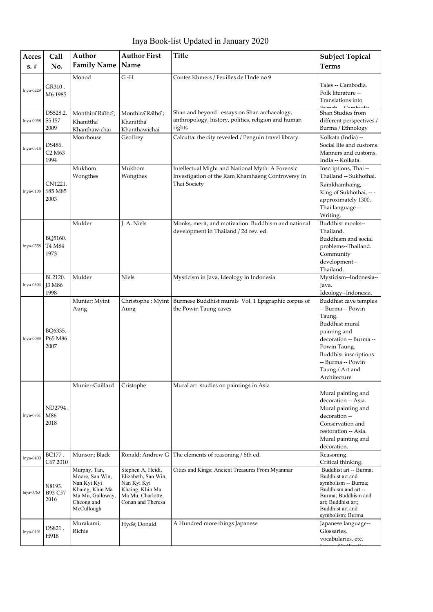Inya Book-list Updated in January 2020

| Acces<br>$s. \#$ | Call<br>No.                                      | Author<br><b>Family Name</b>                                                                                      | <b>Author First</b><br>Name                                                                                          | <b>Title</b>                                                                                                          | <b>Subject Topical</b><br><b>Terms</b>                                                                                                                                                                                   |
|------------------|--------------------------------------------------|-------------------------------------------------------------------------------------------------------------------|----------------------------------------------------------------------------------------------------------------------|-----------------------------------------------------------------------------------------------------------------------|--------------------------------------------------------------------------------------------------------------------------------------------------------------------------------------------------------------------------|
| Inya-0229        | GR310.<br>M6 1985                                | Monod                                                                                                             | $G - H$                                                                                                              | Contes Khmers / Feuilles de l'Inde no 9                                                                               | Tales -- Cambodia.<br>Folk literature --<br>Translations into                                                                                                                                                            |
| Inya-0038        | DS528.2.<br>S5 I57<br>2009                       | Monthira Ratho;<br>Khanittha<br>Khanthawichai                                                                     | Monthira Ratho;<br>Khanittha<br>Khanthawichai                                                                        | Shan and beyond : essays on Shan archaeology,<br>anthropology, history, politics, religion and human<br>rights        | Shan Studies from<br>different perspectives /<br>Burma / Ethnology                                                                                                                                                       |
| Inya-0514        | DS486.<br>C <sub>2</sub> M <sub>63</sub><br>1994 | Moorhouse                                                                                                         | Geoffrey                                                                                                             | Calcutta: the city revealed / Penguin travel library.                                                                 | Kolkata (India) --<br>Social life and customs.<br>Manners and customs.<br>India -- Kolkata.                                                                                                                              |
| Inya-0108        | CN1221.<br>S85 M85<br>2003                       | Mukhom<br>Wongthes                                                                                                | Mukhom<br>Wongthes                                                                                                   | Intellectual Might and National Myth: A Forensic<br>Investigation of the Ram Khamhaeng Controversy in<br>Thai Society | Inscriptions, Thai --<br>Thailand -- Sukhothai.<br>Ramkhamhæng, --<br>King of Sukhothai, -- -<br>approximately 1300.<br>Thai language --<br>Writing.                                                                     |
| Inya-0358        | BQ5160.<br>T4 M84<br>1973                        | Mulder                                                                                                            | J. A. Niels                                                                                                          | Monks, merit, and motivation: Buddhism and national<br>development in Thailand / 2d rev. ed.                          | Buddhist monks--<br>Thailand.<br>Buddhism and social<br>problems--Thailand.<br>Community<br>development--<br>Thailand.                                                                                                   |
| Inya-0604        | BL2120.<br><b>J3 M86</b><br>1998                 | Mulder                                                                                                            | <b>Niels</b>                                                                                                         | Mysticism in Java, Ideology in Indonesia                                                                              | Mysticism--Indonesia--<br>Java.<br>Ideology--Indonesia.                                                                                                                                                                  |
| $Inya-0033$      | BQ6335.<br>P65 M86<br>2007                       | Munier; Myint<br>Aung                                                                                             | Christophe ; Myint<br>Aung                                                                                           | Burmese Buddhist murals Vol. 1 Epigraphic corpus of<br>the Powin Taung caves                                          | Buddhist cave temples<br>-- Burma -- Powin<br>Taung.<br>Buddhist mural<br>painting and<br>decoration -- Burma --<br>Powin Taung.<br><b>Buddhist inscriptions</b><br>-- Burma -- Powin<br>Taung./ Art and<br>Architecture |
| Inya-0751        | ND2794.<br>M86<br>2018                           | Munier-Gaillard                                                                                                   | Cristophe                                                                                                            | Mural art studies on paintings in Asia                                                                                | Mural painting and<br>decoration -- Asia.<br>Mural painting and<br>decoration --<br>Conservation and<br>restoration -- Asia.<br>Mural painting and<br>decoration.                                                        |
| Inya-0400        | BC177.<br>C67 2010                               | Munson; Black                                                                                                     | Ronald; Andrew G                                                                                                     | The elements of reasoning / 6th ed.                                                                                   | Reasoning.<br>Critical thinking.                                                                                                                                                                                         |
| Inya-0763        | N8193.<br>B93 C57<br>2016                        | Murphy, Tan,<br>Moore, San Win,<br>Nan Kyi Kyi<br>Khaing, Khin Ma<br>Ma Mu, Galloway,<br>Cheong and<br>McCullough | Stephen A, Heidi,<br>Elizabeth, San Win,<br>Nan Kyi Kyi<br>Khaing, Khin Ma<br>Ma Mu, Charlotte,<br>Conan and Theresa | Cities and Kings: Ancient Treasures From Myanmar                                                                      | Buddhist art -- Burma;<br>Buddhist art and<br>symbolism -- Burma;<br>Buddhism and art --<br>Burma; Buddhism and<br>art; Buddhist art;<br>Buddhist art and<br>symbolism; Burma                                            |
| Inya-0191        | DS821.<br>H918                                   | Murakami;<br>Richie                                                                                               | Hyoe; Donald                                                                                                         | A Hundred more things Japanese                                                                                        | Japanese language--<br>Glossaries,<br>vocabularies, etc.                                                                                                                                                                 |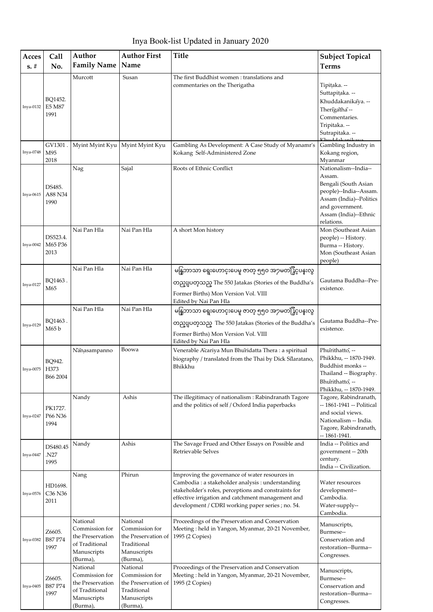Inya Book-list Updated in January 2020

| Acces       | Call                        | Author                                                                                      | <b>Author First</b>                                                                         | <b>Title</b>                                                                                                                                                                                                                                                          | <b>Subject Topical</b>                                                                                                                                                |
|-------------|-----------------------------|---------------------------------------------------------------------------------------------|---------------------------------------------------------------------------------------------|-----------------------------------------------------------------------------------------------------------------------------------------------------------------------------------------------------------------------------------------------------------------------|-----------------------------------------------------------------------------------------------------------------------------------------------------------------------|
| $s. \#$     | No.                         | <b>Family Name</b>                                                                          | Name                                                                                        |                                                                                                                                                                                                                                                                       | <b>Terms</b>                                                                                                                                                          |
| Inya-0132   | BQ1452.<br>E5 M87<br>1991   | Murcott                                                                                     | Susan                                                                                       | The first Buddhist women: translations and<br>commentaries on the Therigatha                                                                                                                                                                                          | Tipitaka. --<br>Suttapitaka. --<br>Khuddakanikaya. --<br>Therigatha-<br>Commentaries.<br>Tripitaka. --<br>Sutrapitaka. --<br>Khuddakanika                             |
| Inya-0748   | GV1301<br>M95<br>2018       | Myint Myint Kyu                                                                             | Myint Myint Kyu                                                                             | Gambling As Development: A Case Study of Myanamr's<br>Kokang Self-Administered Zone                                                                                                                                                                                   | Gambling Industry in<br>Kokang region,<br>Myanmar                                                                                                                     |
| Inya-0615   | DS485.<br>A88 N34<br>1990   | Nag                                                                                         | Sajal                                                                                       | Roots of Ethnic Conflict                                                                                                                                                                                                                                              | Nationalism--India--<br>Assam.<br>Bengali (South Asian<br>people)--India--Assam.<br>Assam (India)--Politics<br>and government.<br>Assam (India)--Ethnic<br>relations. |
| $Inya-0042$ | DS523.4.<br>M65 P36<br>2013 | Nai Pan Hla                                                                                 | Nai Pan Hla                                                                                 | A short Mon history                                                                                                                                                                                                                                                   | Mon (Southeast Asian<br>people) -- History.<br>Burma -- History.<br>Mon (Southeast Asian<br>people)                                                                   |
| Inya-0127   | BQ1463.<br>M65              | Nai Pan Hla                                                                                 | Nai Pan Hla                                                                                 | မန္ဒြဘာသာ ရွေးဟောင္းပေမှု ဇာတ္ ၅၅၀ အ႒မတန္ဖြိဳင္၀န္းလွ<br>တည္ျပတ္သည္ The 550 Jatakas (Stories of the Buddha's<br>Former Births) Mon Version Vol. VIII<br>Edited by Nai Pan Hla                                                                                         | Gautama Buddha--Pre-<br>existence.                                                                                                                                    |
| Inya-0129   | BQ1463.<br>M65 b            | Nai Pan Hla                                                                                 | Nai Pan Hla                                                                                 | မန္ဒြဘာသာ ရွေးဟောင္းပေမူ ဇာတ္ ၅၅၀ အ႒မတန္ဖြိဳင္ပပန္းလွ<br>တည္ျပတ္သည္ The 550 Jatakas (Stories of the Buddha's<br>Former Births) Mon Version Vol. VIII<br>Edited by Nai Pan Hla                                                                                         | Gautama Buddha--Pre-<br>existence.                                                                                                                                    |
| Inya-0075   | BQ942.<br>H373<br>B66 2004  | Nāņasampanno                                                                                | Boowa                                                                                       | Venerable Acariya Mun Bhuridatta Thera : a spiritual<br>biography / translated from the Thai by Dick Silaratano,<br>Bhikkhu                                                                                                                                           | Phurithatto, --<br>Phikkhu, -- 1870-1949.<br>Buddhist monks --<br>Thailand -- Biography.<br>Bhurithatto, --<br>Phikkhu, -- 1870-1949.                                 |
| Inya-0247   | PK1727.<br>P66 N36<br>1994  | Nandy                                                                                       | Ashis                                                                                       | The illegitimacy of nationalism : Rabindranath Tagore<br>and the politics of self / Oxford India paperbacks                                                                                                                                                           | Tagore, Rabindranath,<br>-- 1861-1941 -- Political<br>and social views.<br>Nationalism -- India.<br>Tagore, Rabindranath,<br>-- 1861-1941.                            |
| Inya-0447   | DS480.45<br>N27.<br>1995    | Nandy                                                                                       | Ashis                                                                                       | The Savage Frued and Other Essays on Possible and<br><b>Retrievable Selves</b>                                                                                                                                                                                        | India -- Politics and<br>government -- 20th<br>century.<br>India -- Civilization.                                                                                     |
| Inya-0576   | HD1698.<br>C36 N36<br>2011  | Nang                                                                                        | Phirun                                                                                      | Improving the governance of water resources in<br>Cambodia : a stakeholder analysis : understanding<br>stakeholder's roles, perceptions and constraints for<br>effective irrigation and catchment management and<br>development / CDRI working paper series ; no. 54. | Water resources<br>development--<br>Cambodia.<br>Water-supply--<br>Cambodia.                                                                                          |
| Inya-0382   | Z6605.<br>B87 P74<br>1997   | National<br>Commission for<br>the Preservation<br>of Traditional<br>Manuscripts<br>(Burma), | National<br>Commission for<br>the Preservation of<br>Traditional<br>Manuscripts<br>(Burma), | Proceedings of the Preservation and Conservation<br>Meeting: held in Yangon, Myanmar, 20-21 November,<br>1995 (2 Copies)                                                                                                                                              | Manuscripts,<br>Burmese--<br>Conservation and<br>restoration--Burma--<br>Congresses.                                                                                  |
| Inya-0405   | Z6605.<br>B87 P74<br>1997   | National<br>Commission for<br>the Preservation<br>of Traditional<br>Manuscripts<br>(Burma), | National<br>Commission for<br>the Preservation of<br>Traditional<br>Manuscripts<br>(Burma), | Proceedings of the Preservation and Conservation<br>Meeting: held in Yangon, Myanmar, 20-21 November,<br>1995 (2 Copies)                                                                                                                                              | Manuscripts,<br>Burmese--<br>Conservation and<br>restoration--Burma--<br>Congresses.                                                                                  |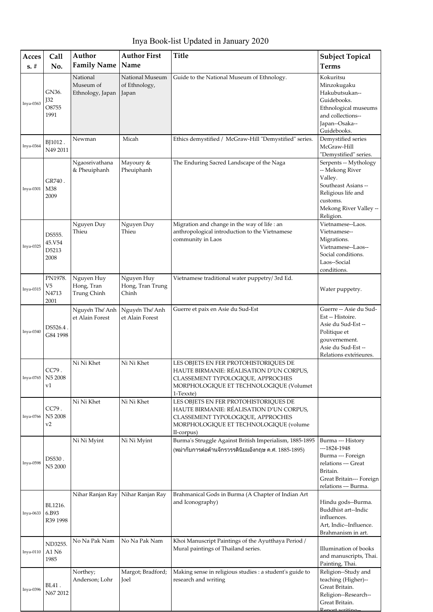Inya Book-list Updated in January 2020

| Acces     | Call<br>No.                                         | Author<br><b>Family Name</b>              | <b>Author First</b><br>Name               | <b>Title</b>                                                                                                                                                                   | <b>Subject Topical</b><br><b>Terms</b>                                                                                                              |
|-----------|-----------------------------------------------------|-------------------------------------------|-------------------------------------------|--------------------------------------------------------------------------------------------------------------------------------------------------------------------------------|-----------------------------------------------------------------------------------------------------------------------------------------------------|
| $s. \#$   |                                                     |                                           |                                           |                                                                                                                                                                                |                                                                                                                                                     |
| Inya-0363 | GN36.<br>J32<br>O8755<br>1991                       | National<br>Museum of<br>Ethnology, Japan | National Museum<br>of Ethnology,<br>Japan | Guide to the National Museum of Ethnology.                                                                                                                                     | Kokuritsu<br>Minzokugaku<br>Hakubutsukan--<br>Guidebooks.<br>Ethnological museums<br>and collections--<br>Japan--Osaka--<br>Guidebooks.             |
| Inya-0364 | BJ1012.<br>N49 2011                                 | Newman                                    | Micah                                     | Ethics demystified / McGraw-Hill "Demystified" series.                                                                                                                         | Demystified series<br>McGraw-Hill<br>"Demystified" series.                                                                                          |
| Inya-0301 | GR740.<br>M38<br>2009                               | Ngaosrivathana<br>& Pheuiphanh            | Mayoury &<br>Pheuiphanh                   | The Enduring Sacred Landscape of the Naga                                                                                                                                      | Serpents -- Mythology<br>-- Mekong River<br>Valley.<br>Southeast Asians --<br>Religious life and<br>customs.<br>Mekong River Valley --<br>Religion. |
| Inya-0325 | DS555.<br>45.V54<br>D5213<br>2008                   | Nguyen Duy<br>Thieu                       | Nguyen Duy<br>Thieu                       | Migration and change in the way of life : an<br>anthropological introduction to the Vietnamese<br>community in Laos                                                            | Vietnamese--Laos.<br>Vietnamese--<br>Migrations.<br>Vietnamese--Laos--<br>Social conditions.<br>Laos--Social<br>conditions.                         |
| Inya-0315 | PN1978.<br>V <sub>5</sub><br>N4713<br>2001          | Nguyen Huy<br>Hong, Tran<br>Trung Chinh   | Nguyen Huy<br>Hong, Tran Trung<br>Chinh   | Vietnamese traditional water puppetry/3rd Ed.                                                                                                                                  | Water puppetry.                                                                                                                                     |
| Inya-0340 | DS526.4.<br>G84 1998                                | Nguyên Thế Anh<br>et Alain Forest         | Nguyên Thế Anh<br>et Alain Forest         | Guerre et paix en Asie du Sud-Est                                                                                                                                              | Guerre -- Asie du Sud-<br>Est -- Histoire.<br>Asie du Sud-Est --<br>Politique et<br>gouvernement.<br>Asie du Sud-Est--<br>Relations exterieures.    |
| Inya-0765 | CC79.<br>N5 2008<br>v1                              | Ni Ni Khet                                | Ni Ni Khet                                | LES OBJETS EN FER PROTOHISTORIQUES DE<br>HAUTE BIRMANIE: RÉALISATION D'UN CORPUS,<br>CLASSEMENT TYPOLOGIQUE, APPROCHES<br>MORPHOLOGIQUE ET TECHNOLOGIQUE (Volumet<br>1-Texxte) |                                                                                                                                                     |
| Inya-0766 | CC79.<br>N5 2008<br>v2                              | Ni Ni Khet                                | Ni Ni Khet                                | LES OBJETS EN FER PROTOHISTORIQUES DE<br>HAUTE BIRMANIE: RÉALISATION D'UN CORPUS,<br>CLASSEMENT TYPOLOGIQUE, APPROCHES<br>MORPHOLOGIQUE ET TECHNOLOGIQUE (volume<br>II-corpus) |                                                                                                                                                     |
| Inya-0598 | $\mathtt{D} \mathtt{S}530$ .<br>N <sub>5</sub> 2000 | Ni Ni Myint                               | Ni Ni Myint                               | Burma's Struggle Against British Imperialism, 1885-1895<br>(พม่ากับการต่อต้านจักรวรรดินิยมอังกฤษ ค.ศ. 1885-1895)                                                               | Burma --- History<br>$-1824-1948$<br>Burma --- Foreign<br>relations --- Great<br>Britain.<br>Great Britain--- Foreign<br>relations --- Burma.       |
| Inya-0633 | BL1216.<br>6.B93<br>R39 1998                        | Nihar Ranjan Ray                          | Nihar Ranjan Ray                          | Brahmanical Gods in Burma (A Chapter of Indian Art<br>and Iconography)                                                                                                         | Hindu gods--Burma.<br>Buddhist art--Indic<br>influences.<br>Art, Indic--Influence.<br>Brahmanism in art.                                            |
| Inya-0110 | ND3255.<br>A1 N6<br>1985                            | No Na Pak Nam                             | No Na Pak Nam                             | Khoi Manuscript Paintings of the Ayutthaya Period /<br>Mural paintings of Thailand series.                                                                                     | Illumination of books<br>and manuscripts, Thai.<br>Painting, Thai.                                                                                  |
| Inya-0396 | BL41.<br>N67 2012                                   | Northey;<br>Anderson; Lohr                | Margot; Bradford;<br>Joel                 | Making sense in religious studies : a student's guide to<br>research and writing                                                                                               | Religion--Study and<br>teaching (Higher)--<br>Great Britain.<br>Religion--Research--<br>Great Britain.<br>Report writing                            |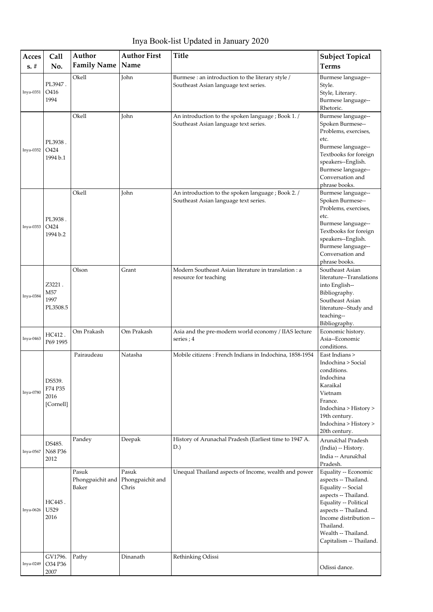Inya Book-list Updated in January 2020

| Acces<br>$s. \#$ | Call<br>No.                            | Author<br><b>Family Name</b>       | <b>Author First</b><br>Name        | <b>Title</b>                                                                                | <b>Subject Topical</b><br><b>Terms</b>                                                                                                                                                                                               |
|------------------|----------------------------------------|------------------------------------|------------------------------------|---------------------------------------------------------------------------------------------|--------------------------------------------------------------------------------------------------------------------------------------------------------------------------------------------------------------------------------------|
|                  | PL3947.                                | Okell                              | <b>John</b>                        | Burmese : an introduction to the literary style /                                           | Burmese language--                                                                                                                                                                                                                   |
| Inya-0351        | O416<br>1994                           |                                    |                                    | Southeast Asian language text series.                                                       | Style.<br>Style, Literary.<br>Burmese language--<br>Rhetoric.                                                                                                                                                                        |
| Inya-0352        | PL3938.<br>O424<br>1994 b.1            | Okell                              | John                               | An introduction to the spoken language ; Book 1. /<br>Southeast Asian language text series. | Burmese language--<br>Spoken Burmese--<br>Problems, exercises,<br>etc.<br>Burmese language--<br>Textbooks for foreign<br>speakers--English.<br>Burmese language--<br>Conversation and<br>phrase books.                               |
| Inya-0353        | PL3938.<br>O424<br>1994 b.2            | Okell                              | John                               | An introduction to the spoken language ; Book 2. /<br>Southeast Asian language text series. | Burmese language--<br>Spoken Burmese--<br>Problems, exercises,<br>etc.<br>Burmese language--<br>Textbooks for foreign<br>speakers--English.<br>Burmese language--<br>Conversation and<br>phrase books.                               |
| Inya-0384        | Z3221.<br>M57<br>1997<br>PL3508.5      | Olson                              | Grant                              | Modern Southeast Asian literature in translation : a<br>resource for teaching               | Southeast Asian<br>literature--Translations<br>into English--<br>Bibliography.<br>Southeast Asian<br>literature--Study and<br>teaching--<br>Bibliography.                                                                            |
| Inya-0463        | HC412.<br>P69 1995                     | Om Prakash                         | Om Prakash                         | Asia and the pre-modern world economy / IIAS lecture<br>series; 4                           | Economic history.<br>Asia--Economic<br>conditions.                                                                                                                                                                                   |
| Inya-0780        | DS539.<br>F74 P35<br>2016<br>[Cornell] | Pairaudeau                         | Natasha                            | Mobile citizens : French Indians in Indochina, 1858-1954                                    | East Indians ><br>Indochina > Social<br>conditions.<br>Indochina<br>Karaikal<br>Vietnam<br>France.<br>Indochina > History ><br>19th century.<br>Indochina > History ><br>20th century.                                               |
| Inya-0567        | DS485.<br>N68 P36<br>2012              | Pandey                             | Deepak                             | History of Arunachal Pradesh (Earliest time to 1947 A.<br>D.)                               | Arunachal Pradesh<br>(India) -- History.<br>India -- Arunachal<br>Pradesh.                                                                                                                                                           |
| Inya-0626        | HC445.<br>U529<br>2016                 | Pasuk<br>Phongpaichit and<br>Baker | Pasuk<br>Phongpaichit and<br>Chris | Unequal Thailand aspects of Income, wealth and power                                        | Equality -- Economic<br>aspects -- Thailand.<br>Equality -- Social<br>aspects -- Thailand.<br>Equality -- Political<br>aspects -- Thailand.<br>Income distribution --<br>Thailand.<br>Wealth -- Thailand.<br>Capitalism -- Thailand. |
| Inya-0249        | GV1796.<br>O34 P36<br>2007             | Pathy                              | Dinanath                           | Rethinking Odissi                                                                           | Odissi dance.                                                                                                                                                                                                                        |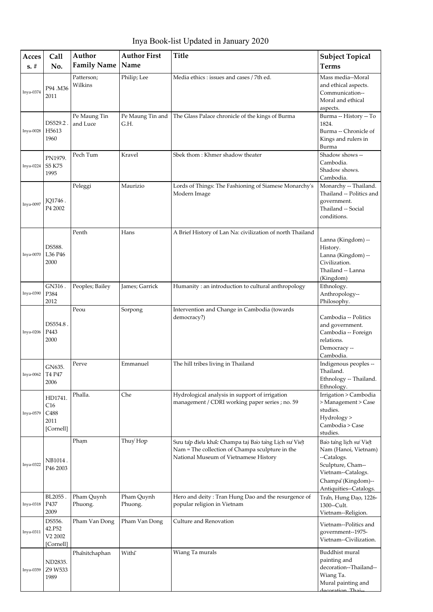Inya Book-list Updated in January 2020

| Acces     | Call                                                    | Author                   | <b>Author First</b>      | <b>Title</b>                                                                                                                                   | <b>Subject Topical</b>                                                                                                                                  |
|-----------|---------------------------------------------------------|--------------------------|--------------------------|------------------------------------------------------------------------------------------------------------------------------------------------|---------------------------------------------------------------------------------------------------------------------------------------------------------|
| $s. \#$   | No.                                                     | <b>Family Name</b>       | Name                     |                                                                                                                                                | <b>Terms</b>                                                                                                                                            |
| Inya-0374 | P94.M36<br>2011                                         | Patterson;<br>Wilkins    | Philip; Lee              | Media ethics: issues and cases / 7th ed.                                                                                                       | Mass media--Moral<br>and ethical aspects.<br>Communication--<br>Moral and ethical<br>aspects.                                                           |
| Inya-0028 | DS529.2<br>H5613<br>1960                                | Pe Maung Tin<br>and Luce | Pe Maung Tin and<br>G.H. | The Glass Palace chronicle of the kings of Burma                                                                                               | Burma -- History -- To<br>1824.<br>Burma -- Chronicle of<br>Kings and rulers in<br>Burma                                                                |
| Inya-0224 | PN1979.<br>S5 K75<br>1995                               | Pech Tum                 | Kravel                   | Sbek thom: Khmer shadow theater                                                                                                                | Shadow shows --<br>Cambodia.<br>Shadow shows.<br>Cambodia.                                                                                              |
| Inya-0097 | JQ1746.<br>P4 2002                                      | Peleggi                  | Maurizio                 | Lords of Things: The Fashioning of Siamese Monarchy's<br>Modern Image                                                                          | Monarchy -- Thailand.<br>Thailand -- Politics and<br>government.<br>Thailand -- Social<br>conditions.                                                   |
| Inya-0070 | DS588.<br>L36 P46<br>2000                               | Penth                    | Hans                     | A Brief History of Lan Na: civilization of north Thailand                                                                                      | Lanna (Kingdom) --<br>History.<br>Lanna (Kingdom) --<br>Civilization.<br>Thailand -- Lanna<br>(Kingdom)                                                 |
| Inya-0390 | GN316.<br>P384<br>2012                                  | Peoples; Bailey          | James; Garrick           | Humanity : an introduction to cultural anthropology                                                                                            | Ethnology.<br>Anthropology--<br>Philosophy.                                                                                                             |
| Inya-0206 | DS554.8.<br>P443<br>2000                                | Peou                     | Sorpong                  | Intervention and Change in Cambodia (towards<br>democracy?)                                                                                    | Cambodia -- Politics<br>and government.<br>Cambodia -- Foreign<br>relations.<br>Democracy --<br>Cambodia.                                               |
| Inya-0062 | GN635.<br>T4 P47<br>2006                                | Perve                    | Emmanuel                 | The hill tribes living in Thailand                                                                                                             | Indigenous peoples --<br>Thailand.<br>Ethnology -- Thailand.<br>Ethnology.                                                                              |
| Inya-0579 | HD1741.<br>C16<br>C <sub>488</sub><br>2011<br>[Cornell] | Phalla.                  | Che                      | Hydrological analysis in support of irrigation<br>management / CDRI working paper series ; no. 59                                              | Irrigation > Cambodia<br>> Management > Case<br>studies.<br>Hydrology ><br>Cambodia > Case<br>studies.                                                  |
| Inya-0322 | NB1014.<br>P46 2003                                     | Pham                     | Thuy Hop                 | Sưu tap đieu khać Champa tai Bao tang Lịch sư Viet<br>Nam = The collection of Champa sculpture in the<br>National Museum of Vietnamese History | Bao tang lịch sư Việt<br>Nam (Hanoi, Vietnam)<br>--Catalogs.<br>Sculpture, Cham--<br>Vietnam--Catalogs.<br>Champa (Kingdom)--<br>Antiquities--Catalogs. |
| Inya-0318 | BL2055.<br>P437<br>2009                                 | Pham Quynh<br>Phuong.    | Pham Quynh<br>Phuong.    | Hero and deity: Tran Hung Dao and the resurgence of<br>popular religion in Vietnam                                                             | Tran, Hưng Đạo, 1226-<br>1300--Cult.<br>Vietnam--Religion.                                                                                              |
| Inya-0311 | DS556.<br>42.P52<br>V2 2002<br>[Cornell]                | Pham Van Dong            | Pham Van Dong            | Culture and Renovation                                                                                                                         | Vietnam--Politics and<br>government--1975-<br>Vietnam--Civilization.                                                                                    |
| Inya-0359 | ND2835.<br>Z9 W533<br>1989                              | Phanitchaphan            | Withi                    | Wiang Ta murals                                                                                                                                | Buddhist mural<br>painting and<br>decoration--Thailand--<br>Wiang Ta.<br>Mural painting and<br>decoration Thai.                                         |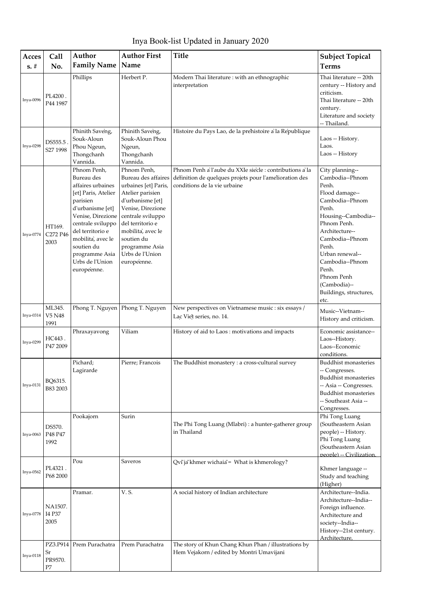Inya Book-list Updated in January 2020

| Acces     | Call                                        | Author                                                                                                                                                                                                                                                     | <b>Author First</b>                                                                                                                                                                                                                                     | <b>Title</b>                                                                                                                                        | <b>Subject Topical</b>                                                                                                                                                                                                                                                                       |
|-----------|---------------------------------------------|------------------------------------------------------------------------------------------------------------------------------------------------------------------------------------------------------------------------------------------------------------|---------------------------------------------------------------------------------------------------------------------------------------------------------------------------------------------------------------------------------------------------------|-----------------------------------------------------------------------------------------------------------------------------------------------------|----------------------------------------------------------------------------------------------------------------------------------------------------------------------------------------------------------------------------------------------------------------------------------------------|
| $s. \#$   | No.                                         | <b>Family Name</b>                                                                                                                                                                                                                                         | Name                                                                                                                                                                                                                                                    |                                                                                                                                                     | <b>Terms</b>                                                                                                                                                                                                                                                                                 |
| Inya-0096 | PL4200.<br>P44 1987                         | Phillips                                                                                                                                                                                                                                                   | Herbert P.                                                                                                                                                                                                                                              | Modern Thai literature : with an ethnographic<br>interpretation                                                                                     | Thai literature -- 20th<br>century -- History and<br>criticism.<br>Thai literature -- 20th<br>century.<br>Literature and society<br>-- Thailand.                                                                                                                                             |
| Inya-0298 | DS555.5<br>S27 1998                         | Phinith Saveng,<br>Souk-Aloun<br>Phou Ngeun,<br>Thongchanh<br>Vannida.                                                                                                                                                                                     | Phinith Saveng,<br>Souk-Aloun Phou<br>Ngeun,<br>Thongchanh<br>Vannida.                                                                                                                                                                                  | Histoire du Pays Lao, de la prehistoire a' la Republique                                                                                            | Laos -- History.<br>Laos.<br>Laos -- History                                                                                                                                                                                                                                                 |
| Inya-0774 | HT169.<br>C272 P46<br>2003                  | Phnom Penh,<br>Bureau des<br>affaires urbaines<br>[et] Paris, Atelier<br>parisien<br>d'urbanisme [et]<br>Venise, Direzione<br>centrale sviluppo<br>del territorio e<br>mobilita, avec le<br>soutien du<br>programme Asia<br>Urbs de l'Union<br>européenne. | Phnom Penh,<br>Bureau des affaires<br>urbaines [et] Paris,<br>Atelier parisien<br>d'urbanisme [et]<br>Venise, Direzione<br>centrale sviluppo<br>del territorio e<br>mobilità, avec le<br>soutien du<br>programme Asia<br>Urbs de l'Union<br>européenne. | Phnom Penh a' l'aube du XXIe siècle : contributions a' la<br>definition de quelques projets pour l'amelioration des<br>conditions de la vie urbaine | City planning--<br>Cambodia--Phnom<br>Penh.<br>Flood damage--<br>Cambodia--Phnom<br>Penh.<br>Housing--Cambodia--<br>Phnom Penh.<br>Architecture--<br>Cambodia--Phnom<br>Penh.<br>Urban renewal--<br>Cambodia--Phnom<br>Penh.<br>Phnom Penh<br>(Cambodia)--<br>Buildings, structures,<br>etc. |
| Inya-0314 | ML345.<br>V5 N48<br>1991                    | Phong T. Nguyen                                                                                                                                                                                                                                            | Phong T. Nguyen                                                                                                                                                                                                                                         | New perspectives on Vietnamese music : six essays /<br>Lac Viet series, no. 14.                                                                     | Music--Vietnam--<br>History and criticism.                                                                                                                                                                                                                                                   |
| Inya-0299 | HC443.<br>P47 2009                          | Phraxayavong                                                                                                                                                                                                                                               | Viliam                                                                                                                                                                                                                                                  | History of aid to Laos: motivations and impacts                                                                                                     | Economic assistance--<br>Laos--History.<br>Laos--Economic<br>conditions.                                                                                                                                                                                                                     |
| Inya-0131 | BQ6315.<br>B83 2003                         | Pichard;<br>Lagirarde                                                                                                                                                                                                                                      | Pierre; Francois                                                                                                                                                                                                                                        | The Buddhist monastery : a cross-cultural survey                                                                                                    | Buddhist monasteries<br>-- Congresses.<br><b>Buddhist monasteries</b><br>-- Asia -- Congresses.<br><b>Buddhist monasteries</b><br>-- Southeast Asia --<br>Congresses.                                                                                                                        |
| Inya-0063 | DS570.<br>P48 P47<br>1992                   | Pookajorn                                                                                                                                                                                                                                                  | Surin                                                                                                                                                                                                                                                   | The Phi Tong Luang (Mlabri) : a hunter-gatherer group<br>in Thailand                                                                                | Phi Tong Luang<br>(Southeastern Asian<br>people) -- History.<br>Phi Tong Luang<br>(Southeastern Asian<br>people) -- Civilization.                                                                                                                                                            |
| Inya-0562 | PL4321.<br>P68 2000                         | Pou                                                                                                                                                                                                                                                        | Saveros                                                                                                                                                                                                                                                 | Qvī jā khmer wichaiā = What is khmerology?                                                                                                          | Khmer language --<br>Study and teaching<br>(Higher)                                                                                                                                                                                                                                          |
| Inya-0778 | NA1507.<br>I4 P37<br>2005                   | Pramar.                                                                                                                                                                                                                                                    | V. S.                                                                                                                                                                                                                                                   | A social history of Indian architecture                                                                                                             | Architecture--India.<br>Architecture--India--<br>Foreign influence.<br>Architecture and<br>society--India--<br>History--21st century.<br>Architecture.                                                                                                                                       |
| Inya-0118 | PZ3.P914<br>$\rm Sr$<br>PR9570.<br>$\rm P7$ | Prem Purachatra                                                                                                                                                                                                                                            | Prem Purachatra                                                                                                                                                                                                                                         | The story of Khun Chang Khun Phan / illustrations by<br>Hem Vejakorn / edited by Montri Umavijani                                                   |                                                                                                                                                                                                                                                                                              |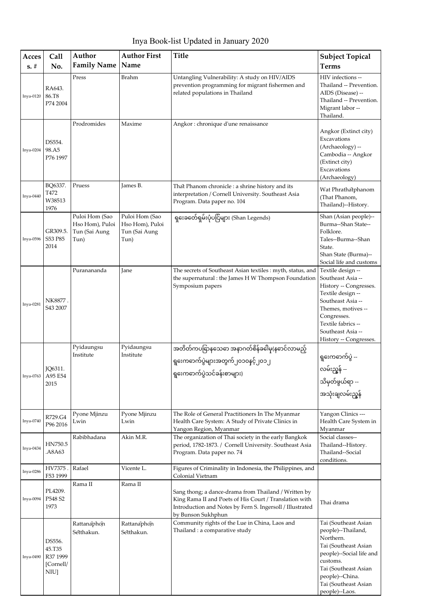Inya Book-list Updated in January 2020

| Acces<br>$s. \#$ | Call<br>No.                                             | Author<br><b>Family Name</b>                               | <b>Author First</b><br>Name                                | <b>Title</b>                                                                                                                                                                                      | <b>Subject Topical</b><br><b>Terms</b>                                                                                                                                                                               |
|------------------|---------------------------------------------------------|------------------------------------------------------------|------------------------------------------------------------|---------------------------------------------------------------------------------------------------------------------------------------------------------------------------------------------------|----------------------------------------------------------------------------------------------------------------------------------------------------------------------------------------------------------------------|
| $Inya-0120$      | RA643.<br>86.T8<br>P74 2004                             | Press                                                      | <b>Brahm</b>                                               | Untangling Vulnerability: A study on HIV/AIDS<br>prevention programming for migrant fishermen and<br>related populations in Thailand                                                              | HIV infections --<br>Thailand -- Prevention.<br>AIDS (Disease) --<br>Thailand -- Prevention.<br>Migrant labor --<br>Thailand.                                                                                        |
| $Inya-0204$      | DS554.<br>98.A5<br>P76 1997                             | Prodromides                                                | Maxime                                                     | Angkor: chronique d'une renaissance                                                                                                                                                               | Angkor (Extinct city)<br>Excavations<br>(Archaeology) --<br>Cambodia -- Angkor<br>(Extinct city)<br>Excavations<br>(Archaeology)                                                                                     |
| Inya-0440        | BQ6337.<br>T472<br>W38513<br>1976                       | Pruess                                                     | James B.                                                   | That Phanom chronicle : a shrine history and its<br>interpretation / Cornell University. Southeast Asia<br>Program. Data paper no. 104                                                            | Wat Phrathatphanom<br>(That Phanom,<br>Thailand)--History.                                                                                                                                                           |
| Inya-0596        | GR309.5.<br>S53 P85<br>2014                             | Puloi Hom (Sao<br>Hso Hom), Puloi<br>Tun (Sai Aung<br>Tun) | Puloi Hom (Sao<br>Hso Hom), Puloi<br>Tun (Sai Aung<br>Tun) | ရှးေခတ်ေရှမ်းပုံပငြ်များ (Shan Legends)                                                                                                                                                           | Shan (Asian people)--<br>Burma--Shan State--<br>Folklore.<br>Tales--Burma--Shan<br>State.<br>Shan State (Burma)--<br>Social life and customs                                                                         |
| Inya-0281        | NK8877.<br>S43 2007                                     | Puranananda                                                | Jane                                                       | The secrets of Southeast Asian textiles : myth, status, and<br>the supernatural : the James H W Thompson Foundation<br>Symposium papers                                                           | Textile design --<br>Southeast Asia --<br>History -- Congresses.<br>Textile design --<br>Southeast Asia --<br>Themes, motives --<br>Congresses.<br>Textile fabrics --<br>Southeast Asia --<br>History -- Congresses. |
| Inya-0763        | JQ6311.<br>A95 E54<br>2015                              | Pyidaungsu<br>Institute                                    | Pyidaungsu<br>Institute                                    | အတိတ်ကပခြာနသေဓာ အနာဂတ်စိန်ခဓါမှ(နဓာင်လာမည့်<br>ရှၗေကဓာက်ပွဲများအတွက်၂၀၁၀နင့်၂၀၁၂<br>ရွေးကဓာက်ပွဲသင်ခန်းစာများ)                                                                                    | ရွးေကဓာက်ပွဲ --<br>လမ်းညွှန် --<br>သိမှတ်ဖွယ်ရာ --<br>အသုံးချလမ်းညွ့န်                                                                                                                                               |
| Inya-0740        | R729.G4<br>P96 2016                                     | Pyone Mjinzu<br>Lwin                                       | Pyone Mjinzu<br>Lwin                                       | The Role of General Practitioners In The Myanmar<br>Health Care System: A Study of Private Clinics in<br>Yangon Region, Myanmar                                                                   | Yangon Clinics ---<br>Health Care System in<br>Myanmar                                                                                                                                                               |
| Inya-0434        | HN750.5<br>.A8A63                                       | Rabibhadana                                                | Akin M.R.                                                  | The organization of Thai society in the early Bangkok<br>period, 1782-1873. / Cornell University. Southeast Asia<br>Program. Data paper no. 74                                                    | Social classes--<br>Thailand--History.<br>Thailand--Social<br>conditions.                                                                                                                                            |
| Inya-0286        | HV7375.<br>F53 1999                                     | Rafael                                                     | Vicente L.                                                 | Figures of Criminality in Indonesia, the Philippines, and<br>Colonial Vietnam                                                                                                                     |                                                                                                                                                                                                                      |
| Inya-0094        | PL4209.<br>P548 S2<br>1973                              | Rama II                                                    | Rama II                                                    | Sang thong; a dance-drama from Thailand / Written by<br>King Rama II and Poets of His Court / Translation with<br>Introduction and Notes by Fern S. Ingersoll / Illustrated<br>by Bunson Sukhphun | Thai drama                                                                                                                                                                                                           |
| Inya-0490        | DS556.<br>45.T35<br>R37 1999<br>[Cornell/<br><b>NIU</b> | Rattanaphon<br>Setthakun.                                  | Rattanaphon<br>Setthakun.                                  | Community rights of the Lue in China, Laos and<br>Thailand : a comparative study                                                                                                                  | Tai (Southeast Asian<br>people)--Thailand,<br>Northern.<br>Tai (Southeast Asian<br>people)--Social life and<br>customs.<br>Tai (Southeast Asian<br>people)--China.<br>Tai (Southeast Asian<br>people)--Laos.         |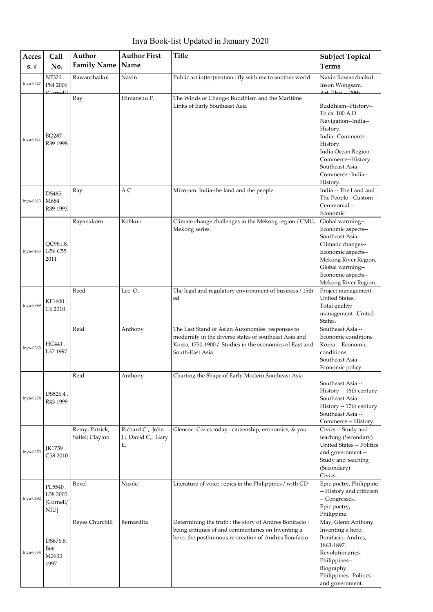| Acces       | Call                                           | Author                            | <b>Author First</b>                          | <b>Title</b>                                                                                                                                                                            | <b>Subject Topical</b>                                                                                                                                                                                        |
|-------------|------------------------------------------------|-----------------------------------|----------------------------------------------|-----------------------------------------------------------------------------------------------------------------------------------------------------------------------------------------|---------------------------------------------------------------------------------------------------------------------------------------------------------------------------------------------------------------|
| $s. \#$     | No.                                            | <b>Family Name</b>                | Name                                         |                                                                                                                                                                                         | <b>Terms</b>                                                                                                                                                                                                  |
| Inya-0527   | N7321.<br>P84 2006<br>$IC$ ornelll             | Rawanchaikul                      | Navin                                        | Public art in(ter)vention : fly with me to another world                                                                                                                                | Navin Rawanchaikul.<br>Inson Wongsam.<br>$Art$ Thai -- $20th$                                                                                                                                                 |
| $Inya-0611$ | BQ287.<br>R39 1998                             | Ray                               | Himanshu P.                                  | The Winds of Change: Buddhism and the Maritime<br>Links of Early Southeast Asia                                                                                                         | Buddhism--History--<br>To ca. 100 A.D.<br>Navigation--India--<br>History.<br>India--Commerce--<br>History.<br>India Ocean Region--<br>Commerce--History.<br>Southeast Asia--<br>Commerce--India--<br>History. |
| Inya-0613   | DS485.<br>M684<br>R39 1993                     | Ray                               | A C                                          | Mizoram: India-the land and the people                                                                                                                                                  | India -- The Land and<br>The People --Custom --<br>Ceremonial --<br>Economic                                                                                                                                  |
| Inya-0455   | QC981.8.<br>G56 C55<br>2011                    | Rayanakorn                        | Kobkun                                       | Climate change challenges in the Mekong region / CMU,<br>Mekong series.                                                                                                                 | Global warming--<br>Economic aspects--<br>Southeast Asia.<br>Climatic changes--<br>Economic aspects--<br>Mekong River Region.<br>Global warming--<br>Economic aspects--<br>Mekong River Region.               |
| Inya-0389   | KF1600.<br>C <sub>6</sub> 2010                 | Reed                              | Lee O.                                       | The legal and regulatory environment of business / 15th<br>ed                                                                                                                           | Project management--<br>United States.<br>Total quality<br>management--United<br>States.                                                                                                                      |
| Inya-0263   | HC441.<br>L37 1997                             | Reid                              | Anthony                                      | The Last Stand of Asian Autonomies: responses to<br>modernity in the diverse states of southeast Asia and<br>Korea, 1750-1900 / Studies in the economies of East and<br>South-East Asia | Southeast Asia --<br>Economic conditions.<br>Korea -- Economic<br>conditions.<br>Southeast Asia --<br>Economic policy.                                                                                        |
| Inya-0274   | DS526.4.<br>R43 1999                           | Reid                              | Anthony                                      | Charting the Shape of Early Modern Southeast Asia                                                                                                                                       | Southeast Asia --<br>History -- 16th century.<br>Southeast Asia --<br>History -- 17th century.<br>Southeast Asia --<br>Commerce -- History.                                                                   |
| Inya-0379   | JK1759.<br>C58 2010                            | Remy; Patrick;<br>Saffel; Clayton | Richard C.; John<br>J.; David C.; Gary<br>Е. | Glencoe. Civics today : citizenship, economics, & you                                                                                                                                   | Civics -- Study and<br>teaching (Secondary)<br>United States -- Politics<br>and government --<br>Study and teaching<br>(Secondary)<br>Civics.                                                                 |
| Inya-0492   | PL5540.<br>L58 2005<br>[Cornell/<br><b>NIU</b> | Revel                             | Nicole                                       | Literature of voice : epics in the Philippines / with CD                                                                                                                                | Epic poetry, Philippine<br>-- History and criticism<br>-- Congresses.<br>Epic poetry,<br>Philippine.                                                                                                          |
| Inya-0334   | DS676.8.<br><b>B66</b><br>M3933<br>1997        | Reyes Churchill                   | Bernardita                                   | Determining the truth : the story of Andres Bonifacio :<br>being critiques of and commentaries on Inventing a<br>hero, the posthumous re-creation of Andres Bonifacio                   | May, Glenn Anthony.<br>Inventing a hero.<br>Bonifacio, Andres,<br>1863-1897.<br>Revolutionaries--<br>Philippines--<br>Biography.<br>Philippines--Politics<br>and government.                                  |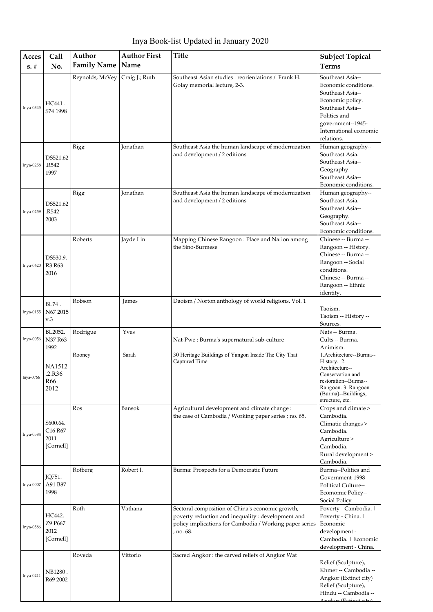Inya Book-list Updated in January 2020

| Acces     | Call                                                             | Author             | <b>Author First</b> | <b>Title</b>                                                                                                                                                                   | <b>Subject Topical</b>                                                                                                                                                            |
|-----------|------------------------------------------------------------------|--------------------|---------------------|--------------------------------------------------------------------------------------------------------------------------------------------------------------------------------|-----------------------------------------------------------------------------------------------------------------------------------------------------------------------------------|
| $s. \#$   | No.                                                              | <b>Family Name</b> | Name                |                                                                                                                                                                                | <b>Terms</b>                                                                                                                                                                      |
| Inya-0345 | HC441.<br>S74 1998                                               | Reynolds; McVey    | Craig J.; Ruth      | Southeast Asian studies: reorientations / Frank H.<br>Golay memorial lecture, 2-3.                                                                                             | Southeast Asia--<br>Economic conditions.<br>Southeast Asia--<br>Economic policy.<br>Southeast Asia--<br>Politics and<br>government--1945-<br>International economic<br>relations. |
| Inya-0258 | DS521.62<br>R542.<br>1997                                        | Rigg               | <b>Jonathan</b>     | Southeast Asia the human landscape of modernization<br>and development / 2 editions                                                                                            | Human geography--<br>Southeast Asia.<br>Southeast Asia--<br>Geography.<br>Southeast Asia--<br>Economic conditions.                                                                |
| Inya-0259 | DS521.62<br>R542<br>2003                                         | Rigg               | Jonathan            | Southeast Asia the human landscape of modernization<br>and development / 2 editions                                                                                            | Human geography--<br>Southeast Asia.<br>Southeast Asia--<br>Geography.<br>Southeast Asia--<br>Economic conditions.                                                                |
| Inya-0620 | DS530.9.<br>R3 R63<br>2016                                       | Roberts            | Jayde Lin           | Mapping Chinese Rangoon: Place and Nation among<br>the Sino-Burmese                                                                                                            | Chinese -- Burma --<br>Rangoon -- History.<br>Chinese -- Burma --<br>Rangoon -- Social<br>conditions.<br>Chinese -- Burma --<br>Rangoon -- Ethnic<br>identity.                    |
| Inya-0155 | BL74.<br>N67 2015<br>v.3                                         | Robson             | James               | Daoism / Norton anthology of world religions. Vol. 1                                                                                                                           | Taoism.<br>Taoism -- History --<br>Sources.                                                                                                                                       |
| Inya-0056 | BL2052.<br>N37 R63<br>1992                                       | Rodrigue           | Yves                | Nat-Pwe: Burma's supernatural sub-culture                                                                                                                                      | Nats -- Burma.<br>Cults -- Burma.<br>Animism.                                                                                                                                     |
| Inya-0766 | NA1512<br>2.R36<br>R66<br>2012                                   | Rooney             | Sarah               | 30 Heritage Buildings of Yangon Inside The City That<br>Captured Time                                                                                                          | 1.Architecture--Burma--<br>History. 2.<br>Architecture--<br>Conservation and<br>restoration--Burma--<br>Rangoon. 3. Rangoon<br>(Burma)--Buildings,<br>structure, etc.             |
| Inya-0584 | S600.64.<br>C <sub>16</sub> R <sub>67</sub><br>2011<br>[Cornell] | Ros                | Bansok              | Agricultural development and climate change :<br>the case of Cambodia / Working paper series ; no. 65.                                                                         | Crops and climate ><br>Cambodia.<br>Climatic changes ><br>Cambodia.<br>Agriculture ><br>Cambodia.<br>Rural development ><br>Cambodia.                                             |
| Inya-0007 | JQ751.<br>A91 B87<br>1998                                        | Rotberg            | Robert I.           | Burma: Prospects for a Democratic Future                                                                                                                                       | Burma--Politics and<br>Government-1998--<br>Political Culture--<br>Ecomomic Policy--<br>Social Policy                                                                             |
| Inya-0586 | HC442.<br>Z9 P667<br>2012<br>[Cornell]                           | Roth               | Vathana             | Sectoral composition of China's economic growth,<br>poverty reduction and inequality : development and<br>policy implications for Cambodia / Working paper series<br>; no. 68. | Poverty - Cambodia.<br>Poverty - China.  <br>Economic<br>development -<br>Cambodia.   Economic<br>development - China.                                                            |
| Inya-0211 | NB1280.<br>R69 2002                                              | Roveda             | Vittorio            | Sacred Angkor: the carved reliefs of Angkor Wat                                                                                                                                | Relief (Sculpture),<br>Khmer -- Cambodia --<br>Angkor (Extinct city)<br>Relief (Sculpture),<br>Hindu -- Cambodia --                                                               |

Angkor (Extinct city)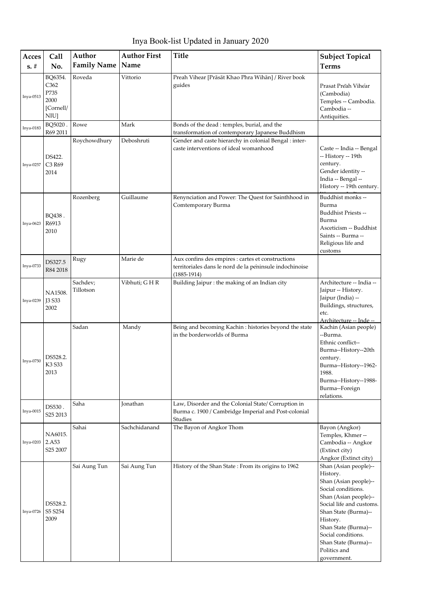Inya Book-list Updated in January 2020

| Acces     | <b>Call</b>                                                      | Author                | <b>Author First</b> | <b>Title</b>                                                                                                                  | <b>Subject Topical</b>                                                                                                                                                                                                                                                         |
|-----------|------------------------------------------------------------------|-----------------------|---------------------|-------------------------------------------------------------------------------------------------------------------------------|--------------------------------------------------------------------------------------------------------------------------------------------------------------------------------------------------------------------------------------------------------------------------------|
| $s. \#$   | No.                                                              | <b>Family Name</b>    | Name                |                                                                                                                               | <b>Terms</b>                                                                                                                                                                                                                                                                   |
| Inya-0513 | BQ6354.<br>C <sub>362</sub><br>P735<br>2000<br>[Cornell/<br>NIU] | Roveda                | Vittorio            | Preah Vihear [Prāsāt Khao Phra Wihān] / River book<br>guides                                                                  | Prasat Preah Vihear<br>(Cambodia)<br>Temples -- Cambodia.<br>Cambodia --<br>Antiquities.                                                                                                                                                                                       |
| Inya-0183 | BQ5020.<br>R69 2011                                              | Rowe                  | Mark                | Bonds of the dead : temples, burial, and the<br>transformation of contemporary Japanese Buddhism                              |                                                                                                                                                                                                                                                                                |
| Inya-0257 | DS422.<br>C3 R69<br>2014                                         | Roychowdhury          | Deboshruti          | Gender and caste hierarchy in colonial Bengal : inter-<br>caste interventions of ideal womanhood                              | Caste -- India -- Bengal<br>-- History -- 19th<br>century.<br>Gender identity --<br>India -- Bengal --<br>History -- 19th century.                                                                                                                                             |
| Inya-0623 | BQ438.<br>R6913<br>2010                                          | Rozenberg             | Guillaume           | Renynciation and Power: The Quest for Sainthhood in<br>Comtemporary Burma                                                     | Buddhist monks --<br>Burma<br>Buddhist Priests --<br>Burma<br>Asceticism -- Buddhist<br>Saints -- Burma --<br>Religious life and<br>customs                                                                                                                                    |
| Inya-0733 | DS327.5<br>R84 2018                                              | Rugy                  | Marie de            | Aux confins des empires : cartes et constructions<br>territoriales dans le nord de la péninsule indochinoise<br>$(1885-1914)$ |                                                                                                                                                                                                                                                                                |
| Inya-0239 | NA1508.<br><b>J3 S33</b><br>2002                                 | Sachdev;<br>Tillotson | Vibhuti; GHR        | Building Jaipur : the making of an Indian city                                                                                | Architecture -- India --<br>Jaipur -- History.<br>Jaipur (India) --<br>Buildings, structures,<br>etc.                                                                                                                                                                          |
| Inya-0750 | DS528.2.<br>K3 S33<br>2013                                       | Sadan                 | Mandy               | Being and becoming Kachin: histories beyond the state<br>in the borderworlds of Burma                                         | Architecture -- Inde --<br>Kachin (Asian people)<br>--Burma.<br>Ethnic conflict--<br>Burma--History--20th<br>century.<br>Burma--History--1962-<br>1988.<br>Burma--History--1988-<br>Burma--Foreign<br>relations.                                                               |
| Inya-0015 | DS530.<br>S25 2013                                               | Saha                  | Jonathan            | Law, Disorder and the Colonial State/ Corruption in<br>Burma c. 1900 / Cambridge Imperial and Post-colonial<br>Studies        |                                                                                                                                                                                                                                                                                |
| Inya-0203 | NA6015.<br>2.A53<br>S <sub>25</sub> 2007                         | Sahai                 | Sachchidanand       | The Bayon of Angkor Thom                                                                                                      | Bayon (Angkor)<br>Temples, Khmer--<br>Cambodia -- Angkor<br>(Extinct city)<br>Angkor (Extinct city)                                                                                                                                                                            |
| Inya-0726 | DS528.2.<br>S5 S254<br>2009                                      | Sai Aung Tun          | Sai Aung Tun        | History of the Shan State: From its origins to 1962                                                                           | Shan (Asian people)--<br>History.<br>Shan (Asian people)--<br>Social conditions.<br>Shan (Asian people)--<br>Social life and customs.<br>Shan State (Burma)--<br>History.<br>Shan State (Burma)--<br>Social conditions.<br>Shan State (Burma)--<br>Politics and<br>government. |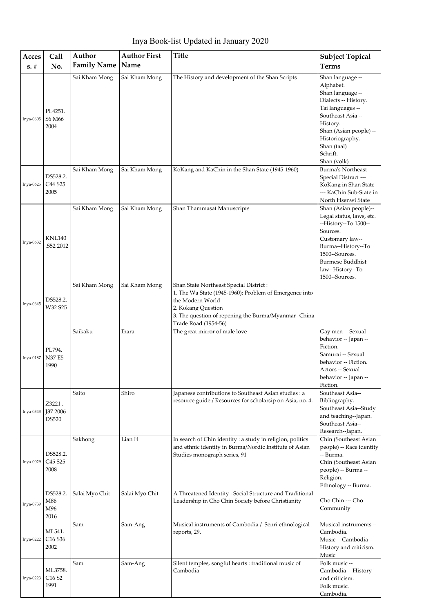Inya Book-list Updated in January 2020

| Acces     | Call                                                | Author             | <b>Author First</b> | <b>Title</b>                                                                                                                                                                                                               | <b>Subject Topical</b>                                                                                                                                                                                                |
|-----------|-----------------------------------------------------|--------------------|---------------------|----------------------------------------------------------------------------------------------------------------------------------------------------------------------------------------------------------------------------|-----------------------------------------------------------------------------------------------------------------------------------------------------------------------------------------------------------------------|
| $s. \#$   | No.                                                 | <b>Family Name</b> | Name                |                                                                                                                                                                                                                            | <b>Terms</b>                                                                                                                                                                                                          |
| Inya-0605 | PL4251.<br>S6 M66<br>2004                           | Sai Kham Mong      | Sai Kham Mong       | The History and development of the Shan Scripts                                                                                                                                                                            | Shan language --<br>Alphabet.<br>Shan language --<br>Dialects -- History.<br>Tai languages --<br>Southeast Asia --<br>History.<br>Shan (Asian people) --<br>Historiography.<br>Shan (taal)<br>Schrift.<br>Shan (volk) |
| Inya-0625 | DS528.2.<br>C44 S25<br>2005                         | Sai Kham Mong      | Sai Kham Mong       | KoKang and KaChin in the Shan State (1945-1960)                                                                                                                                                                            | <b>Burma's Northeast</b><br>Special Distract ---<br>KoKang in Shan State<br>--- KaChin Sub-State in<br>North Hsenwi State                                                                                             |
| Inya-0632 | <b>KNL140</b><br>S52 2012                           | Sai Kham Mong      | Sai Kham Mong       | Shan Thammasat Manuscripts                                                                                                                                                                                                 | Shan (Asian people)--<br>Legal status, laws, etc.<br>--History--To 1500--<br>Sources.<br>Customary law--<br>Burma--History--To<br>1500--Sources.<br><b>Burmese Buddhist</b><br>law--History--To<br>1500--Sources.     |
| Inya-0645 | DS528.2.<br>W32 S25                                 | Sai Kham Mong      | Sai Kham Mong       | Shan State Northeast Special District:<br>1. The Wa State (1945-1960): Problem of Emergence into<br>the Modern World<br>2. Kokang Question<br>3. The question of repening the Burma/Myanmar -China<br>Trade Road (1954-56) |                                                                                                                                                                                                                       |
| Inya-0187 | PL794.<br><b>N37 E5</b><br>1990                     | Saikaku            | Ihara               | The great mirror of male love                                                                                                                                                                                              | Gay men -- Sexual<br>behavior -- Japan --<br>Fiction.<br>Samurai -- Sexual<br>behavior -- Fiction.<br>Actors -- Sexual<br>behavior -- Japan --<br>Fiction.                                                            |
| Inya-0343 | Z3221.<br><b>J37 2006</b><br>DS520                  | Saito              | Shiro               | Japanese contributions to Southeast Asian studies : a<br>resource guide / Resources for scholarsip on Asia, no. 4.                                                                                                         | Southeast Asia--<br>Bibliography.<br>Southeast Asia--Study<br>and teaching--Japan.<br>Southeast Asia--<br>Research--Japan.                                                                                            |
| Inya-0029 | DS528.2.<br>C <sub>45</sub> S <sub>25</sub><br>2008 | Sakhong            | Lian H              | In search of Chin identity : a study in religion, politics<br>and ethnic identity in Burma/Nordic Institute of Asian<br>Studies monograph series, 91                                                                       | Chin (Southeast Asian<br>people) -- Race identity<br>-- Burma.<br>Chin (Southeast Asian<br>people) -- Burma --<br>Religion.<br>Ethnology -- Burma.                                                                    |
| Inya-0739 | DS528.2.<br>M86<br>M96<br>2016                      | Salai Myo Chit     | Salai Myo Chit      | A Threatened Identity: Social Structure and Traditional<br>Leadership in Cho Chin Society before Christianity                                                                                                              | Cho Chin --- Cho<br>Community                                                                                                                                                                                         |
| Inya-0222 | ML541.<br>C <sub>16</sub> S <sub>36</sub><br>2002   | Sam                | Sam-Ang             | Musical instruments of Cambodia / Senri ethnological<br>reports, 29.                                                                                                                                                       | Musical instruments --<br>Cambodia.<br>Music -- Cambodia --<br>History and criticism.<br>Music                                                                                                                        |
| Inya-0223 | ML3758.<br>C <sub>16</sub> S <sub>2</sub><br>1991   | Sam                | Sam-Ang             | Silent temples, songful hearts : traditional music of<br>Cambodia                                                                                                                                                          | Folk music --<br>Cambodia -- History<br>and criticism.<br>Folk music.<br>Cambodia.                                                                                                                                    |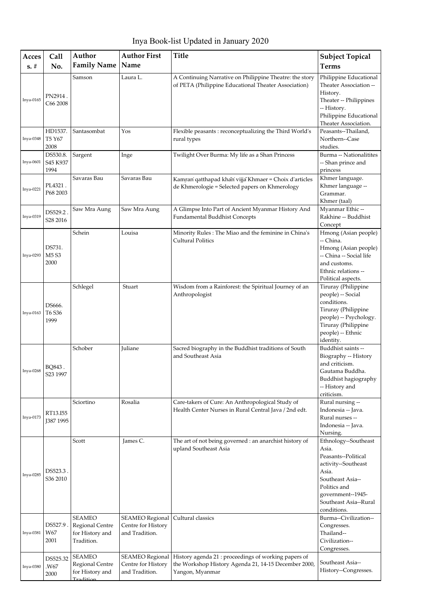Inya Book-list Updated in January 2020

| Acces<br>$s. \#$ | Call<br>No.                                     | Author<br><b>Family Name</b>                                             | <b>Author First</b><br>Name                                    | <b>Title</b>                                                                                                                    | <b>Subject Topical</b><br><b>Terms</b>                                                                                                                                                |
|------------------|-------------------------------------------------|--------------------------------------------------------------------------|----------------------------------------------------------------|---------------------------------------------------------------------------------------------------------------------------------|---------------------------------------------------------------------------------------------------------------------------------------------------------------------------------------|
| Inya-0165        | PN2914.<br>C66 2008                             | Samson                                                                   | Laura L.                                                       | A Continuing Narrative on Philippine Theatre: the story<br>of PETA (Philippine Educational Theater Association)                 | Philippine Educational<br>Theater Association --<br>History.<br>Theater -- Philippines<br>-- History.<br>Philippine Educational<br>Theater Association.                               |
| Inya-0348        | HD1537.<br>T5 Y67<br>2008                       | Santasombat                                                              | Yos                                                            | Flexible peasants : reconceptualizing the Third World's<br>rural types                                                          | Peasants--Thailand.<br>Northern--Case<br>studies.                                                                                                                                     |
| Inya-0601        | DS530.8.<br>S45 K937<br>1994                    | Sargent                                                                  | Inge                                                           | Twilight Over Burma: My life as a Shan Princess                                                                                 | Burma -- Nationalitites<br>-- Shan prince and<br>princess                                                                                                                             |
| Inya-0221        | PL4321.<br>P68 2003                             | Savaras Bau                                                              | Savaras Bau                                                    | Kamran qatthapad khan vijja Khmaer = Choix d'articles<br>de Khmerologie = Selected papers on Khmerology                         | Khmer language.<br>Khmer language --<br>Grammar.<br>Khmer (taal)                                                                                                                      |
| Inya-0319        | DS529.2.<br>S28 2016                            | Saw Mra Aung                                                             | Saw Mra Aung                                                   | A Glimpse Into Part of Ancient Myanmar History And<br>Fundamental Buddhist Concepts                                             | Myanmar Ethic --<br>Rakhine -- Buddhist<br>Concept                                                                                                                                    |
| Inya-0293        | DS731.<br>M <sub>5</sub> S <sub>3</sub><br>2000 | Schein                                                                   | Louisa                                                         | Minority Rules: The Miao and the feminine in China's<br><b>Cultural Politics</b>                                                | Hmong (Asian people)<br>-- China.<br>Hmong (Asian people)<br>-- China -- Social life<br>and customs.<br>Ethnic relations --<br>Political aspects.                                     |
| Inya-0163        | DS666.<br>T6 S36<br>1999                        | Schlegel                                                                 | Stuart                                                         | Wisdom from a Rainforest: the Spiritual Journey of an<br>Anthropologist                                                         | Tiruray (Philippine<br>people) -- Social<br>conditions.<br>Tiruray (Philippine<br>people) -- Psychology.<br>Tiruray (Philippine<br>people) -- Ethnic<br>identity.                     |
| Inya-0268        | BQ843.<br>S23 1997                              | Schober                                                                  | Juliane                                                        | Sacred biography in the Buddhist traditions of South<br>and Southeast Asia                                                      | Buddhist saints --<br>Biography -- History<br>and criticism.<br>Gautama Buddha.<br>Buddhist hagiography<br>-- History and<br>criticism.                                               |
| Inya-0173        | RT13.I55<br>J387 1995                           | Sciortino                                                                | Rosalia                                                        | Care-takers of Cure: An Anthropological Study of<br>Health Center Nurses in Rural Central Java / 2nd edt.                       | Rural nursing --<br>Indonesia -- Java.<br>Rural nurses --<br>Indonesia -- Java.<br>Nursing.                                                                                           |
| Inya-0285        | DS523.3.<br>S36 2010                            | Scott                                                                    | James C.                                                       | The art of not being governed : an anarchist history of<br>upland Southeast Asia                                                | Ethnology--Southeast<br>Asia.<br>Peasants--Political<br>activity--Southeast<br>Asia.<br>Southeast Asia--<br>Politics and<br>government--1945-<br>Southeast Asia--Rural<br>conditions. |
| Inya-0381        | DS527.9.<br>W67<br>2001                         | <b>SEAMEO</b><br><b>Regional Centre</b><br>for History and<br>Tradition. | <b>SEAMEO</b> Regional<br>Centre for History<br>and Tradition. | Cultural classics                                                                                                               | Burma--Civilization--<br>Congresses.<br>Thailand--<br>Civilization--<br>Congresses.                                                                                                   |
| Inya-0380        | DS525.32<br>.W67<br>2000                        | <b>SEAMEO</b><br>Regional Centre<br>for History and<br>Tradition         | <b>SEAMEO</b> Regional<br>Centre for History<br>and Tradition. | History agenda 21 : proceedings of working papers of<br>the Workshop History Agenda 21, 14-15 December 2000,<br>Yangon, Myanmar | Southeast Asia--<br>History--Congresses.                                                                                                                                              |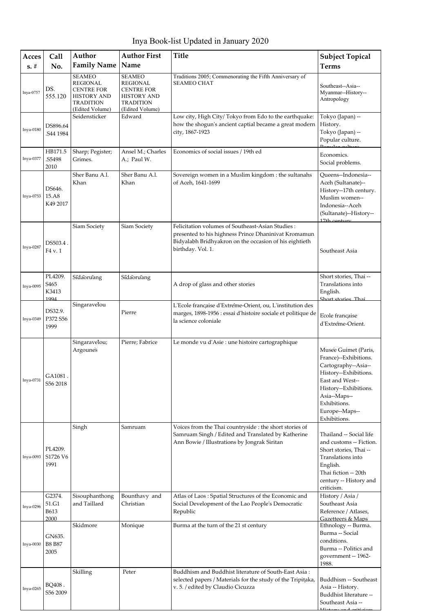Inya Book-list Updated in January 2020

| Acces     | <b>Call</b>                                  | Author                                                                                                      | <b>Author First</b>                                                                                                | <b>Title</b>                                                                                                                                                                            | <b>Subject Topical</b>                                                                                                                                                                                      |
|-----------|----------------------------------------------|-------------------------------------------------------------------------------------------------------------|--------------------------------------------------------------------------------------------------------------------|-----------------------------------------------------------------------------------------------------------------------------------------------------------------------------------------|-------------------------------------------------------------------------------------------------------------------------------------------------------------------------------------------------------------|
| $s. \#$   | No.                                          | <b>Family Name</b>                                                                                          | Name                                                                                                               |                                                                                                                                                                                         | <b>Terms</b>                                                                                                                                                                                                |
| Inya-0757 | DS.<br>555.120                               | <b>SEAMEO</b><br>REGIONAL<br><b>CENTRE FOR</b><br><b>HISTORY AND</b><br><b>TRADITION</b><br>(Edited Volume) | <b>SEAMEO</b><br><b>REGIONAL</b><br><b>CENTRE FOR</b><br><b>HISTORY AND</b><br><b>TRADITION</b><br>(Edited Volume) | Traditions 2005; Commenorating the Fifth Anniversary of<br><b>SEAMEO CHAT</b>                                                                                                           | Southeast--Asia--<br>Myanmar--History--<br>Antropology                                                                                                                                                      |
| Inya-0180 | DS896.64<br>.S44 1984                        | Seidensticker                                                                                               | Edward                                                                                                             | Low city, High City/ Tokyo from Edo to the earthquake:<br>how the shogun's ancient captial became a great modern<br>city, 1867-1923                                                     | Tokyo (Japan) --<br>History.<br>Tokyo (Japan) --<br>Popular culture.                                                                                                                                        |
| Inya-0377 | HB171.5<br>.S5498<br>2010                    | Sharp; Pegister;<br>Grimes.                                                                                 | Ansel M.; Charles<br>A.; Paul W.                                                                                   | Economics of social issues / 19th ed                                                                                                                                                    | Economics.<br>Social problems.                                                                                                                                                                              |
| Inya-0753 | DS646.<br>$15. A8$<br>K49 2017               | Sher Banu A.l.<br>Khan                                                                                      | Sher Banu A.l.<br>Khan                                                                                             | Sovereign women in a Muslim kingdom : the sultanahs<br>of Aceh, 1641-1699                                                                                                               | Queens--Indonesia--<br>Aceh (Sultanate)--<br>History--17th century.<br>Muslim women--<br>Indonesia--Aceh<br>(Sultanate)--History--<br>$17$ th contury                                                       |
| Inya-0287 | DS503.4.<br>F4 v. 1                          | Siam Society                                                                                                | Siam Society                                                                                                       | Felicitation volumes of Southeast-Asian Studies:<br>presented to his highness Prince Dhaninivat Kromamun<br>Bidyalabh Bridhyakron on the occasion of his eightieth<br>birthday. Vol. 1. | Southeast Asia                                                                                                                                                                                              |
| Inya-0095 | PL4209.<br>S <sub>465</sub><br>K3413<br>1994 | Sīdaoruāng                                                                                                  | Sīdaoruāng                                                                                                         | A drop of glass and other stories                                                                                                                                                       | Short stories, Thai --<br>Translations into<br>English.<br>Short stories Thai                                                                                                                               |
| Inya-0349 | DS32.9.<br>P372 S56<br>1999                  | Singaravelou                                                                                                | Pierre                                                                                                             | L'Ecole française d'Extréme-Orient, ou, L'institution des<br>marges, 1898-1956 : essai d'histoire sociale et politique de<br>la science coloniale                                       | Ecole française<br>d'Extréme-Orient.                                                                                                                                                                        |
| Inya-0731 | GA1081.<br>S56 2018                          | Singaravelou;<br>Argoune's                                                                                  | Pierre; Fabrice                                                                                                    | Le monde vu d'Asie : une histoire cartographique                                                                                                                                        | Musée Guimet (Paris,<br>France)--Exhibitions.<br>Cartography--Asia--<br>History--Exhibitions.<br>East and West--<br>History--Exhibitions.<br>Asia--Maps--<br>Exhibitions.<br>Europe--Maps--<br>Exhibitions. |
| Inya-0093 | PL4209.<br>S1726 V6<br>1991                  | Singh                                                                                                       | Samruam                                                                                                            | Voices from the Thai countryside : the short stories of<br>Samruam Singh / Edited and Translated by Katherine<br>Ann Bowie / Illustrations by Jongrak Siritan                           | Thailand -- Social life<br>and customs -- Fiction.<br>Short stories, Thai --<br>Translations into<br>English.<br>Thai fiction -- 20th<br>century -- History and<br>criticism.                               |
| Inya-0296 | G2374.<br>51.G1<br><b>B613</b><br>2000       | Sisouphanthong<br>and Taillard                                                                              | Bounthavy and<br>Christian                                                                                         | Atlas of Laos: Spatial Structures of the Economic and<br>Social Development of the Lao People's Democratic<br>Republic                                                                  | History / Asia /<br>Southeast Asia<br>Reference / Atlases,<br>Gazetteers & Maps                                                                                                                             |
| Inya-0030 | GN635.<br><b>B8 B87</b><br>2005              | Skidmore                                                                                                    | Monique                                                                                                            | Burma at the turn of the 21 st century                                                                                                                                                  | Ethnology -- Burma.<br>Burma -- Social<br>conditions.<br>Burma -- Politics and<br>government -- 1962-<br>1988.                                                                                              |
| Inya-0265 | BQ408.<br>S56 2009                           | Skilling                                                                                                    | Peter                                                                                                              | Buddhism and Buddhist literature of South-East Asia:<br>selected papers / Materials for the study of the Tripitaka,<br>v. 5. / edited by Claudio Cicuzza                                | Buddhism -- Southeast<br>Asia -- History.<br>Buddhist literature --<br>Southeast Asia --                                                                                                                    |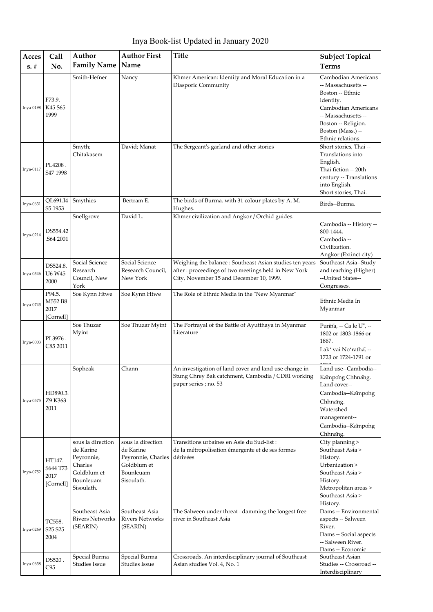Inya Book-list Updated in January 2020

| Acces       | Call                                    | Author                                                                                            | <b>Author First</b>                                                                            | <b>Title</b>                                                                                                                                                | <b>Subject Topical</b>                                                                                                                                                                     |
|-------------|-----------------------------------------|---------------------------------------------------------------------------------------------------|------------------------------------------------------------------------------------------------|-------------------------------------------------------------------------------------------------------------------------------------------------------------|--------------------------------------------------------------------------------------------------------------------------------------------------------------------------------------------|
| $s. \#$     | No.                                     | <b>Family Name</b>                                                                                | Name                                                                                           |                                                                                                                                                             | <b>Terms</b>                                                                                                                                                                               |
| Inya-0198   | F73.9.<br>K45 S65<br>1999               | Smith-Hefner                                                                                      | Nancy                                                                                          | Khmer American: Identity and Moral Education in a<br>Diasporic Community                                                                                    | Cambodian Americans<br>-- Massachusetts --<br>Boston -- Ethnic<br>identity.<br>Cambodian Americans<br>-- Massachusetts --<br>Boston -- Religion.<br>Boston (Mass.) --<br>Ethnic relations. |
| Inya-0117   | PL4208.<br>S47 1998                     | Smyth;<br>Chitakasem                                                                              | David; Manat                                                                                   | The Sergeant's garland and other stories                                                                                                                    | Short stories, Thai --<br>Translations into<br>English.<br>Thai fiction -- 20th<br>century -- Translations<br>into English.<br>Short stories, Thai.                                        |
| Inya-0631   | QL691.I4<br>S5 1953                     | Smythies                                                                                          | Bertram E.                                                                                     | The birds of Burma. with 31 colour plates by A. M.<br>Hughes.                                                                                               | Birds--Burma.                                                                                                                                                                              |
| Inya-0214   | DS554.42<br>.S64 2001                   | Snellgrove                                                                                        | David L.                                                                                       | Khmer civilization and Angkor / Orchid guides.                                                                                                              | Cambodia -- History --<br>800-1444.<br>Cambodia --<br>Civilization.<br>Angkor (Extinct city)                                                                                               |
| Inya-0346   | DS524.8.<br>U6 W45<br>2000              | Social Science<br>Research<br>Council, New<br>York                                                | Social Science<br>Research Council,<br>New York                                                | Weighing the balance : Southeast Asian studies ten years<br>after: proceedings of two meetings held in New York<br>City, November 15 and December 10, 1999. | Southeast Asia--Study<br>and teaching (Higher)<br>--United States--<br>Congresses.                                                                                                         |
| Inya-0743   | P94.5.<br>M552 B8<br>2017<br>[Cornell]  | Soe Kynn Htwe                                                                                     | Soe Kynn Htwe                                                                                  | The Role of Ethnic Media in the "New Myanmar"                                                                                                               | Ethnic Media In<br>Myanmar                                                                                                                                                                 |
| $Inya-0003$ | PL3976.<br>C85 2011                     | Soe Thuzar<br>Myint                                                                               | Soe Thuzar Myint                                                                               | The Portrayal of the Battle of Ayutthaya in Myanmar<br>Literature                                                                                           | Punnã, -- Ca le U", --<br>1802 or 1803-1866 or<br>1867.<br>Lak' vai Noʻratha, --<br>1723 or 1724-1791 or                                                                                   |
| Inya-0575   | HD890.3.<br>Z9 K363<br>2011             | Sopheak                                                                                           | Chann                                                                                          | An investigation of land cover and land use change in<br>Stung Chrey Bak catchment, Cambodia / CDRI working<br>paper series; no. 53                         | Land use--Cambodia--<br>Kampong Chhnang.<br>Land cover--<br>Cambodia--Kampong<br>Chhnang.<br>Watershed<br>management--<br>Cambodia--Kampong<br>Chhnang.                                    |
| Inya-0752   | HT147.<br>S644 T73<br>2017<br>[Cornell] | sous la direction<br>de Karine<br>Peyronnie,<br>Charles<br>Goldblum et<br>Bounleuam<br>Sisoulath. | sous la direction<br>de Karine<br>Peyronnie, Charles<br>Goldblum et<br>Bounleuam<br>Sisoulath. | Transitions urbaines en Asie du Sud-Est :<br>de la métropolisation émergente et de ses formes<br>dérivées                                                   | City planning ><br>Southeast Asia ><br>History.<br>Urbanization ><br>Southeast Asia ><br>History.<br>Metropolitan areas ><br>Southeast Asia ><br>History.                                  |
| Inya-0269   | TC558.<br>S25 S25<br>2004               | Southeast Asia<br><b>Rivers Networks</b><br>(SEARIN)                                              | Southeast Asia<br><b>Rivers Networks</b><br>(SEARIN)                                           | The Salween under threat: damming the longest free<br>river in Southeast Asia                                                                               | Dams -- Environmental<br>aspects -- Salween<br>River.<br>Dams -- Social aspects<br>-- Salween River.<br>Dams -- Economic                                                                   |
| Inya-0638   | DS520.<br>C95                           | Special Burma<br>Studies Issue                                                                    | Special Burma<br>Studies Issue                                                                 | Crossroads. An interdisciplinary journal of Southeast<br>Asian studies Vol. 4, No. 1                                                                        | Southeast Asian<br>Studies -- Crossroad --<br>Interdisciplinary                                                                                                                            |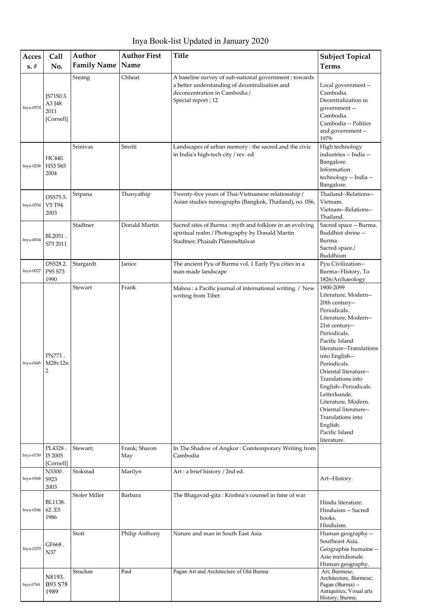Inya Book-list Updated in January 2020

| Acces<br>$s. \#$ | Call<br>No.                              | Author<br><b>Family Name</b> | <b>Author First</b><br>Name | <b>Title</b>                                                                                                                                                    | <b>Subject Topical</b><br><b>Terms</b>                                                                                                                                                                                                                                                                                                                                                                                 |
|------------------|------------------------------------------|------------------------------|-----------------------------|-----------------------------------------------------------------------------------------------------------------------------------------------------------------|------------------------------------------------------------------------------------------------------------------------------------------------------------------------------------------------------------------------------------------------------------------------------------------------------------------------------------------------------------------------------------------------------------------------|
| Inya-0574        | JS7150.3.<br>A3 J48<br>2011<br>[Cornell] | Sreang                       | Chheat                      | A baseline survey of sub-national government : towards<br>a better understanding of decentralisation and<br>deconcentration in Cambodia /<br>Special report; 12 | Local government --<br>Cambodia.<br>Decentralization in<br>government-<br>Cambodia.<br>Cambodia -- Politics<br>and government --<br>1979-                                                                                                                                                                                                                                                                              |
| Inya-0238        | HC440.<br>H53 S65<br>2004                | Srinivas                     | Smriti                      | Landscapes of urban memory : the sacred and the civic<br>in India's high-tech city / rev. ed                                                                    | High technology<br>industries -- India --<br>Bangalore.<br>Information<br>technology -- India --<br>Bangalore.                                                                                                                                                                                                                                                                                                         |
| Inya-0354        | DS575.5.<br>V5 T94<br>2003               | Sripana                      | Thanyathip                  | Twenty-five years of Thai-Vietnamese relationship /<br>Asian studies monographs (Bangkok, Thailand), no. 056.                                                   | Thailand--Relations--<br>Vietnam.<br>Vietnam--Relations--<br>Thailand.                                                                                                                                                                                                                                                                                                                                                 |
| Inya-0034        | BL2051.<br>S73 2011                      | Stadtner                     | Donald Martin               | Sacred sites of Burma: myth and folklore in an evolving<br>spiritual realm / Photography by Donald Martin<br>Stadtner; Phaisan Piammettawat                     | Sacred space -- Burma.<br>Buddhist shrine --<br>Burma.<br>Sacred space./<br>Buddhism                                                                                                                                                                                                                                                                                                                                   |
| Inya-0027        | DS528.2.<br>P95 S73<br>1990              | Stargardt                    | Janice                      | The ancient Pyu of Burma vol. 1 Early Pyu cities in a<br>man-made landscape                                                                                     | Pyu Civilization--<br>Burma--History, To<br>1826/Archaeology                                                                                                                                                                                                                                                                                                                                                           |
| Inya-0445        | PN771.<br>M28v12n<br>2                   | Stewart                      | Frank                       | Manoa : a Pacific journal of international writing. / New<br>writing from Tibet                                                                                 | 1900-2099<br>Literature, Modern--<br>20th century--<br>Periodicals.<br>Literature, Modern--<br>21st century--<br>Periodicals.<br>Pacific Island<br>literature--Translations<br>into English--<br>Periodicals.<br>Oriental literature--<br>Translations into<br>English--Periodicals.<br>Letterkunde.<br>Literature, Modern.<br>Oriental literature--<br>Translations into<br>English.<br>Pacific Island<br>literature. |
| Inya-0730        | PL4328.<br>I5 2005<br>[Cornell]          | Stewart;                     | Frank; Sharon<br>May        | In The Shadow of Angkor: Comtemporary Writing from<br>Cambodia                                                                                                  |                                                                                                                                                                                                                                                                                                                                                                                                                        |
| Inya-0368        | N5300.<br>S923<br>2003                   | Stokstad                     | Marilyn                     | Art: a brief history / 2nd ed.                                                                                                                                  | Art--History.                                                                                                                                                                                                                                                                                                                                                                                                          |
| Inya-0246        | BL1138.<br>62.E5<br>1986                 | Stoler Miller                | Barbara                     | The Bhagavad-gita: Krishna's counsel in time of war                                                                                                             | Hindu literature.<br>Hinduism -- Sacred<br>books.<br>Hinduism.                                                                                                                                                                                                                                                                                                                                                         |
| Inya-0270        | GF668.<br>N37                            | Stott                        | Philip Anthony              | Nature and man in South East Asia                                                                                                                               | Human geography --<br>Southeast Asia.<br>Geographie humaine --<br>Asie meridionale.<br>Human geography.                                                                                                                                                                                                                                                                                                                |
| Inya-0768        | N8193.<br>B93 S78<br>1989                | Strachan                     | Paul                        | Pagan Art and Architecture of Old Burma                                                                                                                         | Art, Burmese;<br>Architecture, Burmese;<br>Pagan (Burma) --<br>Antiquities; Visual arts<br>History; Burma;                                                                                                                                                                                                                                                                                                             |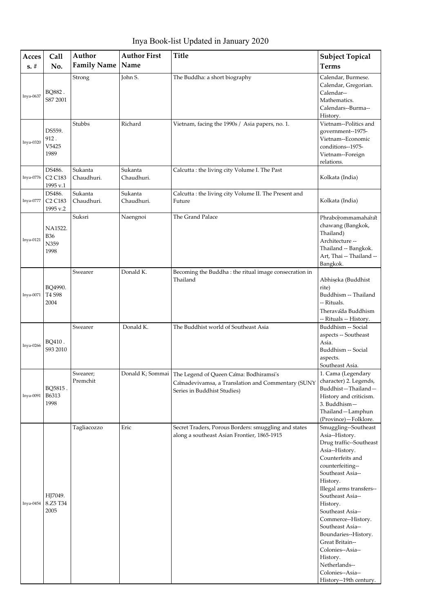Inya Book-list Updated in January 2020

| Acces     | Call                                                  | Author                | <b>Author First</b>   | Title                                                                                                                                         | <b>Subject Topical</b>                                                                                                                                                                                                                                                                                                                                                                                                          |
|-----------|-------------------------------------------------------|-----------------------|-----------------------|-----------------------------------------------------------------------------------------------------------------------------------------------|---------------------------------------------------------------------------------------------------------------------------------------------------------------------------------------------------------------------------------------------------------------------------------------------------------------------------------------------------------------------------------------------------------------------------------|
| $s. \#$   | No.                                                   | <b>Family Name</b>    | Name                  |                                                                                                                                               | <b>Terms</b>                                                                                                                                                                                                                                                                                                                                                                                                                    |
| Inya-0637 | BQ882.<br>S87 2001                                    | Strong                | John S.               | The Buddha: a short biography                                                                                                                 | Calendar, Burmese.<br>Calendar, Gregorian.<br>Calendar--<br>Mathematics.<br>Calendars--Burma--<br>History.                                                                                                                                                                                                                                                                                                                      |
| Inya-0320 | DS559.<br>912.<br>V5425<br>1989                       | Stubbs                | Richard               | Vietnam, facing the 1990s / Asia papers, no. 1.                                                                                               | Vietnam--Politics and<br>government--1975-<br>Vietnam--Economic<br>conditions--1975-<br>Vietnam--Foreign<br>relations.                                                                                                                                                                                                                                                                                                          |
| Inya-0776 | DS486.<br>C <sub>2</sub> C <sub>183</sub><br>1995 v.1 | Sukanta<br>Chaudhuri. | Sukanta<br>Chaudhuri. | Calcutta : the living city Volume I. The Past                                                                                                 | Kolkata (India)                                                                                                                                                                                                                                                                                                                                                                                                                 |
| Inya-0777 | DS486.<br>C <sub>2</sub> C <sub>183</sub><br>1995 v.2 | Sukanta<br>Chaudhuri. | Sukanta<br>Chaudhuri. | Calcutta : the living city Volume II. The Present and<br>Future                                                                               | Kolkata (India)                                                                                                                                                                                                                                                                                                                                                                                                                 |
| Inya-0121 | NA1522.<br><b>B36</b><br>N359<br>1998                 | Suksri                | Naengnoi              | The Grand Palace                                                                                                                              | Phraborommamaharat<br>chawang (Bangkok,<br>Thailand)<br>Architecture --<br>Thailand -- Bangkok.<br>Art, Thai -- Thailand --<br>Bangkok.                                                                                                                                                                                                                                                                                         |
| Inya-0071 | BQ4990.<br>T4 S98<br>2004                             | Swearer               | Donald K.             | Becoming the Buddha: the ritual image consecration in<br>Thailand                                                                             | Abhiseka (Buddhist<br>rite)<br>Buddhism -- Thailand<br>-- Rituals.<br>Theravada Buddhism<br>-- Rituals -- History.                                                                                                                                                                                                                                                                                                              |
| Inya-0266 | BQ410.<br>S93 2010                                    | Swearer               | Donald K.             | The Buddhist world of Southeast Asia                                                                                                          | Buddhism -- Social<br>aspects -- Southeast<br>Asia.<br>Buddhism -- Social<br>aspects.<br>Southeast Asia.                                                                                                                                                                                                                                                                                                                        |
| Inya-0091 | BQ5815.<br>B6313<br>1998                              | Swearer;<br>Premchit  |                       | Donald K; Sommai   The Legend of Queen Cama: Bodhiramsi's<br>Camadevivamsa, a Translation and Commentary (SUNY<br>Series in Buddhist Studies) | 1. Cama (Legendary<br>character) 2. Legends,<br>Buddhist-Thailand-<br>History and criticism.<br>3. Buddhism-<br>Thailand-Lamphun<br>(Province)-Folklore.                                                                                                                                                                                                                                                                        |
| Inya-0454 | HJ7049.<br>8.Z5 T34<br>2005                           | Tagliacozzo           | Eric                  | Secret Traders, Porous Borders: smuggling and states<br>along a southeast Asian Frontier, 1865-1915                                           | Smuggling--Southeast<br>Asia--History.<br>Drug traffic--Southeast<br>Asia--History.<br>Counterfeits and<br>counterfeiting--<br>Southeast Asia--<br>History.<br>Illegal arms transfers--<br>Southeast Asia--<br>History.<br>Southeast Asia--<br>Commerce--History.<br>Southeast Asia--<br>Boundaries--History.<br>Great Britain--<br>Colonies--Asia--<br>History.<br>Netherlands--<br>Colonies--Asia--<br>History--19th century. |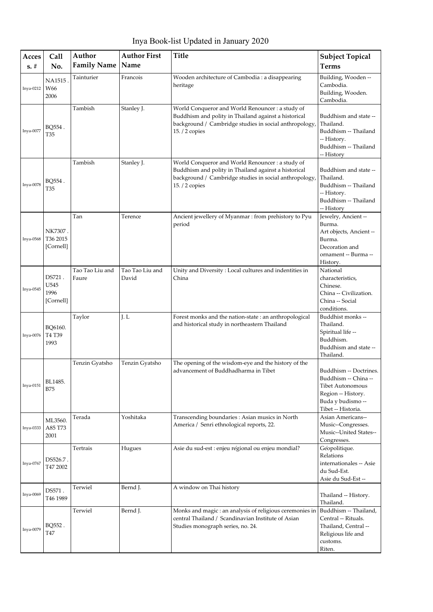Inya Book-list Updated in January 2020

| Acces<br>$s. \#$ | Call<br>No.                         | Author<br><b>Family Name</b> | <b>Author First</b><br>Name | <b>Title</b>                                                                                                                                                                        | <b>Subject Topical</b><br><b>Terms</b>                                                                                                     |
|------------------|-------------------------------------|------------------------------|-----------------------------|-------------------------------------------------------------------------------------------------------------------------------------------------------------------------------------|--------------------------------------------------------------------------------------------------------------------------------------------|
| Inya-0212        | NA1515<br>W66<br>2006               | Tainturier                   | Francois                    | Wooden architecture of Cambodia : a disappearing<br>heritage                                                                                                                        | Building, Wooden --<br>Cambodia.<br>Building, Wooden.<br>Cambodia.                                                                         |
| Inya-0077        | BO554.<br>T35                       | Tambish                      | Stanley J.                  | World Conqueror and World Renouncer : a study of<br>Buddhism and polity in Thailand against a historical<br>background / Cambridge studies in social anthropology<br>15. / 2 copies | Buddhism and state --<br>Thailand.<br>Buddhism -- Thailand<br>-- History.<br>Buddhism -- Thailand<br>-- History                            |
| Inya-0078        | BQ554.<br>T35                       | Tambish                      | Stanley J.                  | World Conqueror and World Renouncer : a study of<br>Buddhism and polity in Thailand against a historical<br>background / Cambridge studies in social anthropology<br>15. / 2 copies | Buddhism and state --<br>Thailand.<br>Buddhism -- Thailand<br>-- History.<br>Buddhism -- Thailand<br>-- History                            |
| Inya-0568        | NK7307.<br>T36 2015<br>[Cornell]    | Tan                          | Terence                     | Ancient jewellery of Myanmar : from prehistory to Pyu<br>period                                                                                                                     | Jewelry, Ancient --<br>Burma.<br>Art objects, Ancient --<br>Burma.<br>Decoration and<br>ornament -- Burma --<br>History.                   |
| Inya-0545        | DS721.<br>U545<br>1996<br>[Cornell] | Tao Tao Liu and<br>Faure     | Tao Tao Liu and<br>David    | Unity and Diversity: Local cultures and indentities in<br>China                                                                                                                     | National<br>characteristics,<br>Chinese.<br>China -- Civilization.<br>China -- Social<br>conditions.                                       |
| Inya-0076        | BQ6160.<br>T4 T39<br>1993           | Taylor                       | J.L                         | Forest monks and the nation-state : an anthropological<br>and historical study in northeastern Thailand                                                                             | Buddhist monks --<br>Thailand.<br>Spiritual life --<br>Buddhism.<br>Buddhism and state --<br>Thailand.                                     |
| Inya-0151        | BL1485.<br><b>B75</b>               | Tenzin Gyatsho               | Tenzin Gyatsho              | The opening of the wisdom-eye and the history of the<br>advancement of Buddhadharma in Tibet                                                                                        | Buddhism -- Doctrines.<br>Buddhism -- China --<br><b>Tibet Autonomous</b><br>Region -- History.<br>Buda y budismo --<br>Tibet -- Historia. |
| Inya-0333        | ML3560.<br>A85 T73<br>2001          | Terada                       | Yoshitaka                   | Transcending boundaries : Asian musics in North<br>America / Senri ethnological reports, 22.                                                                                        | Asian Americans--<br>Music--Congresses.<br>Music--United States--<br>Congresses.                                                           |
| Inya-0767        | DS526.7 .<br>T47 2002               | Tertrais                     | Hugues                      | Asie du sud-est : enjeu regional ou enjeu mondial?                                                                                                                                  | Geopolitique.<br>Relations<br>internationales -- Asie<br>du Sud-Est.<br>Asie du Sud-Est --                                                 |
| Inya-0069        | DS571.<br>T46 1989                  | Terwiel                      | Bernd J.                    | A window on Thai history                                                                                                                                                            | Thailand -- History.<br>Thailand.                                                                                                          |
| Inya-0079        | BQ552.<br>T47                       | Terwiel                      | Bernd J.                    | Monks and magic : an analysis of religious ceremonies in<br>central Thailand / Scandinavian Institute of Asian<br>Studies monograph series, no. 24.                                 | Buddhism -- Thailand,<br>Central -- Rituals.<br>Thailand, Central --<br>Religious life and<br>customs.<br>Riten.                           |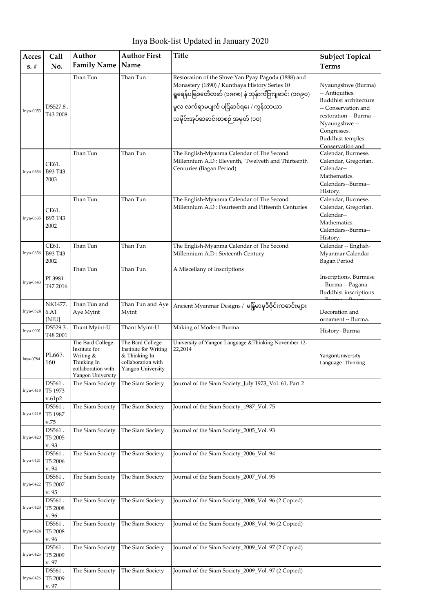| Acces<br>$s. \#$ | Call<br>No.                 | Author<br><b>Family Name</b>                                                                             | <b>Author First</b><br>Name                                                                             | <b>Title</b>                                                                                                                                                                                                                           | <b>Subject Topical</b><br><b>Terms</b>                                                                                                                |
|------------------|-----------------------------|----------------------------------------------------------------------------------------------------------|---------------------------------------------------------------------------------------------------------|----------------------------------------------------------------------------------------------------------------------------------------------------------------------------------------------------------------------------------------|-------------------------------------------------------------------------------------------------------------------------------------------------------|
| Inya-0053        | DS527.8.<br>T43 2008        | Than Tun                                                                                                 | Than Tun                                                                                                | Restoration of the Shwe Yan Pyay Pagoda (1888) and<br>Monastery (1890) / Kunthaya History Series 10<br>ရှူရေန်ပခြစတေီတတ် (၁၈၈၈) နဲ ဘုန်းကျီးကျဆင်း (၁၈၉၀)<br>မူလ လက်ရာမပျက် ပငြ်ဆင်ရႊေ / ကွန်သာယာ<br>သမိုင်းအုပ်ဆဓာင်းစာစဉ် အမှတ် (၁၀) | Nyaungshwe (Burma)<br>-- Antiquities.<br>Buddhist architecture<br>-- Conservation and<br>restoration -- Burma --<br>Nyaungshwe-<br>Congresses.        |
| Inya-0634        | CE61.<br>B93 T43<br>2003    | Than Tun                                                                                                 | Than Tun                                                                                                | The English-Myanma Calendar of The Second<br>Millennium A.D: Eleventh, Twelveth and Thirteenth<br>Centuries (Bagan Period)                                                                                                             | Buddhist temples --<br>Conservation and<br>Calendar, Burmese.<br>Calendar, Gregorian.<br>Calendar--<br>Mathematics.<br>Calendars--Burma--<br>History. |
| Inya-0635        | CE61.<br>B93 T43<br>2002    | Than Tun                                                                                                 | Than Tun                                                                                                | The English-Myanma Calendar of The Second<br>Millennium A.D: Fourteenth and Fifteenth Centuries                                                                                                                                        | Calendar, Burmese.<br>Calendar, Gregorian.<br>Calendar--<br>Mathematics.<br>Calendars--Burma--<br>History.                                            |
| Inya-0636        | CE61.<br>B93 T43<br>2002    | Than Tun                                                                                                 | Than Tun                                                                                                | The English-Myanma Calendar of The Second<br>Millennium A.D: Sixteenth Century                                                                                                                                                         | Calendar -- English-<br>Myanmar Calendar --<br>Bagan Period                                                                                           |
| Inya-0643        | PL3981.<br>T47 2016         | Than Tun                                                                                                 | Than Tun                                                                                                | A Miscellany of Inscriptions                                                                                                                                                                                                           | Inscriptions, Burmese<br>-- Burma -- Pagana.<br>Buddhist inscriptions                                                                                 |
| Inya-0524        | NK1477.<br>6.A1<br>[NIU]    | Than Tun and<br>Aye Myint                                                                                | Than Tun and Aye<br>Myint                                                                               | Ancient Myanmar Designs / မနြမာမုဒီဇိုင်းကဓာင်းများ                                                                                                                                                                                    | Decoration and<br>ornament -- Burma.                                                                                                                  |
| Inya-0001        | DS529.3.<br>T48 2001        | Thant Myint-U                                                                                            | Thant Myint-U                                                                                           | Making of Modern Burma                                                                                                                                                                                                                 | History--Burma                                                                                                                                        |
| Inya-0784        | PL667.<br>160               | The Bard College<br>Institute for<br>Writing &<br>Thinking In<br>collaboration with<br>Yangon University | The Bard College<br>Institute for Writing<br>$&$ Thinking In<br>collaboration with<br>Yangon University | University of Yangon Language & Thinking November 12-<br>22,2014                                                                                                                                                                       | YangonUniversity--<br>Language--Thinking                                                                                                              |
| Inya-0418        | DS561.<br>T5 1973<br>v.61p2 | The Siam Society                                                                                         | The Siam Society                                                                                        | Journal of the Siam Society_July 1973_Vol. 61, Part 2                                                                                                                                                                                  |                                                                                                                                                       |
| Inya-0419        | DS561.<br>T5 1987<br>v.75   | The Siam Society                                                                                         | The Siam Society                                                                                        | Journal of the Siam Society_1987_Vol. 75                                                                                                                                                                                               |                                                                                                                                                       |
| Inya-0420        | DS561.<br>T5 2005<br>v. 93  | The Siam Society                                                                                         | The Siam Society                                                                                        | Journal of the Siam Society_2005_Vol. 93                                                                                                                                                                                               |                                                                                                                                                       |
| Inya-0421        | DS561.<br>T5 2006<br>v. 94  | The Siam Society                                                                                         | The Siam Society                                                                                        | Journal of the Siam Society_2006_Vol. 94                                                                                                                                                                                               |                                                                                                                                                       |
| Inya-0422        | DS561.<br>T5 2007<br>v. 95  | The Siam Society                                                                                         | The Siam Society                                                                                        | Journal of the Siam Society_2007_Vol. 95                                                                                                                                                                                               |                                                                                                                                                       |
| Inya-0423        | DS561.<br>T5 2008<br>v. 96  | The Siam Society                                                                                         | The Siam Society                                                                                        | Journal of the Siam Society_2008_Vol. 96 (2 Copied)                                                                                                                                                                                    |                                                                                                                                                       |
| Inya-0424        | DS561.<br>T5 2008<br>v. 96  | The Siam Society                                                                                         | The Siam Society                                                                                        | Journal of the Siam Society_2008_Vol. 96 (2 Copied)                                                                                                                                                                                    |                                                                                                                                                       |
| Inya-0425        | DS561.<br>T5 2009<br>v. 97  | The Siam Society                                                                                         | The Siam Society                                                                                        | Journal of the Siam Society_2009_Vol. 97 (2 Copied)                                                                                                                                                                                    |                                                                                                                                                       |
| Inya-0426        | DS561.<br>T5 2009<br>v. 97  | The Siam Society                                                                                         | The Siam Society                                                                                        | Journal of the Siam Society_2009_Vol. 97 (2 Copied)                                                                                                                                                                                    |                                                                                                                                                       |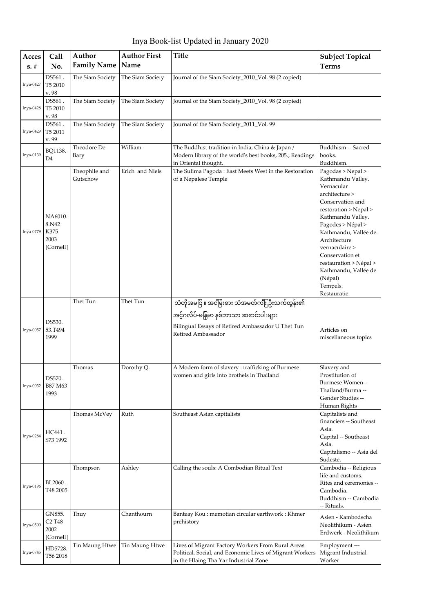| Inya Book-list Updated in January 2020 |  |  |  |
|----------------------------------------|--|--|--|
|----------------------------------------|--|--|--|

| Acces       | <b>Call</b>                                                   | Author                    | <b>Author First</b> | <b>Title</b>                                                                                                                                                      | <b>Subject Topical</b>                                                                                                                                                                                                                                                                                                               |
|-------------|---------------------------------------------------------------|---------------------------|---------------------|-------------------------------------------------------------------------------------------------------------------------------------------------------------------|--------------------------------------------------------------------------------------------------------------------------------------------------------------------------------------------------------------------------------------------------------------------------------------------------------------------------------------|
| $s. \#$     | No.                                                           | <b>Family Name</b>        | Name                |                                                                                                                                                                   | <b>Terms</b>                                                                                                                                                                                                                                                                                                                         |
| Inya-0427   | DS561.<br>T5 2010<br>v. 98                                    | The Siam Society          | The Siam Society    | Journal of the Siam Society_2010_Vol. 98 (2 copied)                                                                                                               |                                                                                                                                                                                                                                                                                                                                      |
| Inya-0428   | DS561.<br>T5 2010<br>v. 98                                    | The Siam Society          | The Siam Society    | Journal of the Siam Society_2010_Vol. 98 (2 copied)                                                                                                               |                                                                                                                                                                                                                                                                                                                                      |
| Inya-0429   | DS561.<br>T5 2011<br>v. 99                                    | The Siam Society          | The Siam Society    | Journal of the Siam Society_2011_Vol. 99                                                                                                                          |                                                                                                                                                                                                                                                                                                                                      |
| Inya-0139   | BQ1138.<br>D4                                                 | Theodore De<br>Bary       | William             | The Buddhist tradition in India, China & Japan /<br>Modern library of the world's best books, 205.; Readings<br>in Oriental thought.                              | Buddhism -- Sacred<br>books.<br>Buddhism.                                                                                                                                                                                                                                                                                            |
| Inya-0779   | NA6010.<br>8.N42<br>K375<br>2003<br>[Cornell]                 | Theophile and<br>Gutschow | Erich and Niels     | The Sulima Pagoda: East Meets West in the Restoration<br>of a Nepalese Temple                                                                                     | Pagodas > Nepal ><br>Kathmandu Valley.<br>Vernacular<br>architecture ><br>Conservation and<br>restoration > Nepal ><br>Kathmandu Valley.<br>Pagodes > Népal ><br>Kathmandu, Vallée de.<br>Architecture<br>vernaculaire ><br>Conservation et<br>restauration > Népal ><br>Kathmandu, Vallée de<br>(Népal)<br>Tempels.<br>Restauratie. |
| Inya-0057   | DS530.<br>53.T494<br>1999                                     | Thet Tun                  | Thet Tun            | သံတိုအမငြ ။ အငမြိးစား သံအမတ်ကျိုးဦးသက်ထွန်း၏<br>အင့်ဂလိပ်-မန်ြမာ နစ်ဘာသာ ဆဓာင်းပါးများ<br>Bilingual Essays of Retired Ambassador U Thet Tun<br>Retired Ambassador | Articles on<br>miscellaneous topics                                                                                                                                                                                                                                                                                                  |
| $Inya-0032$ | DS570.<br>B87 M63<br>1993                                     | Thomas                    | Dorothy Q.          | A Modern form of slavery : trafficking of Burmese<br>women and girls into brothels in Thailand                                                                    | Slavery and<br>Prostitution of<br>Burmese Women--<br>Thailand/Burma --<br>Gender Studies --<br>Human Rights                                                                                                                                                                                                                          |
| Inya-0284   | HC441.<br>S73 1992                                            | Thomas McVey              | Ruth                | Southeast Asian capitalists                                                                                                                                       | Capitalists and<br>financiers -- Southeast<br>Asia.<br>Capital -- Southeast<br>Asia.<br>Capitalismo -- Asia del<br>Sudeste.                                                                                                                                                                                                          |
| Inya-0196   | BL2060.<br>T48 2005                                           | Thompson                  | Ashley              | Calling the souls: A Combodian Ritual Text                                                                                                                        | Cambodia -- Religious<br>life and customs.<br>Rites and ceremonies --<br>Cambodia.<br>Buddhism -- Cambodia<br>-- Rituals.                                                                                                                                                                                                            |
| Inya-0500   | GN855.<br>C <sub>2</sub> T <sub>48</sub><br>2002<br>[Cornell] | Thuy                      | Chanthourn          | Banteay Kou : memotian circular earthwork : Khmer<br>prehistory                                                                                                   | Asien - Kambodscha<br>Neolithikum - Asien<br>Erdwerk - Neolithikum                                                                                                                                                                                                                                                                   |
| Inya-0745   | HD5728.<br>T56 2018                                           | Tin Maung Htwe            | Tin Maung Htwe      | Lives of Migrant Factory Workers From Rural Areas<br>Political, Social, and Economic Lives of Migrant Workers<br>in the Hlaing Tha Yar Industrial Zone            | Employment ---<br>Migrant Industrial<br>Worker                                                                                                                                                                                                                                                                                       |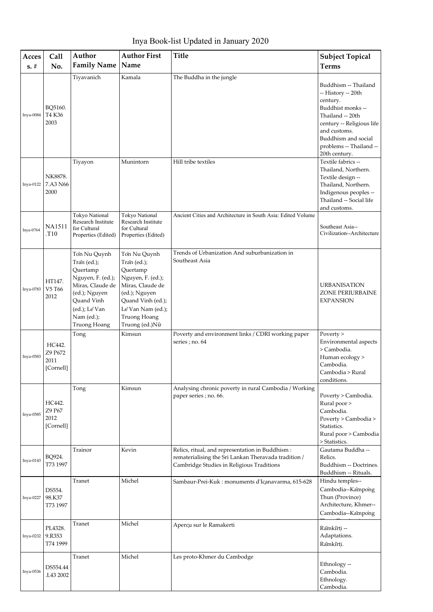Inya Book-list Updated in January 2020

| Acces<br>$s. \#$ | Call<br>No.                            | Author<br><b>Family Name</b>                                                                                                                                    | <b>Author First</b><br>Name                                                                                                                                                   | <b>Title</b>                                                                                                                                         | <b>Subject Topical</b><br><b>Terms</b>                                                                                                                                                                          |
|------------------|----------------------------------------|-----------------------------------------------------------------------------------------------------------------------------------------------------------------|-------------------------------------------------------------------------------------------------------------------------------------------------------------------------------|------------------------------------------------------------------------------------------------------------------------------------------------------|-----------------------------------------------------------------------------------------------------------------------------------------------------------------------------------------------------------------|
| Inya-0084        | BQ5160.<br>T4 K36<br>2003              | Tiyavanich                                                                                                                                                      | Kamala                                                                                                                                                                        | The Buddha in the jungle                                                                                                                             | Buddhism -- Thailand<br>-- History -- 20th<br>century.<br>Buddhist monks --<br>Thailand -- 20th<br>century -- Religious life<br>and customs.<br>Buddhism and social<br>problems -- Thailand --<br>20th century. |
| Inya-0122        | NK8878.<br>7.A3 N66<br>2000            | Tiyayon                                                                                                                                                         | Munintorn                                                                                                                                                                     | Hill tribe textiles                                                                                                                                  | Textile fabrics --<br>Thailand, Northern.<br>Textile design --<br>Thailand, Northern.<br>Indigenous peoples --<br>Thailand -- Social life<br>and customs.                                                       |
| Inya-0764        | <b>NA1511</b><br>.T10                  | <b>Tokyo National</b><br>Research Institute<br>for Cultural<br>Properties (Edited)                                                                              | <b>Tokyo National</b><br>Research Institute<br>for Cultural<br>Properties (Edited)                                                                                            | Ancient Cities and Architecture in South Asia: Edited Volume                                                                                         | Southeast Asia--<br>Civilization--Architecture                                                                                                                                                                  |
| Inya-0783        | HT147.<br>V5 T66<br>2012               | Tổn Nu Quynh<br>Traîn (ed.);<br>Quertamp<br>Nguyen, F. (ed.);<br>Miras, Claude de<br>(ed.); Nguyen<br>Quand Vinh<br>(ed.); Le Van<br>Nam (ed.);<br>Truong Hoang | Tổn Nu Quynh<br>Tran (ed.);<br>Quertamp<br>Nguyen, F. (ed.);<br>Miras, Claude de<br>(ed.); Nguyen<br>Quand Vinh (ed.);<br>Le Van Nam (ed.);<br>Truong Hoang<br>Truong (ed.)Nữ | Trends of Urbanization And suburbanization in<br>Southeast Asia                                                                                      | <b>URBANISATION</b><br>ZONE PERIURBAINE<br><b>EXPANSION</b>                                                                                                                                                     |
| Inya-0583        | HC442.<br>Z9 P672<br>2011<br>[Cornell] | Tong                                                                                                                                                            | Kimsun                                                                                                                                                                        | Poverty and environment links / CDRI working paper<br>series ; no. 64                                                                                | Poverty ><br>Environmental aspects<br>> Cambodia.<br>Human ecology ><br>Cambodia.<br>Cambodia > Rural<br>conditions.                                                                                            |
| Inya-0585        | HC442.<br>Z9 P67<br>2012<br>[Cornell]  | Tong                                                                                                                                                            | Kimsun                                                                                                                                                                        | Analysing chronic poverty in rural Cambodia / Working<br>paper series; no. 66.                                                                       | Poverty > Cambodia.<br>Rural poor ><br>Cambodia.<br>Poverty > Cambodia ><br>Statistics.<br>Rural poor > Cambodia<br>> Statistics.                                                                               |
| Inya-0143        | BQ924.<br>T73 1997                     | Trainor                                                                                                                                                         | Kevin                                                                                                                                                                         | Relics, ritual, and representation in Buddhism:<br>rematerialising the Sri Lankan Theravada tradition /<br>Cambridge Studies in Religious Traditions | Gautama Buddha --<br>Relics.<br>Buddhism -- Doctrines.<br>Buddhism -- Rituals.                                                                                                                                  |
| Inya-0227        | DS554.<br>98.K37<br>T73 1997           | Tranet                                                                                                                                                          | Michel                                                                                                                                                                        | Sambaur-Prei-Kuk: monuments d'Icanavarma, 615-628                                                                                                    | Hindu temples--<br>Cambodia--Kampong<br>Thun (Province)<br>Architecture, Khmer--<br>Cambodia--Kampong                                                                                                           |
| Inya-0232        | PL4328.<br>9.R353<br>T74 1999          | Tranet                                                                                                                                                          | Michel                                                                                                                                                                        | Aperçu sur le Ramakerti                                                                                                                              | Ramkirti --<br>Adaptations.<br>Ramkirti.                                                                                                                                                                        |
| Inya-0536        | DS554.44<br>.L43 2002                  | Tranet                                                                                                                                                          | Michel                                                                                                                                                                        | Les proto-Khmer du Cambodge                                                                                                                          | Ethnology --<br>Cambodia.<br>Ethnology.<br>Cambodia.                                                                                                                                                            |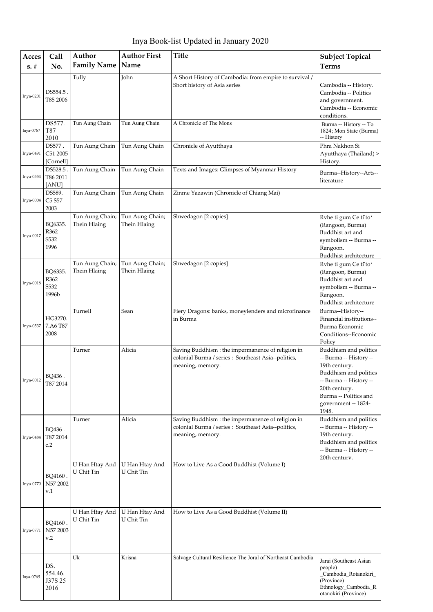Inya Book-list Updated in January 2020

| Acces<br>$s. \#$ | Call<br>No.                       | Author<br><b>Family Name</b>    | <b>Author First</b><br>Name     | Title                                                                                                                        | <b>Subject Topical</b><br><b>Terms</b>                                                                                                                                                        |
|------------------|-----------------------------------|---------------------------------|---------------------------------|------------------------------------------------------------------------------------------------------------------------------|-----------------------------------------------------------------------------------------------------------------------------------------------------------------------------------------------|
|                  |                                   |                                 |                                 |                                                                                                                              |                                                                                                                                                                                               |
| Inya-0201        | DS554.5.<br>T85 2006              | Tully                           | John                            | A Short History of Cambodia: from empire to survival /<br>Short history of Asia series                                       | Cambodia -- History.<br>Cambodia -- Politics<br>and government.<br>Cambodia -- Economic<br>conditions.                                                                                        |
| Inya-0767        | DS577.<br>T87<br>2010             | Tun Aung Chain                  | Tun Aung Chain                  | A Chronicle of The Mons                                                                                                      | Burma -- History -- To<br>1824; Mon State (Burma)<br>-- History                                                                                                                               |
| Inya-0491        | DS577.<br>C51 2005<br>[Cornell]   | Tun Aung Chain                  | Tun Aung Chain                  | Chronicle of Ayutthaya                                                                                                       | Phra Nakhon Si<br>Ayutthaya (Thailand) ><br>History.                                                                                                                                          |
| Inya-0554        | DS528.5<br>T86 2011<br>[ANU]      | Tun Aung Chain                  | Tun Aung Chain                  | Texts and Images: Glimpses of Myanmar History                                                                                | Burma--History--Arts--<br>literature                                                                                                                                                          |
| $Inya-0004$      | DS589.<br>C5 S57<br>2003          | Tun Aung Chain                  | Tun Aung Chain                  | Zinme Yazawin (Chronicle of Chiang Mai)                                                                                      |                                                                                                                                                                                               |
| Inya-0017        | BQ6335.<br>R362<br>S532<br>1996   | Tun Aung Chain;<br>Thein Hlaing | Tun Aung Chain;<br>Thein Hlaing | Shwedagon [2 copies]                                                                                                         | Rvhe ti gum Ce tī toʻ<br>(Rangoon, Burma)<br>Buddhist art and<br>symbolism -- Burma --<br>Rangoon.<br>Buddhist architecture                                                                   |
| Inya-0018        | BQ6335.<br>R362<br>S532<br>1996b  | Tun Aung Chain;<br>Thein Hlaing | Tun Aung Chain;<br>Thein Hlaing | Shwedagon [2 copies]                                                                                                         | Rvhe ti gum Ce tī toʻ<br>(Rangoon, Burma)<br>Buddhist art and<br>symbolism -- Burma --<br>Rangoon.<br>Buddhist architecture                                                                   |
| Inya-0537        | HG3270.<br>7.A6 T87<br>2008       | Turnell                         | Sean                            | Fiery Dragons: banks, moneylenders and microfinance<br>in Burma                                                              | Burma--History--<br>Financial institutions--<br>Burma Economic<br>Conditions--Economic<br>Policy                                                                                              |
| $Inya-0012$      | BQ436.<br>T87 2014                | Turner                          | Alicia                          | Saving Buddhism : the impermanence of religion in<br>colonial Burma / series : Southeast Asia--politics,<br>meaning, memory. | Buddhism and politics<br>-- Burma -- History --<br>19th century.<br>Buddhism and politics<br>-- Burma -- History --<br>20th century.<br>Burma -- Politics and<br>government -- 1824-<br>1948. |
| Inya-0484        | BQ436.<br>T87 2014<br>c.2         | Turner                          | Alicia                          | Saving Buddhism : the impermanence of religion in<br>colonial Burma / series : Southeast Asia--politics,<br>meaning, memory. | Buddhism and politics<br>-- Burma -- History --<br>19th century.<br>Buddhism and politics<br>-- Burma -- History --<br>20th century.                                                          |
| Inya-0770        | BQ4160.<br>N57 2002<br>v.1        | U Han Htay And<br>U Chit Tin    | U Han Htay And<br>U Chit Tin    | How to Live As a Good Buddhist (Volume I)                                                                                    |                                                                                                                                                                                               |
| Inya-0771        | BQ4160.<br>N57 2003<br>v.2        | U Han Htay And<br>U Chit Tin    | U Han Htay And<br>U Chit Tin    | How to Live As a Good Buddhist (Volume II)                                                                                   |                                                                                                                                                                                               |
| Inya-0765        | DS.<br>554.46.<br>J37S 25<br>2016 | Uk                              | Krisna                          | Salvage Cultural Resilience The Joral of Northeast Cambodia                                                                  | Jarai (Southeast Asian<br>people)<br>Cambodia Rotanokiri<br>(Province)<br>Ethnology_Cambodia_R<br>otanokiri (Province)                                                                        |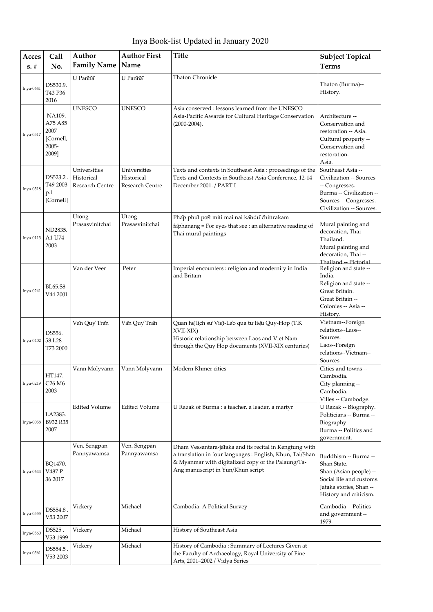Inya Book-list Updated in January 2020

| Acces     | Call                                                        | Author                                        | <b>Author First</b>                           | <b>Title</b>                                                                                                                                                                                                    | <b>Subject Topical</b>                                                                                                                           |
|-----------|-------------------------------------------------------------|-----------------------------------------------|-----------------------------------------------|-----------------------------------------------------------------------------------------------------------------------------------------------------------------------------------------------------------------|--------------------------------------------------------------------------------------------------------------------------------------------------|
| $s. \#$   | No.                                                         | <b>Family Name</b>                            | Name                                          |                                                                                                                                                                                                                 | <b>Terms</b>                                                                                                                                     |
| Inya-0641 | DS530.9.<br>T43 P36<br>2016                                 | U Pannã                                       | U Pannã                                       | <b>Thaton Chronicle</b>                                                                                                                                                                                         | Thaton (Burma)--<br>History.                                                                                                                     |
| Inya-0517 | NA109.<br>A75 A85<br>2007<br>[Cornell,<br>$2005 -$<br>2009] | <b>UNESCO</b>                                 | <b>UNESCO</b>                                 | Asia conserved : lessons learned from the UNESCO<br>Asia-Pacific Awards for Cultural Heritage Conservation<br>$(2000 - 2004).$                                                                                  | Architecture --<br>Conservation and<br>restoration -- Asia.<br>Cultural property --<br>Conservation and<br>restoration.<br>Asia.                 |
| Inya-0518 | DS523.2.<br>T49 2003<br>p.1<br>[Cornell]                    | Universities<br>Historical<br>Research Centre | Universities<br>Historical<br>Research Centre | Texts and contexts in Southeast Asia : proceedings of the<br>Texts and Contexts in Southeast Asia Conference, 12-14<br>December 2001. / PART I                                                                  | Southeast Asia --<br>Civilization -- Sources<br>-- Congresses.<br>Burma -- Civilization --<br>Sources -- Congresses.<br>Civilization -- Sources. |
| Inya-0113 | ND2835.<br>A1 U74<br>2003                                   | Utong<br>Prasasvinitchai                      | Utong<br>Prasasvinitchai                      | Phap phut pœt miti mai nai kandu chittrakam<br>faphanang = For eyes that see : an alternative reading of<br>Thai mural paintings                                                                                | Mural painting and<br>decoration, Thai --<br>Thailand.<br>Mural painting and<br>decoration, Thai --<br>Thailand -- Pictorial                     |
| Inya-0241 | <b>BL65.S8</b><br>V44 2001                                  | Van der Veer                                  | Peter                                         | Imperial encounters : religion and modernity in India<br>and Britain                                                                                                                                            | Religion and state --<br>India.<br>Religion and state --<br>Great Britain.<br>Great Britain --<br>Colonies -- Asia --<br>History.                |
| Inya-0402 | DS556.<br>58.L28<br>T73 2000                                | Văn Quy Trần                                  | Văn Quy Trần                                  | Quan he lịch sư Việt-Lao qua tư liệu Quy-Hop (T.K<br>XVII-XIX)<br>Historic relationship between Laos and Viet Nam<br>through the Quy Hop documents (XVII-XIX centuries)                                         | Vietnam--Foreign<br>relations--Laos--<br>Sources.<br>Laos--Foreign<br>relations--Vietnam--<br>Sources.                                           |
| Inya-0219 | HT147.<br>C <sub>26</sub> M <sub>6</sub><br>2003            | Vann Molyvann                                 | Vann Molyvann                                 | Modern Khmer cities                                                                                                                                                                                             | Cities and towns --<br>Cambodia.<br>City planning --<br>Cambodia.<br>Villes -- Cambodge.                                                         |
| Inya-0058 | LA2383.<br>B932 R35<br>2007                                 | <b>Edited Volume</b>                          | <b>Edited Volume</b>                          | U Razak of Burma : a teacher, a leader, a martyr                                                                                                                                                                | U Razak -- Biography.<br>Politicians -- Burma --<br>Biography.<br>Burma -- Politics and<br>government.                                           |
| Inya-0644 | BQ1470.<br>V487 P<br>36 2017                                | Ven. Sengpan<br>Pannyawamsa                   | Ven. Sengpan<br>Pannyawamsa                   | Dham Vessantara-jataka and its recital in Kengtung with<br>a translation in four languages : English, Khun, Tai/Shan<br>& Myanmar with digitalized copy of the Palaung/Ta-<br>Ang manuscript in Yun/Khun script | Buddhism -- Burma --<br>Shan State.<br>Shan (Asian people) --<br>Social life and customs.<br>Jataka stories, Shan --<br>History and criticism.   |
| Inya-0555 | DS554.8.<br>V53 2007                                        | Vickery                                       | Michael                                       | Cambodia: A Political Survey                                                                                                                                                                                    | Cambodia -- Politics<br>and government --<br>1979-                                                                                               |
| Inya-0560 | DS525.<br>V53 1999                                          | Vickery                                       | Michael                                       | History of Southeast Asia                                                                                                                                                                                       |                                                                                                                                                  |
| Inya-0561 | DS554.5.<br>V53 2003                                        | Vickery                                       | Michael                                       | History of Cambodia: Summary of Lectures Given at<br>the Faculty of Archaeology, Royal University of Fine<br>Arts, 2001-2002 / Vidya Series                                                                     |                                                                                                                                                  |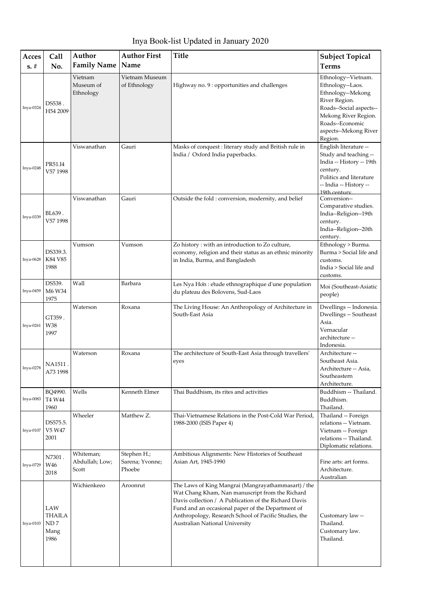| Acces     | Call                                                  | Author                               | <b>Author First</b>                      | <b>Title</b>                                                                                                                                                                                                                                                                                                    | <b>Subject Topical</b>                                                                                                                                                                  |
|-----------|-------------------------------------------------------|--------------------------------------|------------------------------------------|-----------------------------------------------------------------------------------------------------------------------------------------------------------------------------------------------------------------------------------------------------------------------------------------------------------------|-----------------------------------------------------------------------------------------------------------------------------------------------------------------------------------------|
| $s. \#$   | No.                                                   | <b>Family Name</b>                   | Name                                     |                                                                                                                                                                                                                                                                                                                 | <b>Terms</b>                                                                                                                                                                            |
| Inya-0324 | DS538.<br>H54 2009                                    | Vietnam<br>Museum of<br>Ethnology    | Vietnam Museum<br>of Ethnology           | Highway no. 9 : opportunities and challenges                                                                                                                                                                                                                                                                    | Ethnology--Vietnam.<br>Ethnology--Laos.<br>Ethnology--Mekong<br>River Region.<br>Roads--Social aspects--<br>Mekong River Region.<br>Roads--Economic<br>aspects--Mekong River<br>Region. |
| Inya-0248 | PR51.I4<br>V57 1998                                   | Viswanathan                          | Gauri                                    | Masks of conquest : literary study and British rule in<br>India / Oxford India paperbacks.                                                                                                                                                                                                                      | English literature --<br>Study and teaching --<br>India -- History -- 19th<br>century.<br>Politics and literature<br>-- India -- History --<br>19th century                             |
| Inya-0339 | BL639.<br>V57 1998                                    | Viswanathan                          | Gauri                                    | Outside the fold: conversion, modernity, and belief                                                                                                                                                                                                                                                             | Conversion--<br>Comparative studies.<br>India--Religion--19th<br>century.<br>India--Religion--20th<br>century.                                                                          |
| Inya-0628 | DS339.3.<br>K84 V85<br>1988                           | Vumson                               | Vumson                                   | Zo history : with an introduction to Zo culture,<br>economy, religion and their status as an ethnic minority<br>in India, Burma, and Bangladesh                                                                                                                                                                 | Ethnology > Burma.<br>Burma > Social life and<br>customs.<br>India > Social life and<br>customs.                                                                                        |
| Inya-0459 | DS539.<br>M6 W34<br>1975                              | Wall                                 | Barbara                                  | Les Nya Hon : etude ethnographique d'une population<br>du plateau des Bolovens, Sud-Laos                                                                                                                                                                                                                        | Moi (Southeast-Asiatic<br>people)                                                                                                                                                       |
| Inya-0261 | GT359.<br>W38<br>1997                                 | Waterson                             | Roxana                                   | The Living House: An Anthropology of Architecture in<br>South-East Asia                                                                                                                                                                                                                                         | Dwellings -- Indonesia.<br>Dwellings -- Southeast<br>Asia.<br>Vernacular<br>architecture --<br>Indonesia.                                                                               |
| Inya-0278 | NA1511 .<br>A73 1998                                  | Waterson                             | Roxana                                   | The architecture of South-East Asia through travellers'<br>eyes                                                                                                                                                                                                                                                 | Architecture --<br>Southeast Asia.<br>Architecture -- Asia,<br>Southeastern<br>Architecture.                                                                                            |
| Inya-0083 | BQ4990.<br>T4 W44<br>1960                             | Wells                                | Kenneth Elmer                            | Thai Buddhism, its rites and activities                                                                                                                                                                                                                                                                         | Buddhism -- Thailand.<br>Buddhism.<br>Thailand.                                                                                                                                         |
| Inya-0107 | DS575.5.<br>V5 W47<br>2001                            | Wheeler                              | Matthew Z.                               | Thai-Vietnamese Relations in the Post-Cold War Period,<br>1988-2000 (ISIS Paper 4)                                                                                                                                                                                                                              | Thailand -- Foreign<br>relations -- Vietnam.<br>Vietnam -- Foreign<br>relations -- Thailand.<br>Diplomatic relations.                                                                   |
| Inya-0729 | N7301.<br>W46<br>2018                                 | Whiteman;<br>Abdullah; Low;<br>Scott | Stephen H.;<br>Sarena; Yvonne;<br>Phoebe | Ambitious Alignments: New Histories of Southeast<br>Asian Art, 1945-1990                                                                                                                                                                                                                                        | Fine arts: art forms.<br>Architecture.<br>Australian                                                                                                                                    |
| Inya-0103 | LAW<br><b>THAILA</b><br>${\rm ND}\,7$<br>Mang<br>1986 | Wichienkeeo                          | Aroonrut                                 | The Laws of King Mangrai (Mangrayathammasart) / the<br>Wat Chang Kham, Nan manuscript from the Richard<br>Davis collection / A Publication of the Richard Davis<br>Fund and an occasional paper of the Department of<br>Anthropology, Research School of Pacific Studies, the<br>Australian National University | Customary law --<br>Thailand.<br>Customary law.<br>Thailand.                                                                                                                            |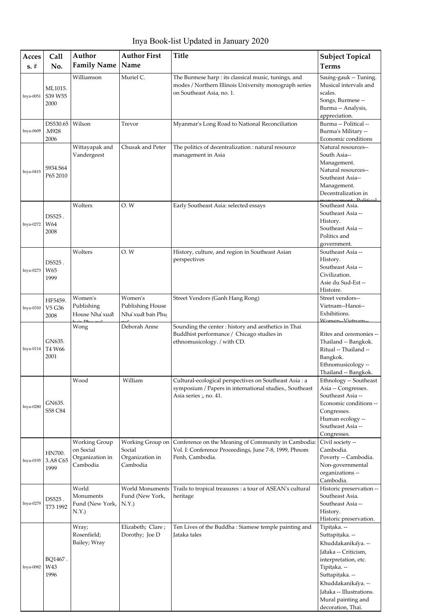Inya Book-list Updated in January 2020

| Acces       | Call          | Author                         | <b>Author First</b>                  | <b>Title</b>                                                                                      | <b>Subject Topical</b>                         |
|-------------|---------------|--------------------------------|--------------------------------------|---------------------------------------------------------------------------------------------------|------------------------------------------------|
| $s. \#$     | No.           | <b>Family Name</b>             | Name                                 |                                                                                                   | <b>Terms</b>                                   |
|             |               | Williamson                     | Muriel C.                            | The Burmese harp : its classical music, tunings, and                                              | Saung-gauk -- Tuning.                          |
|             | ML1015.       |                                |                                      | modes / Northern Illinois University monograph series                                             | Musical intervals and                          |
| Inya-0051   | S39 W55       |                                |                                      | on Southeast Asia, no. 1.                                                                         | scales.                                        |
|             | 2000          |                                |                                      |                                                                                                   | Songs, Burmese --<br>Burma -- Analysis,        |
|             |               |                                |                                      |                                                                                                   | appreciation.                                  |
|             | DS530.65      | Wilson                         | Trevor                               | Myanmar's Long Road to National Reconciliation                                                    | Burma -- Political --                          |
| Inya-0609   | .M928<br>2006 |                                |                                      |                                                                                                   | Burma's Military --                            |
|             |               | Wittayapak and                 | Chusak and Peter                     | The politics of decentralization : natural resource                                               | Economic conditions<br>Natural resources--     |
|             |               | Vandergeest                    |                                      | management in Asia                                                                                | South Asia--                                   |
|             | S934.S64      |                                |                                      |                                                                                                   | Management.                                    |
| Inya-0415   | P65 2010      |                                |                                      |                                                                                                   | Natural resources--<br>Southeast Asia--        |
|             |               |                                |                                      |                                                                                                   | Management.                                    |
|             |               |                                |                                      |                                                                                                   | Decentralization in                            |
|             |               | Wolters                        | O.W                                  | Early Southeast Asia: selected essays                                                             | comont Political<br>Southeast Asia.            |
|             | DS525.        |                                |                                      |                                                                                                   | Southeast Asia --                              |
| Inva-0272   | W64           |                                |                                      |                                                                                                   | History.                                       |
|             | 2008          |                                |                                      |                                                                                                   | Southeast Asia --<br>Politics and              |
|             |               |                                |                                      |                                                                                                   | government.                                    |
|             |               | Wolters                        | O.W                                  | History, culture, and region in Southeast Asian                                                   | Southeast Asia --                              |
|             | DS525.        |                                |                                      | perspectives                                                                                      | History.                                       |
| Inya-0273   | W65           |                                |                                      |                                                                                                   | Southeast Asia --<br>Civilization.             |
|             | 1999          |                                |                                      |                                                                                                   | Asie du Sud-Est --                             |
|             |               |                                |                                      |                                                                                                   | Histoire.                                      |
|             | HF5459.       | Women's                        | Women's                              | Street Vendors (Ganh Hang Rong)                                                                   | Street vendors--                               |
| Inya-0310   | V5 G36        | Publishing<br>House Nha`xuat   | Publishing House<br>Nha`xuat ban Phu |                                                                                                   | Vietnam--Hanoi--<br>Exhibitions.               |
|             | 2008          | $\sim$ $\sim$ $D_{\text{max}}$ |                                      |                                                                                                   | Women-Vietnam-                                 |
|             |               | Wong                           | Deborah Anne                         | Sounding the center : history and aesthetics in Thai<br>Buddhist performance / Chicago studies in | Rites and ceremonies --                        |
|             | GN635.        |                                |                                      | ethnomusicology. / with CD.                                                                       | Thailand -- Bangkok.                           |
| $Inya-0114$ | T4 W66        |                                |                                      |                                                                                                   | Ritual -- Thailand --                          |
|             | 2001          |                                |                                      |                                                                                                   | Bangkok.                                       |
|             |               |                                |                                      |                                                                                                   | Ethnomusicology --<br>Thailand -- Bangkok.     |
|             |               | Wood                           | William                              | Cultural-ecological perspectives on Southeast Asia : a                                            | Ethnology -- Southeast                         |
|             |               |                                |                                      | symposium / Papers in international studies., Southeast                                           | Asia -- Congresses.                            |
|             | GN635.        |                                |                                      | Asia series ;, no. 41.                                                                            | Southeast Asia --<br>Economic conditions --    |
| Inya-0280   | S58 C84       |                                |                                      |                                                                                                   | Congresses.                                    |
|             |               |                                |                                      |                                                                                                   | Human ecology --                               |
|             |               |                                |                                      |                                                                                                   | Southeast Asia --                              |
|             |               | Working Group                  | Working Group on                     | Conference on the Meaning of Community in Cambodia:                                               | Congresses.<br>Civil society --                |
|             | HN700.        | on Social                      | Social                               | Vol. I: Conference Proceedings, June 7-8, 1999, Phnom                                             | Cambodia.                                      |
| Inya-0195   | 3.A8 C65      | Organization in                | Organization in                      | Penh, Cambodia.                                                                                   | Poverty -- Cambodia.                           |
|             | 1999          | Cambodia                       | Cambodia                             |                                                                                                   | Non-governmental                               |
|             |               |                                |                                      |                                                                                                   | organizations --<br>Cambodia.                  |
|             |               | World                          | World Monuments                      | Trails to tropical treasures : a tour of ASEAN's cultural                                         | Historic preservation --                       |
|             | DS525.        | Monuments                      | Fund (New York,                      | heritage                                                                                          | Southeast Asia.                                |
| Inya-0279   | T73 1992      | Fund (New York,<br>N.Y.        | N.Y.                                 |                                                                                                   | Southeast Asia --<br>History.                  |
|             |               |                                |                                      |                                                                                                   | Historic preservation.                         |
|             |               | Wray;                          | Elizabeth; Clare;                    | Ten Lives of the Buddha: Siamese temple painting and                                              | Tipitaka. --                                   |
|             |               | Rosenfield;                    | Dorothy; Joe D                       | Jataka tales                                                                                      | Suttapitaka. --                                |
|             |               | Bailey; Wray                   |                                      |                                                                                                   | Khuddakanikaya. --                             |
|             | BQ1467.       |                                |                                      |                                                                                                   | Jataka -- Criticism,<br>interpretation, etc.   |
| Inya-0082   | W43           |                                |                                      |                                                                                                   | Tipițaka. --                                   |
|             | 1996          |                                |                                      |                                                                                                   | Suttapitaka. --                                |
|             |               |                                |                                      |                                                                                                   | Khuddakanikaya. --                             |
|             |               |                                |                                      |                                                                                                   | Jataka -- Illustrations.<br>Mural painting and |
|             |               |                                |                                      |                                                                                                   | decoration, Thai.                              |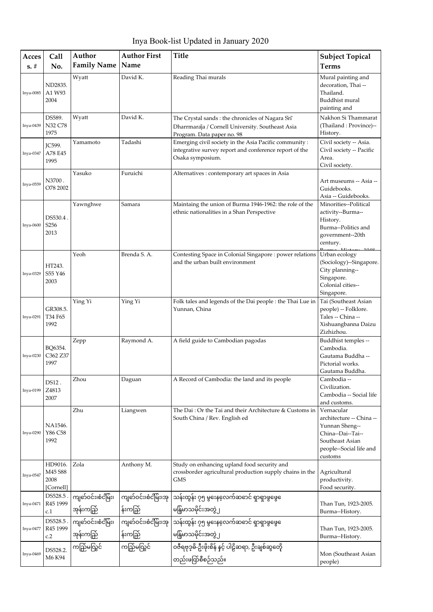Inya Book-list Updated in January 2020

| Acces     | Call                                    | Author                          | <b>Author First</b>             | <b>Title</b>                                                                                                                         | <b>Subject Topical</b>                                                                                                                 |
|-----------|-----------------------------------------|---------------------------------|---------------------------------|--------------------------------------------------------------------------------------------------------------------------------------|----------------------------------------------------------------------------------------------------------------------------------------|
| $s. \#$   | No.                                     | <b>Family Name</b>              | Name                            |                                                                                                                                      | <b>Terms</b>                                                                                                                           |
| Inya-0085 | ND2835.<br>A1 W93<br>2004               | Wyatt                           | David K.                        | Reading Thai murals                                                                                                                  | Mural painting and<br>decoration, Thai --<br>Thailand.<br>Buddhist mural<br>painting and                                               |
| Inya-0439 | DS589.<br>N32 C78<br>1975               | Wyatt                           | David K.                        | The Crystal sands : the chronicles of Nagara Srī<br>Dharrmaraja / Cornell University. Southeast Asia<br>Program. Data paper no. 98   | Nakhon Si Thammarat<br>(Thailand: Province)--<br>History.                                                                              |
| Inya-0347 | <b>JC599.</b><br>A78 E45<br>1995        | Yamamoto                        | Tadashi                         | Emerging civil society in the Asia Pacific community :<br>integrative survey report and conference report of the<br>Osaka symposium. | Civil society -- Asia.<br>Civil society -- Pacific<br>Area.<br>Civil society.                                                          |
| Inya-0559 | N3700.<br>O78 2002                      | Yasuko                          | Furuichi                        | Alternatives : contemporary art spaces in Asia                                                                                       | Art museums -- Asia --<br>Guidebooks.<br>Asia -- Guidebooks.                                                                           |
| Inya-0600 | DS530.4.<br>S256<br>2013                | Yawnghwe                        | Samara                          | Maintaing the union of Burma 1946-1962: the role of the<br>ethnic nationalities in a Shan Perspective                                | Minorities--Political<br>activity--Burma--<br>History.<br>Burma--Politics and<br>government--20th<br>century.                          |
| Inya-0329 | HT243.<br>S55 Y46<br>2003               | Yeoh                            | Brenda S.A.                     | Contesting Space in Colonial Singapore : power relations<br>and the urban built environment                                          | Urban ecology<br>(Sociology)--Singapore.<br>City planning--<br>Singapore.<br>Colonial cities--<br>Singapore.                           |
| Inya-0291 | GR308.5.<br>T34 F65<br>1992             | Ying Yi                         | Ying Yi                         | Folk tales and legends of the Dai people : the Thai Lue in<br>Yunnan, China                                                          | Tai (Southeast Asian<br>people) -- Folklore.<br>Tales -- China --<br>Xishuangbanna Daizu<br>Zizhizhou.                                 |
| Inya-0230 | BO6354.<br>C362 Z37<br>1997             | Zepp                            | Raymond A.                      | A field guide to Cambodian pagodas                                                                                                   | Buddhist temples --<br>Cambodia.<br>Gautama Buddha --<br>Pictorial works.<br>Gautama Buddha.                                           |
| Inya-0199 | DS12.<br>Z4813<br>2007                  | Zhou                            | Daguan                          | A Record of Cambodia: the land and its people                                                                                        | Cambodia --<br>Civilization.<br>Cambodia -- Social life<br>and customs.                                                                |
| Inya-0290 | NA1546.<br>Y86 C58<br>1992              | Zhu                             | Liangwen                        | The Dai: Or the Tai and their Architecture & Customs in<br>South China / Rev. English ed                                             | Vernacular<br>architecture -- China --<br>Yunnan Sheng--<br>China--Dai--Tai--<br>Southeast Asian<br>people--Social life and<br>customs |
| Inya-0547 | HD9016.<br>M45 S88<br>2008<br>[Cornell] | Zola                            | Anthony M.                      | Study on enhancing upland food security and<br>crossborder agricultural production supply chains in the<br>GMS                       | Agricultural<br>productivity.<br>Food security.                                                                                        |
| Inya-0471 | DS528.5.<br>R45 1999<br>c.1             | ကျတ်ဝင်း၊စံငိမြိး၊<br>အုန်းကည်ြ | ကျတ်ဝင်း၊စံငိမြ်း၊အု<br>န်းကည်ြ | သန်းထွန်း ၇၅ မွနေနေ့လက်ဆဓာင် ရှာရှာဖွဖွေေ<br>မန်ြမာသမိုင်းအတွဲ ၂                                                                     | Than Tun, 1923-2005.<br>Burma--History.                                                                                                |
| Inya-0477 | DS528.5.<br>R45 1999<br>c.2             | ကျတ်ဝင်း၊စံငိမြိး၊<br>အုန်းကည်ြ | န်းကည်                          | ကျင်ာဝင်း၊စံငံမြိး၊အု သန်းထွန်း ၇၅ မွနေလေက်ဆဓာင် ရှာရှာဖွဖွေ<br>မန်ြမာသမိုင်းအတွဲ၂                                                   | Than Tun, 1923-2005.<br>Burma--History.                                                                                                |
| Inya-0469 | DS528.2.<br>M6 K94                      | ကည်ြမလြွင်                      | ကည်ြမလြွင်                      | ဝဇီရဗုဒ္ဓမိ-ဦးဖိုးစိန် နင့် ပါဠိဆရာ, ဦးချစ်ဆွတေ့ိ<br>တည်းဖင်္ကြစီစဉ်သည်။                                                             | Mon (Southeast Asian<br>people)                                                                                                        |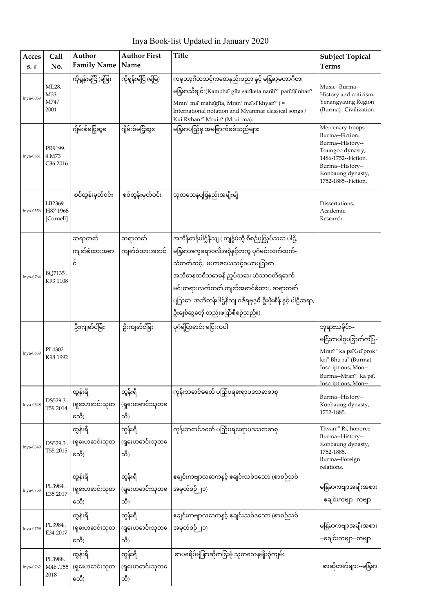| Acces<br>$s. \#$ | Call<br>No.                              | Author<br><b>Family Name</b>      | <b>Author First</b><br>Name       | <b>Title</b>                                                                                                                                                                                                                                                                                                                      | <b>Subject Topical</b><br><b>Terms</b>                                                                                                                                                            |
|------------------|------------------------------------------|-----------------------------------|-----------------------------------|-----------------------------------------------------------------------------------------------------------------------------------------------------------------------------------------------------------------------------------------------------------------------------------------------------------------------------------|---------------------------------------------------------------------------------------------------------------------------------------------------------------------------------------------------|
| Inya-0059        | ML28.<br>M33<br>M747<br>2001             | ကိုရွန်းမျိင်ြ (မျိုမျှ)          | ကိုရွန်းမငြိ (မိုမြ)              | ကမ္ <b>ဘာ့ဂီတသင့်ကတေနည်းပညာ နင့် မ</b> န်ြမာ့မဟာဂီတ၊<br>မနြမာသီချင်း(Kambha' gita sanketa naniñ" paniña nhañ'<br>Mran' ma' mahagita, Mran' ma si khyan") =<br>International notation and Myanmar classical songs /<br>Kui Rvhan" Mruin" (Mrui' ma).                                                                               | Music--Burma--<br>History and criticism.<br>Yenangyaung Region<br>(Burma)--Civilization.                                                                                                          |
| Inya-0651        | PR9199.<br>4.M73<br>C <sub>36</sub> 2016 | ဂျိမ်းစ်မငြ့်ဆွငေ                 | ဂျိမ်းစ်မငြ့်ဆွ                   | မနြမာပည်ြမှ အမခြာက်စစ်သည်များ                                                                                                                                                                                                                                                                                                     | Mercenary troops--<br>Burma--Fiction.<br>Burma--History--<br>Toungoo dynasty,<br>1486-1752--Fiction.<br>Burma--History--<br>Konbaung dynasty,<br>1752-1885--Fiction.                              |
| Inya-0556        | LB2369.<br>H87 1968<br>[Cornell]         | စဝ်ထွန်းမှတ်ဝင်း                  | စဝ်ထွန်းမှတ်ဝင်း                  | သုတသေနပစြနည်းအမျိုးမျိ                                                                                                                                                                                                                                                                                                            | Dissertations,<br>Academic.<br>Research.                                                                                                                                                          |
| Inya-0764        | BQ7135.<br>K93 1108                      | ဆရာတတ်<br>ကျင်္ဘစံထားအဓာ<br>δ     | ဆရာတတ်<br>ကျင်္ဘစံထားအဓာင်        | အဘိန်ဓာန်ပါဌ်နိသျ ( ကျန်ပ်တို့ စီစဉ်ပျှလှုပ်သဓာ ပါဠိ,<br>မနြမာအက္ခခရာဝလိအစုံနှင့်တကွ ပုဂံမင်းလက်ထက်-<br>သံတဓာ်ဆင့်, မဟာဇယေသင့်ခယာပျသြဓာ<br>အဘိဓာနတဝိသဓာဓနီ ညုပ်သဓာ၊ ဟံသာဝတီရဓာက်-<br>မင်းတရားလက်ထက် ကျဓာ်အဓာင်စံထား, ဆရာတဓာ်<br>ပြသြော အဘိဓာန်ပါဌ်နိသျ ဝဇီရဗုဒ္ဓဓိ-ဦးဖိုးစိန် နှင့် ပါဠိဆရာ,<br>ဦးချစ်ဆွတေ့ိ တည်းဖင်္ကြစီစဉ်သည်။) |                                                                                                                                                                                                   |
| Inya-0659        | PL4302.<br>K98 1992                      | ဦးကျင်္ခင်မြိး                    | ဦးကျင်္ခင်မြိး                    | ပုဂံမျှိပြာဓာင်း မငြ်းကပါ                                                                                                                                                                                                                                                                                                         | ဘုရားသမိုင်း--<br>မငြိးကပါဂူပခြာက်ကျိး-ှ-<br>Mran"" ka pa Gu prok'<br>krī" Bhu ra" (Burma)<br>Inscriptions, Mon--<br>Burma--Mran <sup>e</sup> " ka pa <del>l</del><br><b>Inscriptions</b> , Mon-- |
| Inya-0648        | DS529.3.<br>T59 2014                     | ထွန်းရီ<br>(ရှႜေဟဓာင်းသုတ<br>သေီ) | ထွန်းရီ<br>(ရှးေဟဓာင်းသုတဧ<br>သီ) | ကုန်းဘဓာင်ခတ်ေ ပည်ြပရးေရာပဒသဓာစာစု                                                                                                                                                                                                                                                                                                | Burma--History--<br>Konbaung dynasty,<br>1752-1885.                                                                                                                                               |
| Inya-0649        | DS529.3.<br>T55 2015                     | ထွန်းရီ<br>(ရှႜေဟဓာင်းသုတ<br>သေီ) | ထွန်းရီ<br>(ရှးေဟဓာင်းသုတဧ<br>သီ) | ကုန်းဘဓာင်ခတ်ေ ပည်ြပရးေရာပဒသဓာစာစု                                                                                                                                                                                                                                                                                                | Thvan" Ri, honoree.<br>Burma--History--<br>Konbaung dynasty,<br>1752-1885.<br>Burma--Foreign<br>relations.                                                                                        |
| Inya-0758        | PL3984.<br>E35 2017                      | ထွန်းရီ<br>(ရှႜေဟဓာင်းသုတ<br>သေီ) | ထွန်းရီ<br>(ရှးေဟဓာင်းသုတဧ<br>သီ) | ဧချင်းကဗျာလဓာကနင့် ဧချင်းသစ်ဒသော (စာစဉ်သစ်<br>အမှတ်စဉ် ၂၁)                                                                                                                                                                                                                                                                        | မန်ြမာကဗျာအမျိုးအစား<br>--ဧချင်းကဗျာ--ကဗျာ                                                                                                                                                        |
| Inya-0759        | PL3984.<br>E34 2017                      | ထွန်းရီ<br>(ရှႜေဟဓာင်းသုတ<br>သေီ) | ထွန်းရီ<br>(ရှ ေဟဓာင်းသုတ<br>သီ)  | ဧချင်းကဗျာလဓာကနင့် ဧချင်းသစ်ဒသော (စာစဉ်သစ်<br>အမှတ်စဉ် ၂၁)                                                                                                                                                                                                                                                                        | မန်ြမာကဗျာအမျိုးအစား<br>--ဧချင်းကဗျာ--ကဗျာ                                                                                                                                                        |
| Inya-0762        | PL3988.<br>M46.T55<br>2018               | ထွန်းရီ<br>(ရှႜေဟဓာင်းသုတ<br>သေီ) | ထွန်းရီ<br>(ရှႜေဟဓာင်းသုတဧ<br>သီ) | စာပရေိပ်မံုစြာဆိုကမြးမုံ သုတသေနမျိုးစုံကျမ်း                                                                                                                                                                                                                                                                                      | စာဆိုတတ်များ--မနြ်မာ                                                                                                                                                                              |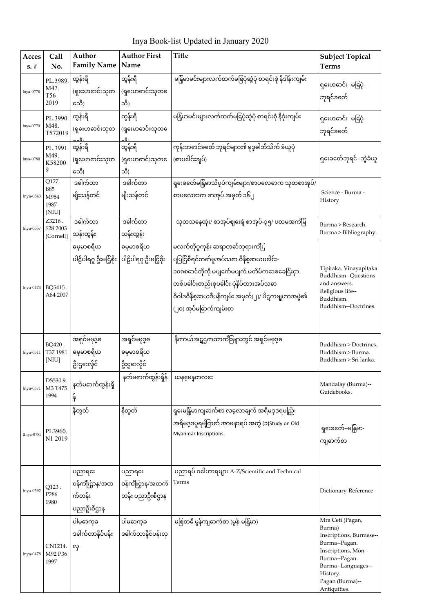Inya Book-list Updated in January 2020

| Acces<br>$s. \#$        | Call<br>No.                                  | Author<br><b>Family Name</b>                   | <b>Author First</b><br>Name                | <b>Title</b>                                                                                                                                                                                                                                             | <b>Subject Topical</b><br><b>Terms</b>                                                                                                                                              |
|-------------------------|----------------------------------------------|------------------------------------------------|--------------------------------------------|----------------------------------------------------------------------------------------------------------------------------------------------------------------------------------------------------------------------------------------------------------|-------------------------------------------------------------------------------------------------------------------------------------------------------------------------------------|
| Inya-0778               | PL.3989.<br>M47.<br>T56<br>2019              | ထွန်းရီ<br>(ရှႜေဟဓာင်းသုတ<br>သေီ)              | ထွန်းရီ<br>(ရှၖေဟဓာင်းသုတဧ<br>သီ)          | မနြံမာမင်းများလက်ထက်မရြပုံဆွဲပုံ စာရင်းစုံ နိဒါန်းကျမ်း                                                                                                                                                                                                  | ရှးေဟဓာင်း--မနြပုံ--<br>ဘုရင်ခတ်ေ                                                                                                                                                   |
| Inya-0779               | PL.3990.<br>M48.<br>T572019                  | ထွန်းရီ<br>(ရှႜေဟဓာင်းသုတ                      | ထွန်းရီ<br>(ရှ ေဟဓာင်းသုတ                  | မနြံမာမင်းများလက်ထက်မရြပုံဆွဲပုံ စာရင်းစုံ နိဂုံးကျမ်း                                                                                                                                                                                                   | ရှးေဟဓာင်း--မနြပုံ--<br>ဘုရင်ခတ်ေ                                                                                                                                                   |
| Inya-0780               | PL.3991.<br>M49.<br>K58200<br>9              | ထွန်းရီ<br>(ရှ ေဟဓာင်းသုတ<br>သေီ)              | ထွန်းရီ<br>(ရှ ေဟဓာင်းသုတ<br>သီ)           | ကုန်းဘဓာင်ခတ်ေ ဘုရင်များ၏ မုဒ္ဒဓါဘိသိက် ခံယူပုံ<br>(စာပဓါင်းချပ်)                                                                                                                                                                                        | ရှးေခတ်ေဘုရင်--ဘွဲ့ခံယူ                                                                                                                                                             |
| Inya-0543               | Q127.<br><b>B85</b><br>M954<br>1987<br>[NIU] | ဒဓါက်တာ<br>မျိုးသန်တင်                         | ဒဓါက်တာ<br>မျိုးသန်တင်                     | ရှးေခတ်ေမနြမာသိပ္ပပံကျမ်းများ/စာပလေဓာက သုတစာအုပ်/<br>စာပလေဓာက စာအုပ် အမှတ် ၁၆၂                                                                                                                                                                           | Science - Burma -<br>History                                                                                                                                                        |
| Inya-0557               | Z3216.<br>S28 2003<br>[Cornell]              | ဒဓါက်တာ<br>သန်းထွန်း                           | ဒဓါက်တာ<br>သန်းထွန်း                       | သုတသနေထုံး/ စာအုပ်ဈးေရဲ့ စာအုပ်-၃၅/ ပထမအကဲမြိ                                                                                                                                                                                                            | Burma > Research.<br>Burma > Bibliography.                                                                                                                                          |
| Inya-0474               | BQ5415.<br>A84 2007                          | ဓမ္မမာစရိယ<br>ပါဠိပါရဂူ ဦးမငြဲ့စိုး            | ဓမ္မမာစရိယ<br>ပါဠိပါရဂူ ဦးမငြဲ့စိုး        | မလက်တိုဂူကုန်း ဆရာတဓာ်ဘုရားကိြီု<br>ပပြငြ်စီရင်တဓာ်မူအပ်သဓာ ဝိနိစ္စဆယပဓါင်း-<br>၁၀၈စဓာင်တို့ကို မပျက်ေမပျက် မတိမ်ကဓာစခေငြ်းငှာ<br>တစ်ပါေင်းတည်းစုပါေင်း ပုံနိပ်ထားအပ်သဓာ<br>ဝိဝါဒဝိနိစ္ဆဆယဒီပနီကျမ်း အမှတ်(၂)/ ပိဋကဗျူဟာအဖွဲ့၏<br>(၂၀) အုပ်မရြာက်ကျမ်းစာ | Tipitaka. Vinayapitaka.<br>Buddhism--Questions<br>and answers.<br>Religious life--<br>Buddhism.<br>Buddhism--Doctrines.                                                             |
| Inya-0511               | BQ420.<br>T37 1981<br>[NIU]                  | အရှင်မဗုဒ္ဓဓ<br>ဓမ္မမာစရိယ<br>ဦးဌဒေလိုင်       | အရှင်မဗုဒ္ဓဓ<br>ဓမ္မမာစရိယ<br>ဦးဌ1ေလိုင်   | နိကာယ်အဋ္ဌဌကထာကျီးများတွင် အရှင်မဗုဒ္ဓဓ                                                                                                                                                                                                                  | Buddhism > Doctrines.<br>Buddhism > Burma.<br>Buddhism > Sri lanka.                                                                                                                 |
| Inya-0571               | DS530.9.<br>M3 T475<br>1994                  | နတ်မဓာက်ထွန်းရှိ<br>န်                         | နတ်မဓာက်ထွန်းရှိန်                         | ယနမေနတလဒေး                                                                                                                                                                                                                                               | Mandalay (Burma)--<br>Guidebooks.                                                                                                                                                   |
| $\frac{2}{3}$ Inya-0785 | PL3960.<br>N1 2019                           | နီတွတ်                                         | နီတွတ်                                     | ရှေးမန်ြမာကျဧာက်စာ လလောချက် အရိမဒ္ဒဒရပည်ြ၊<br>အရိမဒ္ဒဒပူရမျှိတြင်္ဘေ အာမနာရပ် အတွဲ (၁)Study on Old<br><b>Myanmar Inscriptions</b>                                                                                                                        | ရှးေခတ်ေ-မန်ြမာ-<br>ကျဓာက်စာ                                                                                                                                                        |
| Inya-0592               | Q123.<br>P <sub>286</sub><br>1980            | ပညာရၗေ<br>ဝန်ကီးဌာန/အထ<br>က်တန်း<br>ပညာဦးစီဌာန | ပညာရႈ<br>ဝန်ကီးဌာန/အထက်<br>တန်း ပညာဦးစီဌာန | ပညာရပ် ဝပေဘရများ A-Z/Scientific and Technical<br>Terms                                                                                                                                                                                                   | Dictionary-Reference                                                                                                                                                                |
| Inya-0478               | CN1214.<br>M92 P36<br>1997                   | ပါမဓာက္ခခ<br>ဒဂေက်တာနိင်ပန်း<br>လု             | ုပါမဓာက္ခခ<br>ဒဂေါက်တာနိင်ပန်းလု           | မစြတဓီ မွန်ကျဧာက်စာ (မွန်-မနြ်မာ)                                                                                                                                                                                                                        | Mra Ceti (Pagan,<br>Burma)<br>Inscriptions, Burmese--<br>Burma--Pagan.<br>Inscriptions, Mon--<br>Burma--Pagan.<br>Burma--Languages--<br>History.<br>Pagan (Burma)--<br>Antiquities. |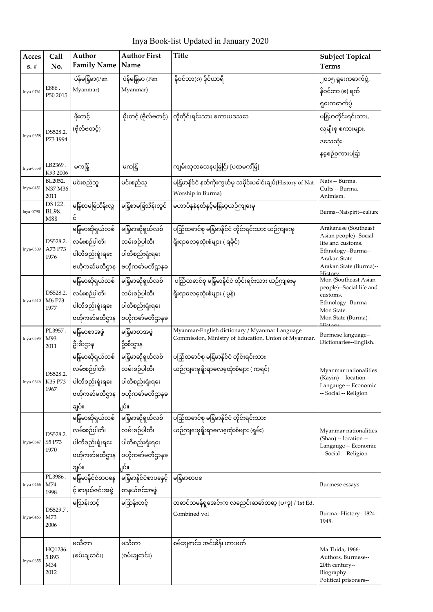Inya Book-list Updated in January 2020

| Acces<br>$s. \#$ | Call<br>No.          | Author<br><b>Family Name</b>    | <b>Author First</b><br>Name           | <b>Title</b>                                                | <b>Subject Topical</b><br><b>Terms</b>         |
|------------------|----------------------|---------------------------------|---------------------------------------|-------------------------------------------------------------|------------------------------------------------|
|                  |                      | ပဲန်မန်ြမာ(Pen                  | ပဲန်မန်ြမာ (Pen                       | နိုဝင်ဘာ(၈) ဒိုင်ယာရီ                                       |                                                |
|                  | E886.                | Myanmar)                        | Myanmar)                              |                                                             | ၂၀၁၅ ရွ၊ေကဓာက်ပွဲ,                             |
| Inya-0761        | P50 2015             |                                 |                                       |                                                             | နိုဝင်ဘာ (၈) ရက်                               |
|                  |                      |                                 |                                       |                                                             | ရှ <sup>ေး</sup> ကဓာက်ပွဲ                      |
|                  |                      | ဖိုးတင့်                        |                                       | ဖိုးတင့် (ဗိုလ်ဗတင့်) တြိုတိုင်းရင်းသား စကားပဒသဓာ           | မနြိမာတိုင်းရင်းသား,                           |
| Inya-0658        | DS528.2.<br>P73 1994 | (ဗိုလ်ဗတင့်)                    |                                       |                                                             | လူမျိုးစု စကားများ,                            |
|                  |                      |                                 |                                       |                                                             | ဒသေသုံး                                        |
|                  |                      |                                 |                                       |                                                             | နစေ့်စကားပရြာ                                  |
| Inya-0558        | LB2369.<br>K93 2006  | မကနြ                            | မကနြ                                  | ကျမ်းသုတသေနပုခြငြ်း [ပထမကိမြ]                               |                                                |
| Inya-0451        | BL2052.<br>N37 M36   | မင်းစည်သူ                       | မင်းစည်သူ                             | မနြမာနိုင်ငံ နတ်ကိုးကွယ်မှ သမိုင်းပဓါင်းချပ်(History of Nat | Nats -- Burma.<br>Cults -- Burma.              |
|                  | 2011                 |                                 |                                       | Worship in Burma)                                           | Animism.                                       |
| Inya-0790        | DS122.<br>BL98.      | မန်ြစာမရြသိန်းလွ                | မန်ြစာမနြသိန်းလွင်                    | မဟာပိနနဲနတ်နင့်မန်ြမာ့ယဉ်ကျးေမှ                             | Burma--Natspirit--culture                      |
|                  | M88                  | င်                              |                                       |                                                             |                                                |
|                  |                      | မန်ြမာဆိုရှယ်လစ်                | မန်ြမာဆိုရှယ်လစ်                      | ပည်ြထေင်စု မန်ြမာနိုင်ငံ တိုင်းရင်းသား ယဉ်ကျနေမှ            | Arakanese (Southeast<br>Asian people)--Social  |
| Inya-0509        | DS528.2.<br>A73 P73  | လမ်းစဉ်ပါတီ၊                    | လမ်းစဉ်ပါတီ၊                          | ရိုးရာဓလထေုံးစံများ ( ရခိုင်)                               | life and customs.                              |
|                  | 1976                 | ပါတီစည်းရုံးရဒေ                 | ပါတီစည်းရုံးရဒေ                       |                                                             | Ethnology--Burma--<br>Arakan State.            |
|                  |                      |                                 | ဗဟိုကဓာ်မတီဌာန  ဗဟိုကဓာ်မတီဌာနခ       |                                                             | Arakan State (Burma)--<br>History              |
|                  |                      | မန်ြမာဆိုရှယ်လစ်                | မြန်မာဆိုရှယ်လစ်                      | ပည်ြထဓာင်စု မန်ြမာနိုင်ငံ တိုင်းရင်းသား ယဉ်ကျနေမှ           | Mon (Southeast Asian                           |
|                  | DS528.2.             | လမ်းစဉ်ပါတီ၊                    | လမ်းစဉ်ပါတီ၊                          | ရိုးရာဓလထေုံးစံများ ( မွန်)                                 | people)--Social life and<br>customs.           |
| Inya-0510        | M6 P73<br>1977       | ပါတီစည်းရုံးရႈေ                 | ပါတီစည်းရုံးရဒေ                       |                                                             | Ethnology--Burma--<br>Mon State.               |
|                  |                      | ဗဟိုကတ်မတီဌာန                   | ဗဟိုကတ်မတီဌာနခ                        |                                                             | Mon State (Burma)--                            |
|                  | PL3957.              | မနြံမာစာအဖွဲ                    | မနြံမာစာအဖွဲ                          | Myanmar-English dictionary / Myanmar Language               | Burmese language--                             |
| Inya-0595        | M93<br>2011          | ဦးစီးဌာန                        | ဦးစီးဌာန                              | Commission, Ministry of Education, Union of Myanmar.        | Dictionaries--English.                         |
|                  |                      | မနြမာဆိုရှယ်လစ်                 | မြန်မာဆိုရှယ်လစ်                      | ပည်ြထေင်စု မန်ြမာနိုင်ငံ တိုင်းရင်းသား                      |                                                |
|                  | DS528.2              | လမ်းစဉ်ပါတီ၊                    | လမ်းစဉ်ပါတီ၊                          | ယဉ်ကျးေမှရိုးရာဓလဇ္ဇထုံးစံများ ( ကရင်)                      | Myanmar nationalities                          |
| Inya-0646        | K35 P73              | ပါတီစည်းရုံးရႈေ                 | ပါတီစည်းရုံးရဒေး                      |                                                             | (Kayin) -- location --<br>Langauge -- Economic |
|                  | 1967                 |                                 | ဗဟိုကဓာ်မတီဌာန $ $ ဗဟိုကဓာ်မတီဌာနခ    |                                                             | -- Social -- Religion                          |
|                  |                      | ချပ်။                           | ူပ်။                                  |                                                             |                                                |
|                  |                      |                                 | မနြမာဆိုရှယ်လစ် မြန်မာဆိုရှယ်လစ်      | ပည်ြထဓာင်စု မန်ြမာနိုင်ငံ တိုင်းရင်းသား                     |                                                |
|                  | DS528.2.             | လမ်းစဉ်ပါတီ၊                    | လမ်းစဉ်ပါတီ၊                          | ယဉ်ကျးေမှရိုးရာဓလဇ္ဇထုံးစံများ (ရှမ်း)                      | Myanmar nationalities                          |
| Inya-0647        | S5 P73<br>1970       | ပါတီစည်းရုံးရးေ ပါတီစည်းရုံးရးေ |                                       |                                                             | (Shan) -- location --<br>Langauge -- Economic  |
|                  |                      |                                 | ဗဟိုကဓာ်မတီဌာန ဗြဟိုကဓာ်မတီဌာနခ       |                                                             | -- Social -- Religion                          |
|                  |                      | ချပ်။                           | ျပ်။                                  |                                                             |                                                |
| Inya-0466        | PL3986.<br>M74       |                                 | မနြမာနိင်ငံစာပနေ မြန်မာနိင်ငံစာပနေင့် | မနြံမာစာပဧ                                                  | Burmese essays.                                |
|                  | 1998                 | င့် စာနယ်ဇင်းအဖွဲ့              | တနယ်ဇင်းအဖွဲ                          |                                                             |                                                |
|                  | DS529.7.             | မသြန်းတင့်                      | မဩန်းတင့်                             | တဓာင်သမန်ရှုအေင်းက လညေင်းဆဓာ်တဓာ့ [ပ+ဒု] / 1st Ed.          |                                                |
| Inya-0465        | M73                  |                                 |                                       | Combined vol                                                | Burma--History--1824-<br>1948.                 |
|                  | 2006                 |                                 |                                       |                                                             |                                                |
|                  |                      | မသီတာ                           | မသီတာ                                 | စမ်းချဓာင်း၊ အင်းစိန်၊ ဟားဗက်                               |                                                |
| Inya-0655        | HQ1236.<br>5.B93     | (စမ်းချဓာင်း)                   | (စမ်းချဓာင်း)                         |                                                             | Ma Thida, 1966-<br>Authors, Burmese--          |
|                  | M34<br>2012          |                                 |                                       |                                                             | 20th century--<br>Biography.                   |
|                  |                      |                                 |                                       |                                                             | Political prisoners--                          |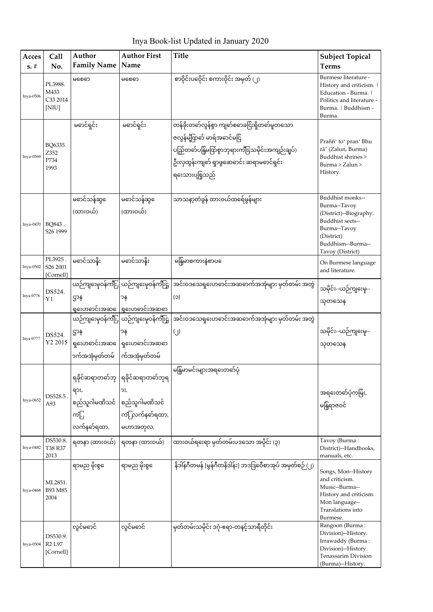Inya Book-list Updated in January 2020

| Acces<br>$s. \#$ | Call<br>No.                                  | Author<br><b>Family Name</b>                | <b>Author First</b><br>Name                                                                | <b>Title</b>                                                                                                                                                                                    | <b>Subject Topical</b><br><b>Terms</b>                                                                                                                |
|------------------|----------------------------------------------|---------------------------------------------|--------------------------------------------------------------------------------------------|-------------------------------------------------------------------------------------------------------------------------------------------------------------------------------------------------|-------------------------------------------------------------------------------------------------------------------------------------------------------|
| Inya-0506        | PL3988.<br>M433<br>C33 2014<br>[NIU]         | မစေဓာ                                       | မစေဓာ                                                                                      | စာဝိုင်းပဝေိုင်း စကားဝိုင်း အမှတ် (၂)                                                                                                                                                           | Burmese literature -<br>History and criticism.  <br>Education - Burma.  <br>Politics and literature -<br>Burma.   Buddhism -<br>Burma.                |
| Inya-0569        | BQ6335.<br>Z352<br>P734<br>1993              | မဓာင်ရှင်း                                  | မဓာင်ရှင်း                                                                                 | တန်ခိုးတဓာ်လွန်စွာ ကျဓာ်စဓာခငြ်းရှိတဓာ်မူတသော<br>ဇလွန်မျှိ်တုတ် မာရ်အဓာင်မငြိ<br>ပည်ြတော်ပန်ြမတ်ြစွာဘုရားကီးြသမိုင်းအကျဉ်းချပ်)<br>ဦးလှထွန်းကျင်္ဘ ရှာဖွဆေဓာင်း ဆရာမဓာင်ရှင်း<br>ရးေသားပုစြုသည် | Praññ' to' pran' Bhu<br>rā" (Zalun, Burma)<br>Buddhist shrines ><br>Burma > Zalun ><br>History.                                                       |
| Inya-0470        | BQ843.<br>S <sub>26</sub> 1999               | မဓာင်သန်ဆွေ<br>(ထားဝယ်)                     | မဓာင်သန်ဆွဓေ<br>(ထားဝယ်)                                                                   | သာသနာ့တံခွန် ထားဝယ်ထရေ်မွန်များ                                                                                                                                                                 | Buddhist monks--<br>Burma--Tavoy<br>(District)--Biography.<br>Buddhist sects--<br>Burma--Tavoy<br>(District)<br>Buddhism--Burma--<br>Tavoy (District) |
| Inya-0502        | PL3925.<br>S <sub>26</sub> 2001<br>[Cornell] | မဓာင်သာနိုး                                 | မဓာင်သာနိး                                                                                 | မနြံမာစကားနဲ့စာပ                                                                                                                                                                                | On Burmese language<br>and literature.                                                                                                                |
| Inya-0776        | DS524.<br>Y1                                 | ဌာန                                         | ယဉ်ကျးေမှဝန်ကျိဳး ယဉ်ကျးေမှဝန်ကျိဳးဌှ  <br>၁န<br>ရှၗေဟဓာင်းအဆ ေရြးေဟဓာင်းအဆဓာ              | အင်းဝဒသေရှးေဟဓာင်းအဆဓာက်အအုံများ မှတ်တမ်း အတွဲ<br>(C)                                                                                                                                           | သမိုင်း--ယဉ်ကျဒေမှ--<br>သုတသေန                                                                                                                        |
| Inya-0777        | DS524.<br>Y2 2015                            | ဌာန<br>ာက်အအုံမှတ်တမ်                       | ယဉ်ကျဒေမှဝန်ကျီး ယဉ်ကျဒေမှဝန်ကျီးဌှ<br>ာန<br>ရှးေဟဓာင်းအဆ ေရြးေဟဓာင်းအဆဓာ<br>က်အအုံမှတ်တမ် | အင်းဝဒသေရှးေဟဓာင်းအဆဓာက်အအုံများ မှတ်တမ်း အတွဲ<br>(j)                                                                                                                                           | သမိုင်း--ယဉ်ကျနေမှ--<br>သုတသေန                                                                                                                        |
| Inya-0652        | DS528.5<br>A93                               | ရား,<br>စည်သူဂါမဏိသင်<br>ကံြု<br>လက်နတ်ရထာ, | ရခိုင်ဆရာတဓာ်ဘု  ရခိုင်ဆရာတဓာ်ဘုရ<br>ລະ,<br>စည်သူဂါမဏိသင်<br>ကံြုလက်နတ်ရထာ,<br>မဟာအတုလ,    | မနြံမာမင်းများအရးေတတ်ပုံ                                                                                                                                                                        | အရးေတတ်ပုံကမြ်း,<br>မန်ြရာဇဝင်                                                                                                                        |
| Inya-0482        | DS530.8.<br>T38 R37<br>2013                  | ရတနာ (ထားဝယ်)                               | ရတနာ (ထားဝယ်)                                                                              | ထားဝယ်ရးေရာ မှတ်တမ်းပဒသော အပိုင်း (၃)                                                                                                                                                           | Tavoy (Burma:<br>District)--Handbooks,<br>manuals, etc.                                                                                               |
| Inya-0468        | ML2851.<br>B93 M85<br>2004                   | ရာမည မိုးစွေေ                               | ရာမည မိုးစွေေ                                                                              | နိဒါန်ဂီတမန် [မွန်ဂီတနိဒါန်း] ဘဒဒြဝေီစာအုပ် အမှတ်စဉ် (၂)                                                                                                                                        | Songs, Mon--History<br>and criticism.<br>Music--Burma--<br>History and criticism.<br>Mon language--<br>Translations into<br>Burmese.                  |
| Inya-0504        | DS530.9.<br>R2 L97<br>[Cornell]              | လွင်မဓာင်                                   | လွင်မဓာင်                                                                                  | မှတ်တမ်းသမိုင်း ဒဂုံ-ဧရာ-တနင့်သာရီတိုင်း                                                                                                                                                        | Rangoon (Burma:<br>Division)--History.<br>Irrawaddy (Burma:<br>Division)--History.<br>Tenassarim Division<br>(Burma)--History.                        |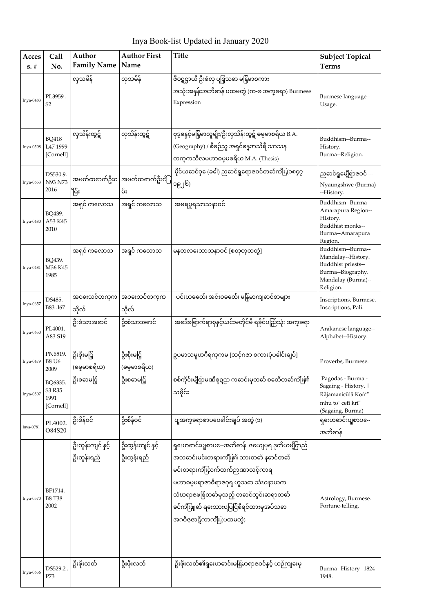Inya Book-list Updated in January 2020

| Acces<br>$s. \#$ | Call<br>No.                            | Author<br><b>Family Name</b>    | <b>Author First</b><br>Name        | <b>Title</b>                                                                                                                                                                                                                                                                          | <b>Subject Topical</b><br><b>Terms</b>                                                                                |
|------------------|----------------------------------------|---------------------------------|------------------------------------|---------------------------------------------------------------------------------------------------------------------------------------------------------------------------------------------------------------------------------------------------------------------------------------|-----------------------------------------------------------------------------------------------------------------------|
| Inya-0483        | PL3959.<br>S2                          | လှသမိန်                         | လုသမိန်                            | ဇီဝဋ္ဋဌာယီ ဦးစံလှ ပုစြုသဓာ မနြမာစကား<br>အသုံးအနန်းအဘိဓာန် ပထမတွဲ (က-ခ အက္၁ရာ) Burmese<br>Expression                                                                                                                                                                                   | Burmese language--<br>Usage.                                                                                          |
| <b>Inya-0508</b> | <b>BQ418</b><br>L47 1999<br>[Cornell]  | လှသိန်းထွဋ်                     | လှသိန်းထွဋ်                        | ဗုဒ္ဓဓနင့်မန်ြမာလူမျိုး/ဦးလှသိန်းထွဋ် ဓမ္မမာစရိယ B.A.<br>(Geography) / စီစဉ်သူ အရှင်စန္ <b>ဒာသိရီ</b> သာသန<br>တက္ကကသီလမဟာဓမ္မမစရိယ M.A. (Thesis)                                                                                                                                      | Buddhism--Burma--<br>History.<br>Burma--Religion.                                                                     |
| Inya-0653        | DS530.9.<br><b>N93 N73</b><br>2016     | မြိုး                           | အမတ်ထဓာက်ဦးင အမတ်ထဓာက်ဦးငံြ<br>မ်း | မိုင်ယဓာင်ဝှ (ေခါ) ညဓာင်ရှုရောဇဝင်တဓာ်ကျိး (၁၈၄၇-<br>၁၉၂၆)                                                                                                                                                                                                                            | ညဓာင်ရှုမေ့ရြာဇဝင် ---<br>Nyaungshwe (Burma)<br>--History.                                                            |
| Inya-0480        | BQ439.<br>A53 K45<br>2010              | အရှင် ကလောသ                     | အရှင် ကလောသ                        | အမရပူရသာသနာဝင်                                                                                                                                                                                                                                                                        | Buddhism--Burma--<br>Amarapura Region--<br>History.<br>Buddhist monks--<br>Burma--Amarapura<br>Region.                |
| Inya-0481        | BO439.<br>M36 K45<br>1985              | အရှင် ကလောသ                     | အရှင် ကလောသ                        | မန္ဝာလးေသာသနာဝင် [စတုတ္ထထတ္ပဲ]                                                                                                                                                                                                                                                        | Buddhism--Burma--<br>Mandalay--History.<br>Buddhist priests--<br>Burma--Biography.<br>Mandalay (Burma)--<br>Religion. |
| Inya-0657        | DS485.<br>B83.I67                      | အ၀းေသင်တက္၏<br>သိုလ်            | အဝးေသင်တက္၏<br>သိုလ်               | ပင်းယခတေ်၊ အင်းဝခတေ်၊ မန်ြမာကျဓာင်စာများ                                                                                                                                                                                                                                              | Inscriptions, Burmese.<br>Inscriptions, Pali.                                                                         |
| Inya-0650        | PL4001.<br>A83 S19                     | ဦးစံသာအဓာင်                     | ဦးစံသာအဓာင်                        | အဒေီခရြာက်ရာစုနင့်ယင်းမတိုင်မီ ရခိုင်ပည်ြသုံး အက္ခခရာ                                                                                                                                                                                                                                 | Arakanese language--<br>Alphabet--History.                                                                            |
| Inya-0479        | PN6519.<br><b>B8 U6</b><br>2009        | ဦးစိုးမငြ့်<br>(ဓမ္မမာစရိယ)     | ဦးစိုးမငြ့်<br>(ဓမ္မမာစရိယ)        | ဥပမာသမူဟဂီရက္eမ [သင့်ဂဇာ စကားပုံပါေင်းချပ်]                                                                                                                                                                                                                                           | Proverbs, Burmese.                                                                                                    |
| Inya-0507        | BQ6335.<br>S3 R35<br>1991<br>[Cornell] | ဦးစဓာမငြ့်                      | ဦးစဓာမငြ့်                         | စစ်ကိုင်းမျိုရာမဏိစူဍဠာ ကဓာင်းမှတဓာ် စတေီတဓာ်ကျီး၏<br>သမိုင်း                                                                                                                                                                                                                         | Pagodas - Burma -<br>Sagaing - History.<br>Rājamaņicūļā Kon"<br>mhu toʻ cetī krī"<br>(Sagaing, Burma)                 |
| Inya-0781        | PL4002.<br>O84S20                      | ဦးစိန်ဝင်                       | ဦးစိန်ဝင်                          | ပျအက္ခခရာစာပပေဓါင်းချပ် အတွဲ (၁)                                                                                                                                                                                                                                                      | ရှးေဟဓာင်းပျူစာပ-ေ<br>အဘိဓာန်                                                                                         |
| Inya-0570        | BF1714.<br><b>B8 T38</b><br>2002       | ဦးထွန်းကျင် နှင့်<br>ဦးထွန်းရည် | ဦးထွန်းကျင် နင့်<br>ဦးထွန်းရည်     | ရှးေဟဓာင်းပျုစာပ-ေအဘိဓာန် ဇယျေပုရ ဒုတိယမပြာည်<br>အလဓာင်းမင်းတရားကျီး၏ သားတဓာ် နဓာင်တဓာ်<br>မင်းတရားကျီးလက်ထက်ဉာဏာလင့်ကာရ<br>မဟာဓမ္မမရာဇာဓိရာဇဂုရု ဟူသဓာ သံဃနာယက<br>သံဃရာဇဖစ်ြတင်္ဓမှသည့် တဓာင်ထွင်းဆရာတဓာ်<br>ခင်ကျီးဖျှင် ရဒေသားပပြငြ်စီရင်ထားမှအပ်သဓာ<br>အဂဝိဇ္ဇဇာဋီကာကျီး (ပထမတွဲ) | Astrology, Burmese.<br>Fortune-telling.                                                                               |
| Inya-0656        | DS529.2<br>P73                         | ဦးဖိုးလတ်                       | ဦးဖိုးလတ်                          | ဦးဖိုးလတ်၏ရှဒေဟဓာင်းမန်ြမာရာဇဝင်နင့် ယဉ်ကျဧေမှ                                                                                                                                                                                                                                        | Burma--History--1824-<br>1948.                                                                                        |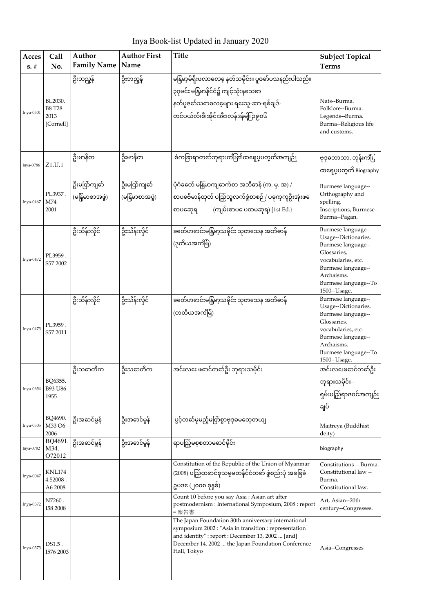Inya Book-list Updated in January 2020

| <b>Acces</b><br>$s. \#$ | Call<br>No.                                   | Author<br><b>Family Name</b>    | <b>Author First</b><br>Name     | <b>Title</b>                                                                                                                                                                                                                         | <b>Subject Topical</b><br><b>Terms</b>                                                                                                                                            |
|-------------------------|-----------------------------------------------|---------------------------------|---------------------------------|--------------------------------------------------------------------------------------------------------------------------------------------------------------------------------------------------------------------------------------|-----------------------------------------------------------------------------------------------------------------------------------------------------------------------------------|
| Inya-0501               | BL2030.<br><b>B8 T28</b><br>2013<br>[Cornell] | ဦးဘည္မွန်                       | ဦးဘည္မွန်                       | မနြံမာ့မိရိုးဖလာဓလဓ့ နတ်သမိုင်း။ ပူဇဓာ်ပသနည်းပါသည်။<br>၃၇မင်း မန်ြမာနိုင်ငံ၌ ကျင့်သုံးနသေဓာ<br>နတ်ပူဇတ်သဓာဓလမေျား ရႊေသူ-ဆာ-ရစ်ချဒ်-<br>တင်ပယ်လ်၊စီ၊အိုင်၊အီး၊လန်ဒန်မျိုဉ၉၀၆                                                          | Nats--Burma.<br>Folklore--Burma.<br>Legends--Burma.<br>Burma--Religious life<br>and customs.                                                                                      |
| Inya-0786               | Z1.U.1                                        | ဦးမာနိတ                         | ဦးမာနိတ                         | စံကခြာရာတဓာ်ဘုရားကျီး၏ထရေပုပတ္စတိအကျဉ်း                                                                                                                                                                                              | ဗုဒ္ဓဓဘာသာ, ဘုန်းကျိဳး,<br>ထရေပုပတ္ဝာိ Biography                                                                                                                                  |
| Inya-0467               | PL3937.<br>M74<br>2001                        | ဦးမတ်ြကျင်္ဘ<br>(မန်ြမာစာအဖွဲ့) | ဦးမတ်ြကျင်္ဘ<br>(မန်ြမာစာအဖွဲ့) | ပုံဂံခတ်ေ မန်ြမာကျဓာက်စာ အဘိဓာန် (က. မု. အ) /<br>စာပဗေိမာန်ထုတ် ပည်ြသူလက်စွဲစာစဉ် / ပခုက္ဣာဦးအုံးဖ<br>(ကျမ်းစာပပေထမဆုရ) [1st Ed.]<br>စာပဆေုရ                                                                                         | Burmese language--<br>Orthography and<br>spelling.<br>Inscriptions, Burmese--<br>Burma--Pagan.                                                                                    |
| Inya-0472               | PL3959.<br>S57 2002                           | ဦးသိန်းလိုင်                    | ဦးသိန်းလိုင်                    | (ဒုတိယအကိမြံ)                                                                                                                                                                                                                        | Burmese language--<br>Usage--Dictionaries.<br>Burmese language--<br>Glossaries,<br>vocabularies, etc.<br>Burmese language--<br>Archaisms.<br>Burmese language--To<br>1500--Usage. |
| Inya-0473               | PL3959.<br>S57 2011                           | ဦးသိန်းလိုင်                    | ဦးသိန်းလိုင်                    | ခတ်ေဟဓာင်းမန်ြမာ့သမိုင်း သုတသေန အဘိဓာန်<br>(တတိယအကိမြံ)                                                                                                                                                                              | Burmese language--<br>Usage--Dictionaries.<br>Burmese language--<br>Glossaries,<br>vocabularies, etc.<br>Burmese language--<br>Archaisms.<br>Burmese language--To<br>1500--Usage. |
| Inya-0654               | BQ6355.<br>B93 U86<br>1955                    | ဦးသဓာတိက                        | ဦးသဓာတိက                        | အင်းလဧး ဖဓာင်တဓာ်ဦး ဘုရားသမိုင်း                                                                                                                                                                                                     | အင်းလဖေဖောင်တမာ်ဦး<br>ဘုရားသမိုင်း--<br>ရှမ်းပည်ြရာဇဝင်အကျဉ်း<br>ချပ်                                                                                                             |
| Inya-0505               | BQ4690.<br>M33 O6<br>2006                     | ဦးအဓာင်မွန်                     | ဦးအဓာင်မွန်                     | ပွင့်တင်ာမှမည့်မက်ြစွာဗုဒ္ဓဓမတေ့တယျ                                                                                                                                                                                                  | Maitreya (Buddhist<br>deity)                                                                                                                                                      |
| Inya-0782               | BQ4691.<br>M34.<br>O72012                     | ဦးအဓာင်မွန်                     | ဦးအဓာင်မွန်                     | ရာပည့်ြစစတာမဓာင်မိုင်း                                                                                                                                                                                                               | biography                                                                                                                                                                         |
| Inya-0047               | KNL174<br>$4.52008$ .<br>A6 2008              |                                 |                                 | Constitution of the Republic of the Union of Myanmar<br>(2008) ပည်ြထဓာင်စုသမ္မမတနိုင်ငံတဓာ် ဖွဲ့စည်းပုံ အခြခံ<br>ဥပဒ(ေ၂၀၀၈ ခုနစ်)                                                                                                    | Constitutions -- Burma.<br>Constitutional law --<br>Burma.<br>Constitutional law.                                                                                                 |
| Inya-0372               | N7260.<br>I58 2008                            |                                 |                                 | Count 10 before you say Asia: Asian art after<br>postmodernism : International Symposium, 2008 : report<br>=報告書                                                                                                                      | Art, Asian--20th<br>century--Congresses.                                                                                                                                          |
| Inya-0373               | DS1.5.<br>I576 2003                           |                                 |                                 | The Japan Foundation 30th anniversary international<br>symposium 2002 : "Asia in transition : representation<br>and identity": report: December 13, 2002  [and]<br>December 14, 2002  the Japan Foundation Conference<br>Hall, Tokyo | Asia--Congresses                                                                                                                                                                  |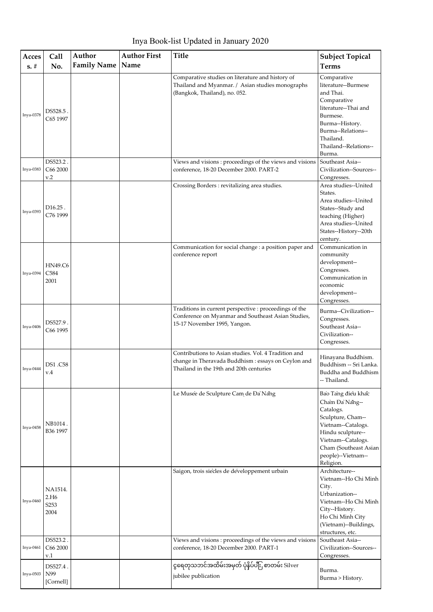Inya Book-list Updated in January 2020

| Acces     | Call                                        | Author             | <b>Author First</b> | Title                                                                                                                                                  | <b>Subject Topical</b>                                                                                                                                                                              |
|-----------|---------------------------------------------|--------------------|---------------------|--------------------------------------------------------------------------------------------------------------------------------------------------------|-----------------------------------------------------------------------------------------------------------------------------------------------------------------------------------------------------|
| $s. \#$   | No.                                         | <b>Family Name</b> | Name                |                                                                                                                                                        | <b>Terms</b>                                                                                                                                                                                        |
| Inya-0378 | DS528.5<br>C65 1997                         |                    |                     | Comparative studies on literature and history of<br>Thailand and Myanmar. / Asian studies monographs<br>(Bangkok, Thailand), no. 052.                  | Comparative<br>literature--Burmese<br>and Thai.<br>Comparative<br>literature--Thai and<br>Burmese.<br>Burma--History.<br>Burma--Relations--<br>Thailand.<br>Thailand--Relations--<br>Burma.         |
| Inya-0383 | DS523.2.<br>C66 2000<br>v.2                 |                    |                     | Views and visions: proceedings of the views and visions<br>conference, 18-20 December 2000. PART-2                                                     | Southeast Asia--<br>Civilization--Sources--<br>Congresses.                                                                                                                                          |
| Inya-0393 | $D16.25$ .<br>C76 1999                      |                    |                     | Crossing Borders: revitalizing area studies.                                                                                                           | Area studies--United<br>States.<br>Area studies--United<br>States--Study and<br>teaching (Higher)<br>Area studies--United<br>States--History--20th<br>century.                                      |
| Inya-0394 | <b>HN49.C6</b><br>C584<br>2001              |                    |                     | Communication for social change : a position paper and<br>conference report                                                                            | Communication in<br>community<br>development--<br>Congresses.<br>Communication in<br>economic<br>development--<br>Congresses.                                                                       |
| Inya-0406 | DS527.9.<br>C66 1995                        |                    |                     | Traditions in current perspective : proceedings of the<br>Conference on Myanmar and Southeast Asian Studies,<br>15-17 November 1995, Yangon.           | Burma--Civilization--<br>Congresses.<br>Southeast Asia--<br>Civilization--<br>Congresses.                                                                                                           |
| Inya-0444 | DS1.C58<br>v.4                              |                    |                     | Contributions to Asian studies. Vol. 4 Tradition and<br>change in Theravada Buddhism : essays on Ceylon and<br>Thailand in the 19th and 20th centuries | Hinayana Buddhism.<br>Buddhism -- Sri Lanka.<br>Buddha and Buddhism<br>-- Thailand.                                                                                                                 |
| Inya-0458 | NB1014.<br>B36 1997                         |                    |                     | Le Musée de Sculpture Cam de Đa`Nang                                                                                                                   | Bao Tang điều khắc<br>Cham Đa`Nang--<br>Catalogs.<br>Sculpture, Cham--<br>Vietnam--Catalogs.<br>Hindu sculpture--<br>Vietnam--Catalogs.<br>Cham (Southeast Asian<br>people)--Vietnam--<br>Religion. |
| Inya-0460 | NA1514.<br>2.H <sub>6</sub><br>S253<br>2004 |                    |                     | Saigon, trois siècles de développement urbain                                                                                                          | Architecture--<br>Vietnam--Ho Chi Minh<br>City.<br>Urbanization--<br>Vietnam--Ho Chi Minh<br>City--History.<br>Ho Chi Minh City<br>(Vietnam)--Buildings,<br>structures, etc.                        |
| Inya-0461 | DS523.2.<br>C66 2000<br>v.1                 |                    |                     | Views and visions: proceedings of the views and visions<br>conference, 18-20 December 2000. PART-1                                                     | Southeast Asia--<br>Civilization--Sources--<br>Congresses.                                                                                                                                          |
| Inya-0503 | DS527.4.<br>N99<br>[Cornell]                |                    |                     | ငွရေတုသဘင်အထိမ်းအမှတ် ပုံနှိပ်ပါိုး စာတမ်း Silver<br>jubilee publication                                                                               | Burma.<br>Burma > History.                                                                                                                                                                          |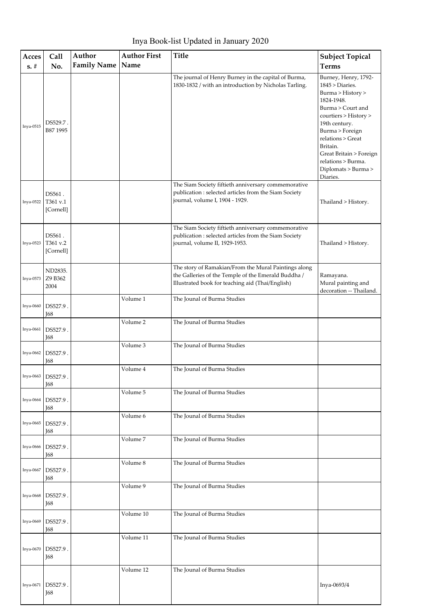Inya Book-list Updated in January 2020

| Acces<br>$s. \#$ | Call<br>No.                     | Author<br><b>Family Name</b> | <b>Author First</b><br>Name | <b>Title</b>                                                                                                                                                    | <b>Subject Topical</b><br><b>Terms</b>                                                                                                                                                                                                                                            |
|------------------|---------------------------------|------------------------------|-----------------------------|-----------------------------------------------------------------------------------------------------------------------------------------------------------------|-----------------------------------------------------------------------------------------------------------------------------------------------------------------------------------------------------------------------------------------------------------------------------------|
| Inya-0515        | DS529.7.<br>B87 1995            |                              |                             | The journal of Henry Burney in the capital of Burma,<br>1830-1832 / with an introduction by Nicholas Tarling.                                                   | Burney, Henry, 1792-<br>1845 > Diaries.<br>Burma > History ><br>1824-1948.<br>Burma > Court and<br>courtiers > History ><br>19th century.<br>Burma > Foreign<br>relations > Great<br>Britain.<br>Great Britain > Foreign<br>relations > Burma.<br>Diplomats > Burma ><br>Diaries. |
| Inya-0522        | DS561.<br>T361 v.1<br>[Cornell] |                              |                             | The Siam Society fiftieth anniversary commemorative<br>publication : selected articles from the Siam Society<br>journal, volume I, 1904 - 1929.                 | Thailand > History.                                                                                                                                                                                                                                                               |
| Inya-0523        | DS561.<br>T361 v.2<br>[Cornell] |                              |                             | The Siam Society fiftieth anniversary commemorative<br>publication : selected articles from the Siam Society<br>journal, volume II, 1929-1953.                  | Thailand > History.                                                                                                                                                                                                                                                               |
| Inya-0573        | ND2835.<br>Z9 B362<br>2004      |                              |                             | The story of Ramakian/From the Mural Paintings along<br>the Galleries of the Temple of the Emerald Buddha /<br>Illustrated book for teaching aid (Thai/English) | Ramayana.<br>Mural painting and<br>decoration -- Thailand.                                                                                                                                                                                                                        |
| Inya-0660        | DS527.9.<br>I68                 |                              | Volume 1                    | The Jounal of Burma Studies                                                                                                                                     |                                                                                                                                                                                                                                                                                   |
| Inya-0661        | DS527.9<br><b>J68</b>           |                              | Volume 2                    | The Jounal of Burma Studies                                                                                                                                     |                                                                                                                                                                                                                                                                                   |
| Inya-0662        | DS527.9.<br><b>J68</b>          |                              | Volume 3                    | The Jounal of Burma Studies                                                                                                                                     |                                                                                                                                                                                                                                                                                   |
| Inya-0663        | DS527.9.<br>I68                 |                              | Volume 4                    | The Jounal of Burma Studies                                                                                                                                     |                                                                                                                                                                                                                                                                                   |
| Inya-0664        | DS527.9.<br><b>168</b>          |                              | Volume 5                    | The Jounal of Burma Studies                                                                                                                                     |                                                                                                                                                                                                                                                                                   |
| Inya-0665        | DS527.9.<br>I68                 |                              | Volume 6                    | The Jounal of Burma Studies                                                                                                                                     |                                                                                                                                                                                                                                                                                   |
| Inya-0666        | DS527.9.<br>I68                 |                              | Volume 7                    | The Jounal of Burma Studies                                                                                                                                     |                                                                                                                                                                                                                                                                                   |
| Inya-0667        | DS527.9.<br>I68                 |                              | Volume 8                    | The Jounal of Burma Studies                                                                                                                                     |                                                                                                                                                                                                                                                                                   |
| Inya-0668        | DS527.9<br>I68                  |                              | Volume 9                    | The Jounal of Burma Studies                                                                                                                                     |                                                                                                                                                                                                                                                                                   |
| Inya-0669        | DS527.9.<br>I68                 |                              | Volume 10                   | The Jounal of Burma Studies                                                                                                                                     |                                                                                                                                                                                                                                                                                   |
| Inya-0670        | DS527.9.<br>I68                 |                              | Volume 11                   | The Jounal of Burma Studies                                                                                                                                     |                                                                                                                                                                                                                                                                                   |
| Inya-0671        | DS527.9.<br>I68                 |                              | Volume 12                   | The Jounal of Burma Studies                                                                                                                                     | Inya-0693/4                                                                                                                                                                                                                                                                       |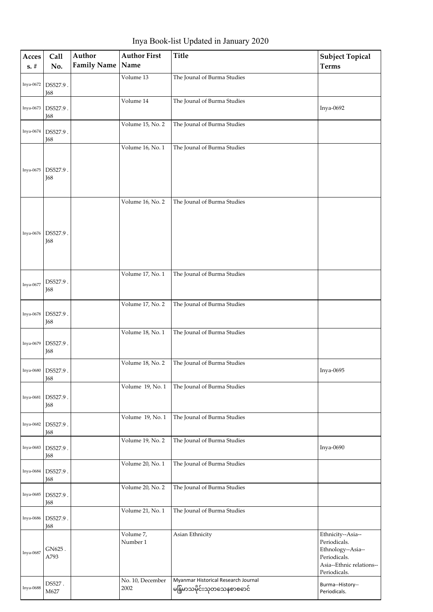Inya Book-list Updated in January 2020

| Acces<br>$\mathbf{s},\mathbf{\#}$ | Call<br>No.            | Author<br><b>Family Name</b> | <b>Author First</b><br>Name | <b>Title</b>                                                      | <b>Subject Topical</b><br><b>Terms</b>                                                                             |
|-----------------------------------|------------------------|------------------------------|-----------------------------|-------------------------------------------------------------------|--------------------------------------------------------------------------------------------------------------------|
| Inya-0672                         | DS527.9.<br>J68        |                              | Volume 13                   | The Jounal of Burma Studies                                       |                                                                                                                    |
| Inya-0673                         | DS527.9.<br>J68        |                              | Volume 14                   | The Jounal of Burma Studies                                       | Inya-0692                                                                                                          |
| Inya-0674                         | DS527.9.<br>I68        |                              | Volume 15, No. 2            | The Jounal of Burma Studies                                       |                                                                                                                    |
| Inya-0675                         | DS527.9.<br>I68        |                              | Volume 16, No. 1            | The Jounal of Burma Studies                                       |                                                                                                                    |
| Inya-0676                         | DS527.9.<br>I68        |                              | Volume 16, No. 2            | The Jounal of Burma Studies                                       |                                                                                                                    |
| Inya-0677                         | DS527.9.<br>I68        |                              | Volume 17, No. 1            | The Jounal of Burma Studies                                       |                                                                                                                    |
| Inya-0678                         | DS527.9.<br>I68        |                              | Volume 17, No. 2            | The Jounal of Burma Studies                                       |                                                                                                                    |
| Inya-0679                         | DS527.9.<br><b>J68</b> |                              | Volume 18, No. 1            | The Jounal of Burma Studies                                       |                                                                                                                    |
| Inya-0680                         | DS527.9.<br>J68        |                              | Volume 18, No. 2            | The Jounal of Burma Studies                                       | Inya-0695                                                                                                          |
| Inya-0681                         | DS527.9.<br>I68        |                              | Volume 19, No. 1            | The Jounal of Burma Studies                                       |                                                                                                                    |
| Inya-0682                         | DS527.9.<br>J68        |                              | Volume 19, No. 1            | The Jounal of Burma Studies                                       |                                                                                                                    |
| Inya-0683                         | DS527.9.<br>J68        |                              | Volume 19, No. 2            | The Jounal of Burma Studies                                       | Inya-0690                                                                                                          |
| Inya-0684                         | DS527.9.<br>J68        |                              | Volume 20, No. 1            | The Jounal of Burma Studies                                       |                                                                                                                    |
| Inya-0685                         | DS527.9.<br>I68        |                              | Volume 20, No. 2            | The Jounal of Burma Studies                                       |                                                                                                                    |
| Inya-0686                         | DS527.9.<br>J68        |                              | Volume 21, No. 1            | The Jounal of Burma Studies                                       |                                                                                                                    |
| Inya-0687                         | GN625.<br>A793         |                              | Volume 7,<br>Number 1       | Asian Ethnicity                                                   | Ethnicity--Asia--<br>Periodicals.<br>Ethnology--Asia--<br>Periodicals.<br>Asia--Ethnic relations--<br>Periodicals. |
| Inya-0688                         | DS527.<br>M627         |                              | No. 10, December<br>2002    | Myanmar Historical Research Journal<br>မန်ြမာသမိုင်းသုတသေနစာစဓာင် | Burma--History--<br>Periodicals.                                                                                   |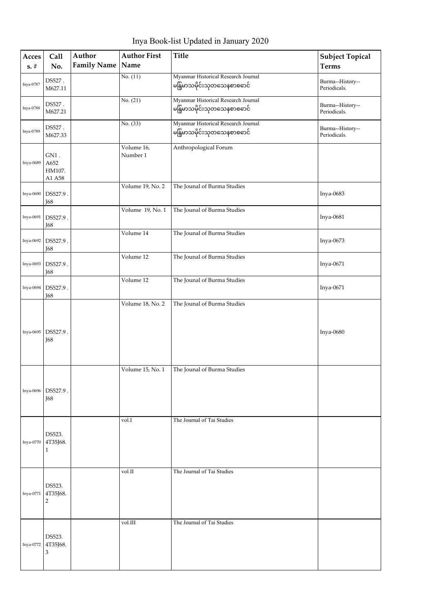Inya Book-list Updated in January 2020

| Acces<br>$s. \#$ | Call<br>No.                          | Author<br><b>Family Name</b> | <b>Author First</b><br>Name | <b>Title</b>                                                     | <b>Subject Topical</b><br><b>Terms</b> |
|------------------|--------------------------------------|------------------------------|-----------------------------|------------------------------------------------------------------|----------------------------------------|
| Inya-0787        | DS527.<br>M627.11                    |                              | No. $(11)$                  | Myanmar Historical Research Journal<br>မနြမာသမိုင်းသုတသေနစာစဓာင် | Burma--History--<br>Periodicals.       |
| Inya-0788        | DS527.<br>M627.21                    |                              | No. (21)                    | Myanmar Historical Research Journal<br>မနြမာသမိုင်းသုတသေနစာစဓာင် | Burma--History--<br>Periodicals.       |
| Inya-0789        | DS527.<br>M627.33                    |                              | No. (33)                    | Myanmar Historical Research Journal<br>မနြမာသမိုင်းသုတသေနစာစဓာင် | Burma--History--<br>Periodicals.       |
| Inya-0689        | $GN1$ .<br>A652<br>HM107.<br>A1 A58  |                              | Volume 16,<br>Number 1      | Anthropological Forum                                            |                                        |
| Inya-0690        | DS527.9.<br>J68                      |                              | Volume 19, No. 2            | The Jounal of Burma Studies                                      | Inya-0683                              |
| Inya-0691        | DS527.9.<br>I68                      |                              | Volume 19, No. 1            | The Jounal of Burma Studies                                      | Inya-0681                              |
| Inya-0692        | DS527.9.<br>J68                      |                              | Volume 14                   | The Jounal of Burma Studies                                      | Inya-0673                              |
| Inya-0693        | DS527.9.<br>J68                      |                              | Volume 12                   | The Jounal of Burma Studies                                      | Inya-0671                              |
| Inya-0694        | DS527.9.<br>J68                      |                              | Volume 12                   | The Jounal of Burma Studies                                      | Inya-0671                              |
|                  |                                      |                              | Volume 18, No. 2            | The Jounal of Burma Studies                                      |                                        |
| Inya-0695        | DS527.9.<br><b>168</b>               |                              |                             |                                                                  | Inya-0680                              |
|                  |                                      |                              | Volume 15, No. 1            | The Jounal of Burma Studies                                      |                                        |
| Inya-0696        | DS527.9.<br><b>168</b>               |                              |                             |                                                                  |                                        |
| Inya-0770        | DS523.<br>4T35J68.<br>1              |                              | vol.I                       | The Journal of Tai Studies                                       |                                        |
| Inya-0771        | DS523.<br>4T35J68.<br>$\overline{2}$ |                              | vol.II                      | The Journal of Tai Studies                                       |                                        |
| Inya-0772        | DS523.<br>4T35J68.<br>3              |                              | vol.III                     | The Journal of Tai Studies                                       |                                        |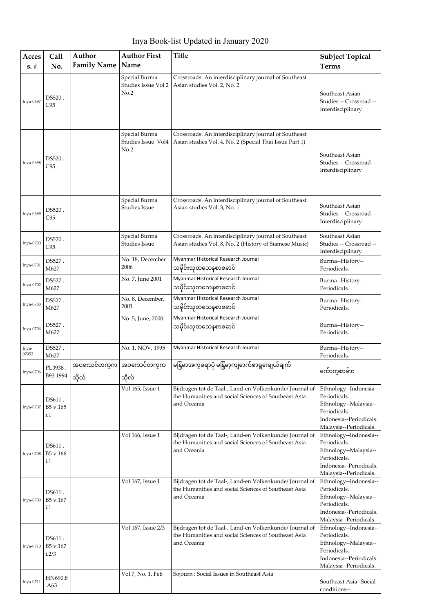Inya Book-list Updated in January 2020

| Acces<br>$s. \#$ | Call<br>No.                 | Author<br><b>Family Name</b> | <b>Author First</b><br>Name                  | <b>Title</b>                                                                                                                   | <b>Subject Topical</b><br><b>Terms</b>                                                                                               |
|------------------|-----------------------------|------------------------------|----------------------------------------------|--------------------------------------------------------------------------------------------------------------------------------|--------------------------------------------------------------------------------------------------------------------------------------|
| Inya-0697        | DS520.<br>C95               |                              | Special Burma<br>Studies Issue Vol 2<br>No.2 | Crossroads. An interdisciplinary journal of Southeast<br>Asian studies Vol. 2, No. 2                                           | Southeast Asian<br>Studies -- Crossroad --<br>Interdisciplinary                                                                      |
| Inya-0698        | DS520.<br>C95               |                              | Special Burma<br>Studies Issue Vol4<br>No.2  | Crossroads. An interdisciplinary journal of Southeast<br>Asian studies Vol. 4, No. 2 (Special Thai Issue Part 1)               | Southeast Asian<br>Studies -- Crossroad --<br>Interdisciplinary                                                                      |
| Inya-0699        | DS520.<br>C95               |                              | Special Burma<br><b>Studies Issue</b>        | Crossroads. An interdisciplinary journal of Southeast<br>Asian studies Vol. 3, No. 1                                           | Southeast Asian<br>Studies -- Crossroad --<br>Interdisciplinary                                                                      |
| Inya-0700        | DS520.<br>C95               |                              | Special Burma<br>Studies Issue               | Crossroads. An interdisciplinary journal of Southeast<br>Asian studies Vol. 8, No. 2 (History of Siamese Music)                | Southeast Asian<br>Studies -- Crossroad --<br>Interdisciplinary                                                                      |
| Inya-0701        | DS527.<br>M627              |                              | No. 18, December<br>2006                     | Myanmar Historical Research Journal<br>သမိုင်းသုတသေနစာစဓာင်                                                                    | Burma--History--<br>Periodicals.                                                                                                     |
| Inya-0702        | DS527.<br>M627              |                              | No. 7, June 2001                             | Myanmar Historical Research Journal<br>သမိုင်းသုတသေနစာစဓာင်                                                                    | Burma--History--<br>Periodicals.                                                                                                     |
| Inya-0703        | DS527.<br>M627              |                              | No. 8, December,<br>2001                     | Myanmar Historical Research Journal<br>သမိုင်းသုတသေနစာစဓာင်                                                                    | Burma--History--<br>Periodicals.                                                                                                     |
| Inya-0704        | DS527.<br>M627              |                              | No. 5, June, 2000                            | Myanmar Historical Research Journal<br>သမိုင်းသုတသေနစာစဓာင်                                                                    | Burma--History--<br>Periodicals.                                                                                                     |
| Inya-<br>07052   | DS527.<br>M627              |                              | No. 1, NOV, 1995                             | Myanmar Historical Research Journal                                                                                            | Burma--History--<br>Periodicals.                                                                                                     |
| Inya-0706        | PL3938.<br>B93 1994         | သိုလ်                        | အဝးေသင်တက္m အဝဒေသင်တက္၏<br>သိုလ်             | မနြမာအက္ခခရာပုံ မနြမာ့ကျဓာက်စာရှဒေချယ်ချက်                                                                                     | က်ောကစာမ်ား                                                                                                                          |
| Inya-0707        | DS611.<br>B5 v.165<br>i.1   |                              | Vol 165, Issue 1                             | Bijdragen tot de Taal-, Land-en Volkenkunde/ Journal of<br>the Humanities and social Sciences of Southeast Asia<br>and Oceania | Ethnology--Indonesia--<br>Periodicals.<br>Ethnology--Malaysia--<br>Periodicals.<br>Indonesia--Periodicals.<br>Malaysia--Periodicals. |
| Inya-0708        | DS611.<br>B5 v.166<br>i.1   |                              | Vol 166, Issue 1                             | Bijdragen tot de Taal-, Land-en Volkenkunde/ Journal of<br>the Humanities and social Sciences of Southeast Asia<br>and Oceania | Ethnology--Indonesia--<br>Periodicals.<br>Ethnology--Malaysia--<br>Periodicals.<br>Indonesia--Periodicals.<br>Malaysia--Periodicals. |
| Inya-0709        | DS611.<br>B5 v.167<br>i.1   |                              | Vol 167, Issue 1                             | Bijdragen tot de Taal-, Land-en Volkenkunde/ Journal of<br>the Humanities and social Sciences of Southeast Asia<br>and Oceania | Ethnology--Indonesia--<br>Periodicals.<br>Ethnology--Malaysia--<br>Periodicals.<br>Indonesia--Periodicals.<br>Malaysia--Periodicals. |
| Inya-0710        | DS611.<br>B5 v.167<br>i.2/3 |                              | Vol 167, Issue 2/3                           | Bijdragen tot de Taal-, Land-en Volkenkunde/ Journal of<br>the Humanities and social Sciences of Southeast Asia<br>and Oceania | Ethnology--Indonesia--<br>Periodicals.<br>Ethnology--Malaysia--<br>Periodicals.<br>Indonesia--Periodicals.<br>Malaysia--Periodicals. |
| Inya-0711        | HN690.8<br>.A63             |                              | Vol 7, No. 1, Feb                            | Sojourn : Social Issues in Southeast Asia                                                                                      | Southeast Asia--Social<br>conditions--                                                                                               |